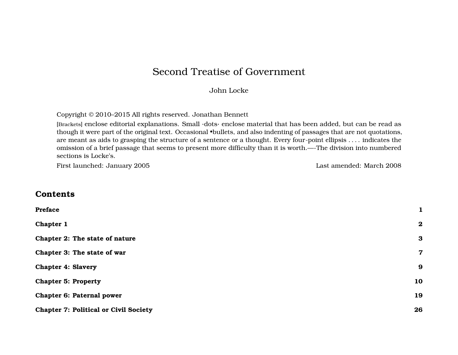# Second Treatise of Government

### John Locke

Copyright © 2010–2015 All rights reserved. Jonathan Bennett

[Brackets] enclose editorial explanations. Small ·dots· enclose material that has been added, but can be read as though it were part of the original text. Occasional •bullets, and also indenting of passages that are not quotations, are meant as aids to grasping the structure of a sentence or a thought. Every four-point ellipsis . . . . indicates the omission of a brief passage that seems to present more difficulty than it is worth.—-The division into numbered sections is Locke's.

First launched: January 2005 Last amended: March 2008

# **Contents**

| Preface                                      | $\mathbf 1$      |
|----------------------------------------------|------------------|
| Chapter 1                                    | $\boldsymbol{2}$ |
| Chapter 2: The state of nature               | 3                |
| Chapter 3: The state of war                  | $\overline{7}$   |
| <b>Chapter 4: Slavery</b>                    | $\boldsymbol{9}$ |
| <b>Chapter 5: Property</b>                   | 10               |
| <b>Chapter 6: Paternal power</b>             | 19               |
| <b>Chapter 7: Political or Civil Society</b> | 26               |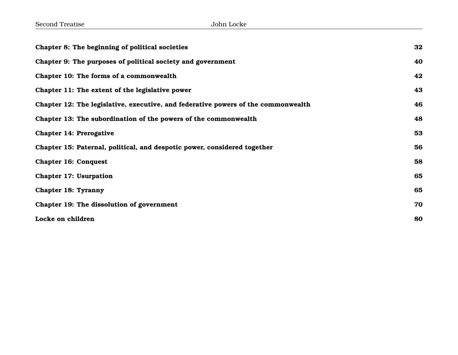| Chapter 8: The beginning of political societies                                   | 32 |
|-----------------------------------------------------------------------------------|----|
| Chapter 9: The purposes of political society and government                       | 40 |
| Chapter 10: The forms of a commonwealth                                           | 42 |
| Chapter 11: The extent of the legislative power                                   | 43 |
| Chapter 12: The legislative, executive, and federative powers of the commonwealth | 46 |
| Chapter 13: The subordination of the powers of the commonwealth                   | 48 |
| Chapter 14: Prerogative                                                           | 53 |
| Chapter 15: Paternal, political, and despotic power, considered together          | 56 |
| <b>Chapter 16: Conquest</b>                                                       | 58 |
| <b>Chapter 17: Usurpation</b>                                                     | 65 |
| <b>Chapter 18: Tyranny</b>                                                        | 65 |
| Chapter 19: The dissolution of government                                         | 70 |
| Locke on children                                                                 | 80 |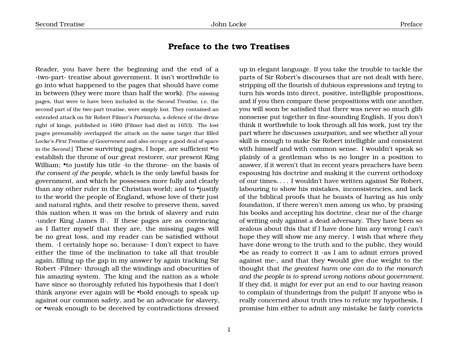# **Preface to the two Treatises**

<span id="page-2-0"></span>Reader, you have here the beginning and the end of a ·two-part· treatise about government. It isn't worthwhile to go into what happened to the pages that should have come in between (they were more than half the work). [The missing pages, that were to have been included in the *Second Treatise*, i.e. the second part of the two-part treatise, were simply *lost*. They contained an extended attack on Sir Robert Filmer's *Patriarcha*, a defence of the divine right of kings, published in 1680 (Filmer had died in 1653). The lost pages presumably overlapped the attack on the same target that filled Locke's *First Treatise of Government* and also occupy a good deal of space in the *Second*.] These surviving pages, I hope, are sufficient •to establish the throne of our great restorer, our present King William; •to justify his title ·to the throne· on the basis of *the consent of the people*, which is the only lawful basis for government, and which he possesses more fully and clearly than any other ruler in the Christian world; and to •justify to the world the people of England, whose love of their just and natural rights, and their resolve to preserve them, saved this nation when it was on the brink of slavery and ruin ·under King James II·. If these pages are as convincing as I flatter myself that they are, the missing pages will be no great loss, and my reader can be satisfied without them. ·I certainly hope so, because· I don't expect to have either the time of the inclination to take all that trouble again, filling up the gap in my answer by again tracking Sir Robert ·Filmer· through all the windings and obscurities of his amazing system. The king and the nation as a whole have since so thoroughly refuted his hypothesis that I don't think anyone ever again will be •bold enough to speak up against our common safety, and be an advocate for slavery, or •weak enough to be deceived by contradictions dressed

up in elegant language. If you take the trouble to tackle the parts of Sir Robert's discourses that are not dealt with here, stripping off the flourish of dubious expressions and trying to turn his words into direct, positive, intelligible propositions, and if you then compare these propositions with one another, you will soon be satisfied that there was never so much glib nonsense put together in fine-sounding English. If you don't think it worthwhile to look through all his work, just try the part where he discusses *usurpation*, and see whether all your skill is enough to make Sir Robert intelligible and consistent with himself and with common sense. I wouldn't speak so plainly of a gentleman who is no longer in a position to answer, if it weren't that in recent years preachers have been espousing his doctrine and making it the current orthodoxy of our times. . . . I wouldn't have written against Sir Robert, labouring to show his mistakes, inconsistencies, and lack of the biblical proofs that he boasts of having as his only foundation, if there weren't men among us who, by praising his books and accepting his doctrine, clear me of the charge of writing only against a dead adversary. They have been so zealous about this that if I have done him any wrong I can't hope they will show me any mercy. I wish that where *they* have done wrong to the truth and to the public, they would •be as ready to correct it ·as I am to admit errors proved against me·, and that they •would give due weight to the thought that *the greatest harm one can do to the monarch and the people is to spread wrong notions about government*. If they did, it might for ever put an end to our having reason to complain of thunderings from the pulpit! If anyone who is really concerned about truth tries to refute my hypothesis, I promise him either to admit any mistake he fairly convicts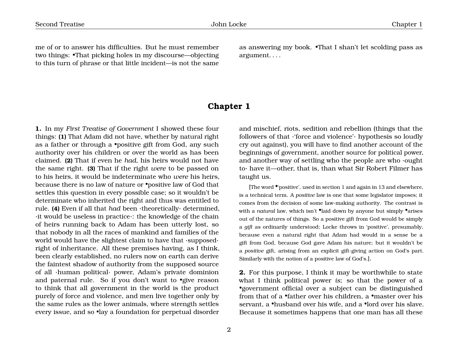me of or to answer his difficulties. But he must remember two things: •That picking holes in my discourse—objecting to this turn of phrase or that little incident—is not the same as answering my book. •That I shan't let scolding pass as argument. . . .

# **Chapter 1**

<span id="page-3-0"></span>**1.** In my *First Treatise of Government* I showed these four things: **(1)** That Adam did not have, whether by natural right as a father or through a •positive gift from God, any such authority over his children or over the world as has been claimed. **(2)** That if even he *had*, his heirs would not have the same right. **(3)** That if the right *were* to be passed on to his heirs, it would be indeterminate who *were* his heirs, because there is no law of nature or •positive law of God that settles this question in every possible case; so it wouldn't be determinate who inherited the right and thus was entitled to rule. **(4)** Even if all that *had* been ·theoretically· determined, ·it would be useless in practice·: the knowledge of the chain of heirs running back to Adam has been utterly lost, so that nobody in all the races of mankind and families of the world would have the slightest claim to have that ·supposed· right of inheritance. All these premises having, as I think, been clearly established, no rulers now on earth can derive the faintest shadow of authority from the supposed source of all ·human political· power, Adam's private dominion and paternal rule. So if you don't want to •give reason to think that all government in the world is the product purely of force and violence, and men live together only by the same rules as the lower animals, where strength settles every issue, and so •lay a foundation for perpetual disorder

and mischief, riots, sedition and rebellion (things that the followers of that ·'force and violence'· hypothesis so loudly cry out against), you will have to find another account of the beginnings of government, another source for political power, and another way of settling who the people are who ·ought to· have it—other, that is, than what Sir Robert Filmer has taught us.

[The word •'positive', used in section 1 and again in 13 and elsewhere, is a technical term. A *positive* law is one that some legislator imposes; it comes from the decision of some law-making authority. The contrast is with a *natural* law, which isn't *•laid down by anyone but simply •arises* out of the natures of things. So a positive gift from God would be simply a *gift* as ordinarily understood; Locke throws in 'positive', presumably, because even a natural right that Adam had would in a sense be a gift from God, because God gave Adam his nature; but it wouldn't be a *positive* gift, arising from an explicit gift-giving action on God's part. Similarly with the notion of a positive law of God's.].

**2.** For this purpose, I think it may be worthwhile to state what I think political power *is*; so that the power of a •government official over a subject can be distinguished from that of a •father over his children, a •master over his servant, a •husband over his wife, and a •lord over his slave. Because it sometimes happens that one man has all these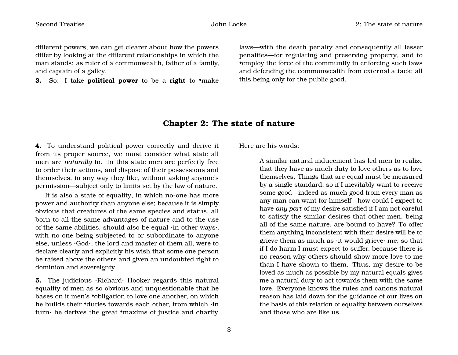different powers, we can get clearer about how the powers differ by looking at the different relationships in which the man stands: as ruler of a commonwealth, father of a family, and captain of a galley.

**3.** So: I take **political power** to be a **right** to •make

laws—with the death penalty and consequently all lesser penalties—for regulating and preserving property, and to •employ the force of the community in enforcing such laws and defending the commonwealth from external attack; all this being only for the public good.

### **Chapter 2: The state of nature**

<span id="page-4-0"></span>**4.** To understand political power correctly and derive it from its proper source, we must consider what state all men are *naturally* in. In this state men are perfectly free to order their actions, and dispose of their possessions and themselves, in any way they like, without asking anyone's permission—subject only to limits set by the law of nature.

It is also a state of equality, in which no-one has more power and authority than anyone else; because it is simply obvious that creatures of the same species and status, all born to all the same advantages of nature and to the use of the same abilities, should also be equal ·in other ways·, with no-one being subjected to or subordinate to anyone else, unless ·God·, the lord and master of them all, were to declare clearly and explicitly his wish that some one person be raised above the others and given an undoubted right to dominion and sovereignty

**5.** The judicious ·Richard· Hooker regards this natural equality of men as so obvious and unquestionable that he bases on it men's •obligation to love one another, on which he builds their •duties towards each other, from which ·in turn $\cdot$  he derives the great •maxims of justice and charity. Here are his words:

A similar natural inducement has led men to realize that they have as much duty to love others as to love themselves. Things that are equal must be measured by a single standard; so if I inevitably want to receive some good—indeed as much good from every man as any man can want for himself—how could I expect to have *any part* of my desire satisfied if I am not careful to satisfy the similar desires that other men, being all of the same nature, are bound to have? To offer them anything inconsistent with their desire will be to grieve them as much as ·it would grieve· me; so that if I do harm I must expect to suffer, because there is no reason why others should show more love to me than I have shown to them. Thus, my desire to be loved as much as possible by my natural equals gives me a natural duty to act towards them with the same love. Everyone knows the rules and canons natural reason has laid down for the guidance of our lives on the basis of this relation of equality between ourselves and those who are like us.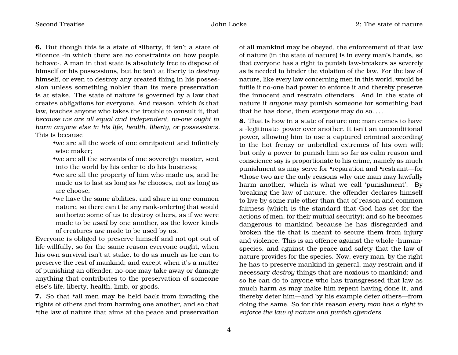**6.** But though this is a state of •liberty, it isn't a state of •licence ·in which there are *no* constraints on how people behave·. A man in that state is absolutely free to dispose of himself or his possessions, but he isn't at liberty to *destroy* himself, or even to destroy any created thing in his possession unless something nobler than its mere preservation is at stake. The state of nature is governed by a law that creates obligations for everyone. And reason, which *is* that law, teaches anyone who takes the trouble to consult it, that *because we are all equal and independent, no-one ought to harm anyone else in his life, health, liberty, or possessions*. This is because

•we are all the work of one omnipotent and infinitely wise maker;

•we are all the servants of one sovereign master, sent into the world by his order to do his business;

•we are all the property of him who made us, and he made us to last as long as *he* chooses, not as long as *we* choose;

•we have the same abilities, and share in one common nature, so there can't be any rank-ordering that would authorize some of us to destroy others, as if we were made to be *used* by one another, as the lower kinds of creatures *are* made to be used by us.

Everyone is obliged to preserve himself and not opt out of life willfully, so for the same reason everyone ought, when his own survival isn't at stake, to do as much as he can to preserve the rest of mankind; and except when it's a matter of punishing an offender, no-one may take away or damage anything that contributes to the preservation of someone else's life, liberty, health, limb, or goods.

**7.** So that •all men may be held back from invading the rights of others and from harming one another, and so that •the law of nature that aims at the peace and preservation

of all mankind may be obeyed, the enforcement of that law of nature (in the state of nature) is in every man's hands, so that everyone has a right to punish law-breakers as severely as is needed to hinder the violation of the law. For the law of nature, like every law concerning men in this world, would be futile if no-one had power to enforce it and thereby preserve the innocent and restrain offenders. And in the state of nature if *anyone* may punish someone for something bad that he has done, then *everyone* may do so. . . .

**8.** That is how in a state of nature one man comes to have a ·legitimate· power over another. It isn't an unconditional power, allowing him to use a captured criminal according to the hot frenzy or unbridled extremes of his own will; but only a power to punish him so far as calm reason and conscience say is proportionate to his crime, namely as much punishment as may serve for •reparation and •restraint—for •those two are the only reasons why one man may lawfully harm another, which is what we call 'punishment'. By breaking the law of nature, the offender declares himself to live by some rule other than that of reason and common fairness (which is the standard that God has set for the actions of men, for their mutual security); and so he becomes dangerous to mankind because he has disregarded and broken the tie that is meant to secure them from injury and violence. This is an offence against the whole ·human· species, and against the peace and safety that the law of nature provides for the species. Now, every man, by the right he has to preserve mankind in general, may restrain and if necessary *destroy* things that are noxious to mankind; and so he can do to anyone who has transgressed that law as much harm as may make him repent having done it, and thereby deter him—and by his example deter others—from doing the same. So for this reason *every man has a right to enforce the law of nature and punish offenders*.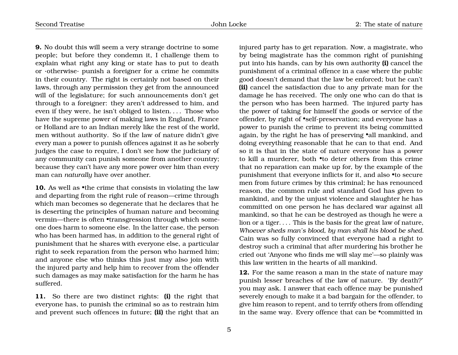**9.** No doubt this will seem a very strange doctrine to some people; but before they condemn it, I challenge them to explain what right any king or state has to put to death or ·otherwise· punish a foreigner for a crime he commits in their country. The right is certainly not based on their laws, through any permission they get from the announced will of the legislature; for such announcements don't get through to a foreigner: they aren't addressed to him, and even if they were, he isn't obliged to listen.... Those who have the supreme power of making laws in England, France or Holland are to an Indian merely like the rest of the world, men without authority. So if the law of nature didn't give every man a power to punish offences against it as he soberly judges the case to require, I don't see how the judiciary of any community can punish someone from another country; because they can't have any more power over him than every man can *naturally* have over another.

10. As well as •the crime that consists in violating the law and departing from the right rule of reason—crime through which man becomes so degenerate that he declares that he is deserting the principles of human nature and becoming vermin—there is often •transgression through which someone does harm to someone else. In the latter case, the person who has been harmed has, in addition to the general right of punishment that he shares with everyone else, a particular right to seek reparation from the person who harmed him; and anyone else who thinks this just may also join with the injured party and help him to recover from the offender such damages as may make satisfaction for the harm he has suffered.

**11.** So there are two distinct rights: **(i)** the right that everyone has, to punish the criminal so as to restrain him and prevent such offences in future; **(ii)** the right that an injured party has to get reparation. Now, a magistrate, who by being magistrate has the common right of punishing put into his hands, can by his own authority **(i)** cancel the punishment of a criminal offence in a case where the public good doesn't demand that the law be enforced; but he can't **(ii)** cancel the satisfaction due to any private man for the damage he has received. The only one who can do that is the person who has been harmed. The injured party has the power of taking for himself the goods or service of the offender, by right of •self-preservation; and everyone has a power to punish the crime to prevent its being committed again, by the right he has of preserving •all mankind, and doing everything reasonable that he can to that end. And so it is that in the state of nature everyone has a power to kill a murderer, both •to deter others from this crime that no reparation can make up for, by the example of the punishment that everyone inflicts for it, and also •to secure men from future crimes by this criminal; he has renounced reason, the common rule and standard God has given to mankind, and by the unjust violence and slaughter he has committed on one person he has declared war against all mankind, so that he can be destroyed as though he were a lion or a tiger. . . . This is the basis for the great law of nature, *Whoever sheds man's blood, by man shall his blood be shed*. Cain was so fully convinced that everyone had a right to destroy such a criminal that after murdering his brother he cried out 'Anyone who finds me will slay me'—so plainly was this law written in the hearts of all mankind.

**12.** For the same reason a man in the state of nature may punish lesser breaches of the law of nature. 'By death?' you may ask. I answer that each offence may be punished severely enough to make it a bad bargain for the offender, to give him reason to repent, and to terrify others from offending in the same way. Every offence that can be •committed in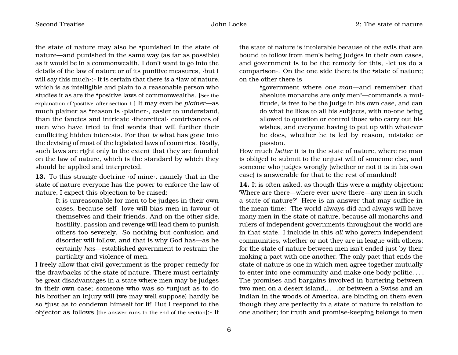the state of nature may also be •punished in the state of nature—and punished in the same way (as far as possible) as it would be in a commonwealth. I don't want to go into the details of the law of nature or of its punitive measures, ·but I will say this much·:- It is certain that there *is* a •law of nature, which is as intelligible and plain to a reasonable person who studies it as are the •positive laws of commonwealths. [See the explanation of 'positive' after section 1.] It may even be *plainer*—as much plainer as •reason is ·plainer·, easier to understand, than the fancies and intricate ·theoretical· contrivances of men who have tried to find words that will further their conflicting hidden interests. For that *is* what has gone into the devising of most of the legislated laws of countries. Really, such laws are right only to the extent that they are founded on the law of nature, which is the standard by which they should be applied and interpreted.

**13.** To this strange doctrine ·of mine·, namely that in the state of nature everyone has the power to enforce the law of nature, I expect this objection to be raised:

> It is unreasonable for men to be judges in their own cases, because self- love will bias men in favour of themselves and their friends. And on the other side, hostility, passion and revenge will lead them to punish others too severely. So nothing but confusion and disorder will follow, and that is why God has—as he certainly *has*—established government to restrain the partiality and violence of men.

I freely allow that civil government is the proper remedy for the drawbacks of the state of nature. There must certainly be great disadvantages in a state where men may be judges in their own case; someone who was so •unjust as to do his brother an injury will (we may well suppose) hardly be so •just as to condemn himself for it! But I respond to the objector as follows [the answer runs to the end of the section]:- If

the state of nature is intolerable because of the evils that are bound to follow from men's being judges in their own cases, and government is to be the remedy for this, ·let us do a comparison  $\cdot$ . On the one side there is the •state of nature; on the other there is

> •government where *one man*—and remember that absolute monarchs are only men!—commands a multitude, is free to be the judge in his own case, and can do what he likes to all his subjects, with no-one being allowed to question or control those who carry out his wishes, and everyone having to put up with whatever he does, whether he is led by reason, mistake or passion.

How much *better* it is in the state of nature, where no man is obliged to submit to the unjust will of someone else, and someone who judges wrongly (whether or not it is in his own case) is answerable for that to the rest of mankind!

**14.** It is often asked, as though this were a mighty objection: 'Where are there—where ever *were* there—any men in such a state of nature?' Here is an answer that may suffice in the mean time:- The world always did and always will have many men in the state of nature, because all monarchs and rulers of independent governments throughout the world are in that state. I include in this *all* who govern independent communities, whether or not they are in league with others; for the state of nature between men isn't ended just by their making a pact with one another. The only pact that ends the state of nature is one in which men agree together mutually to enter into one community and make one body politic. . . . The promises and bargains involved in bartering between two men on a desert island,. . . .or between a Swiss and an Indian in the woods of America, are binding on them even though they are perfectly in a state of nature in relation to one another; for truth and promise-keeping belongs to men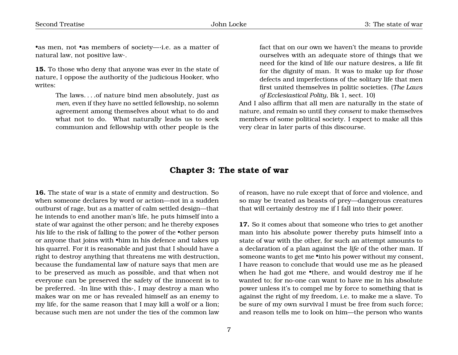•as men, not •as members of society— $\cdot$ i.e. as a matter of natural law, not positive law·.

**15.** To those who deny that anyone was ever in the state of nature, I oppose the authority of the judicious Hooker, who writes:

> The laws. . . .of nature bind men absolutely, just *as men*, even if they have no settled fellowship, no solemn agreement among themselves about what to do and what not to do. What naturally leads us to seek communion and fellowship with other people is the

fact that on our own we haven't the means to provide ourselves with an adequate store of things that we need for the kind of life our nature desires, a life fit for the dignity of man. It was to make up for *those* defects and imperfections of the solitary life that men first united themselves in politic societies. (*The Laws of Ecclesiastical Polity*, Bk 1, sect. 10)

And I also affirm that all men are naturally in the state of nature, and remain so until they *consent* to make themselves members of some political society. I expect to make all this very clear in later parts of this discourse.

### **Chapter 3: The state of war**

<span id="page-8-0"></span>**16.** The state of war is a state of enmity and destruction. So when someone declares by word or action—not in a sudden outburst of rage, but as a matter of calm settled design—that he intends to end another man's life, he puts himself into a state of war against the other person; and he thereby exposes *his* life to the risk of falling to the power of the •other person or anyone that joins with •him in his defence and takes up his quarrel. For it is reasonable and just that I should have a right to destroy anything that threatens me with destruction, because the fundamental law of nature says that men are to be preserved as much as possible, and that when not everyone can be preserved the safety of the innocent is to be preferred. ·In line with this·, I may destroy a man who makes war on me or has revealed himself as an enemy to my life, for the same reason that I may kill a wolf or a lion; because such men are not under the ties of the common law

of reason, have no rule except that of force and violence, and so may be treated as beasts of prey—dangerous creatures that will certainly destroy me if I fall into their power.

**17.** So it comes about that someone who tries to get another man into his absolute power thereby puts himself into a state of war with the other, for such an attempt amounts to a declaration of a plan against the *life* of the other man. If someone wants to get me •into his power without my consent, I have reason to conclude that would use me as he pleased when he had got me •there, and would destroy me if he wanted to; for no-one can want to have me in his absolute power unless it's to compel me by force to something that is against the right of my freedom, i.e. to make me a slave. To be sure of my own survival I must be free from such force; and reason tells me to look on him—the person who wants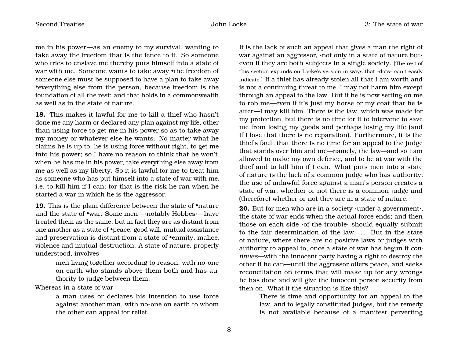me in his power—as an enemy to my survival, wanting to take away the freedom that is the fence to it. So someone who tries to enslave me thereby puts himself into a state of war with me. Someone wants to take away •the freedom of someone else must be supposed to have a plan to take away •everything else from the person, because freedom is the foundation of all the rest; and that holds in a commonwealth as well as in the state of nature.

**18.** This makes it lawful for me to kill a thief who hasn't done me any harm or declared any plan against my life, other than using force to get me in his power so as to take away my money or whatever else he wants. No matter what he claims he is up to, he is using force without right, to get me into his power; so I have no reason to think that he won't, when he has me in his power, take everything else away from me as well as my liberty. So it is lawful for me to treat him as someone who has put himself into a state of war with me, i.e. to kill him if I can; for that is the risk he ran when he started a war in which he is the aggressor.

**19.** This is the plain difference between the state of •nature and the state of •war. Some men—·notably Hobbes·—have treated them as the same; but in fact they are as distant from one another as a state of •peace, good will, mutual assistance and preservation is distant from a state of •enmity, malice, violence and mutual destruction. A state of nature, properly understood, involves

> men living together according to reason, with no-one on earth who stands above them both and has authority to judge between them.

Whereas in a state of war

a man uses or declares his intention to use force against another man, with no-one on earth to whom the other can appeal for relief.

It is the lack of such an appeal that gives a man the right of war against an aggressor, ·not only in a state of nature but· even if they are both subjects in a single society. [The rest of this section expands on Locke's version in ways that ·dots· can't easily indicate.] If a thief has already stolen all that I am worth and is not a continuing threat to me, I may not harm him except through an appeal to the law. But if he is now setting on me to rob me—even if it's just my horse or my coat that he is after—I may kill him. There *is* the law, which was made for my protection, but there is no time for it to intervene to save me from losing my goods and perhaps losing my life (and if I lose that there is no reparation). Furthermore, it is the thief's fault that there is no time for an appeal to the judge that stands over him and me—namely, the law—and so I am allowed to make my own defence, and to be at war with the thief and to kill him if I can. What puts men into a state of nature is the lack of a common judge who has authority; the use of unlawful force against a man's person creates a state of war, whether or not there is a common judge and (therefore) whether or not they are in a state of nature.

**20.** But for men who are in a society ·under a government·, the state of war ends when the actual force ends; and then those on each side ·of the trouble· should equally submit to the fair determination of the law.... But in the state of nature, where there are no positive laws or judges with authority to appeal to, once a state of war has begun it *continues*—with the innocent party having a right to destroy the other if he can—until the aggressor offers peace, and seeks reconciliation on terms that will make up for any wrongs he has done and will give the innocent person security from then on. What if the situation is like this?

> There is time and opportunity for an appeal to the law, and to legally constituted judges, but the remedy is not available because of a manifest perverting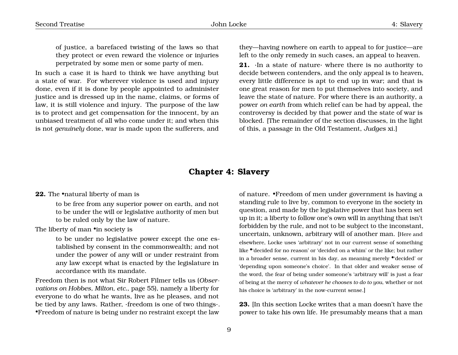of justice, a barefaced twisting of the laws so that they protect or even reward the violence or injuries perpetrated by some men or some party of men.

In such a case it is hard to think we have anything but a state of war. For wherever violence is used and injury done, even if it is done by people appointed to administer justice and is dressed up in the name, claims, or forms of law, it is still violence and injury. The purpose of the law is to protect and get compensation for the innocent, by an unbiased treatment of all who come under it; and when this is not *genuinely* done, war is made upon the sufferers, and

they—having nowhere on earth to appeal to for justice—are left to the only remedy in such cases, an appeal to heaven.

**21.** ·In a state of nature· where there is no authority to decide between contenders, and the only appeal is to heaven, every little difference is apt to end up in war; and that is one great reason for men to put themselves into society, and leave the state of nature. For where there is an authority, a power *on earth* from which relief can be had by appeal, the controversy is decided by that power and the state of war is blocked. [The remainder of the section discusses, in the light of this, a passage in the Old Testament, *Judges* xi.]

### **Chapter 4: Slavery**

#### <span id="page-10-0"></span>**22.** The •natural liberty of man is

to be free from any superior power on earth, and not to be under the will or legislative authority of men but to be ruled only by the law of nature.

The liberty of man •in society is

to be under no legislative power except the one established by consent in the commonwealth; and not under the power of any will or under restraint from any law except what is enacted by the legislature in accordance with its mandate.

Freedom then is not what Sir Robert Filmer tells us (*Observations on Hobbes, Milton, etc.*, page 55), namely a liberty for everyone to do what he wants, live as he pleases, and not be tied by any laws. Rather, ·freedom is one of two things·. •Freedom of nature is being under no restraint except the law

of nature. •Freedom of men under government is having a standing rule to live by, common to everyone in the society in question, and made by the legislative power that has been set up in it; a liberty to follow one's own will in anything that isn't forbidden by the rule, and not to be subject to the inconstant, uncertain, unknown, arbitrary will of another man. [Here and elsewhere, Locke uses 'arbitrary' not in our current sense of something like •'decided for no reason' or 'decided on a whim' or the like; but rather in a broader sense, current in his day, as meaning merely •'decided' or 'depending upon someone's choice'. In that older and weaker sense of the word, the fear of being under someone's 'arbitrary will' is just a fear of being at the mercy of *whatever he chooses to do to you*, whether or not his choice is 'arbitrary' in the now-current sense.]

**23.** [In this section Locke writes that a man doesn't have the power to take his own life. He presumably means that a man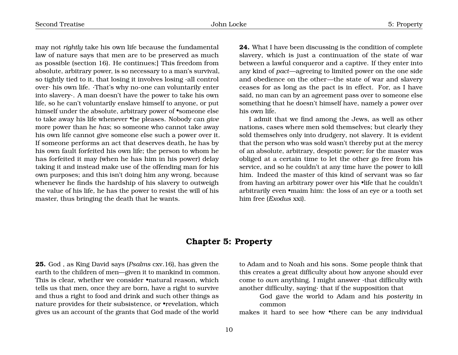may not *rightly* take his own life because the fundamental law of nature says that men are to be preserved as much as possible (section 16). He continues:] This freedom from absolute, arbitrary power, is so necessary to a man's survival, so tightly tied to it, that losing it involves losing ·all control over· his own life. ·That's why no-one can voluntarily enter into slavery·. A man doesn't have the power to take his own life, so he can't voluntarily enslave himself to anyone, or put himself under the absolute, arbitrary power of •someone else to take away his life whenever •he pleases. Nobody can *give* more power than he *has*; so someone who cannot take away his own life cannot give someone else such a power over it. If someone performs an act that deserves death, he has by his own fault forfeited his own life; the person to whom he has forfeited it may (when he has him in his power) delay taking it and instead make use of the offending man for his own purposes; and this isn't doing him any wrong, because whenever he finds the hardship of his slavery to outweigh the value of his life, he has the power to resist the will of his master, thus bringing the death that he wants.

**24.** What I have been discussing is the condition of complete slavery, which is just a continuation of the state of war between a lawful conqueror and a captive. If they enter into any kind of *pact*—agreeing to limited power on the one side and obedience on the other—the state of war and slavery ceases for as long as the pact is in effect. For, as I have said, no man can by an agreement pass over to someone else something that he doesn't himself have, namely a power over his own life.

I admit that we find among the Jews, as well as other nations, cases where men sold themselves; but clearly they sold themselves only into drudgery, not slavery. It is evident that the person who was sold wasn't thereby put at the mercy of an absolute, arbitrary, despotic power; for the master was obliged at a certain time to let the other go free from his service, and so he couldn't at any time have the power to kill him. Indeed the master of this kind of servant was so far from having an arbitrary power over his •life that he couldn't arbitrarily even •maim him: the loss of an eye or a tooth set him free (*Exodus* xxi).

### **Chapter 5: Property**

<span id="page-11-0"></span>**25.** God , as King David says (*Psalms* cxv.16), has given the earth to the children of men—given it to mankind in common. This is clear, whether we consider •natural reason, which tells us that men, once they are born, have a right to survive and thus a right to food and drink and such other things as nature provides for their subsistence, or •revelation, which gives us an account of the grants that God made of the world

to Adam and to Noah and his sons. Some people think that this creates a great difficulty about how anyone should ever come to *own* anything. I might answer ·that difficulty with another difficulty, saying· that if the supposition that

God gave the world to Adam and his *posterity* in common

makes it hard to see how •there can be any individual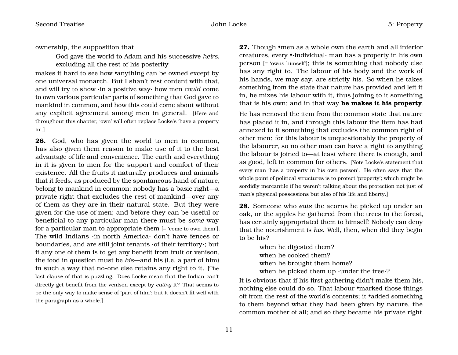ownership, the supposition that

God gave the world to Adam and his successive *heirs*, excluding all the rest of his posterity

makes it hard to see how •anything can be owned except by one universal monarch. But I shan't rest content with that, and will try to show ·in a positive way· how men *could* come to own various particular parts of something that God gave to mankind in common, and how this could come about without any explicit agreement among men in general. [Here and throughout this chapter, 'own' will often replace Locke's 'have a property in'.]

**26.** God, who has given the world to men in common, has also given them reason to make use of it to the best advantage of life and convenience. The earth and everything in it is given to men for the support and comfort of their existence. All the fruits it naturally produces and animals that it feeds, as produced by the spontaneous hand of nature, belong to mankind in common; nobody has a basic right—a private right that excludes the rest of mankind—over any of them as they are in their natural state. But they were given for the use of men; and before they can be useful or beneficial to any particular man there must be *some* way for a particular man to appropriate them [= 'come to own them']. The wild Indians ·in north America· don't have fences or boundaries, and are still joint tenants ·of their territory·; but if any one of them is to get any benefit from fruit or venison, the food in question must be *his*—and his (i.e. a part of him) in such a way that no-one else retains any right to it. [The last clause of that is puzzling. Does Locke mean that the Indian can't directly get benefit from the venison except by *eating* it? That seems to be the only way to make sense of 'part of him'; but it doesn't fit well with the paragraph as a whole.]

**27.** Though •men as a whole own the earth and all inferior creatures, every •·individual· man has a property in his own person [= 'owns himself']; this is something that nobody else has any right to. The labour of his body and the work of his hands, we may say, are strictly *his*. So when he takes something from the state that nature has provided and left it in, he mixes his labour with it, thus joining to it something that is his own; and in that way **he makes it his property**.

He has removed the item from the common state that nature has placed it in, and through this labour the item has had annexed to it something that excludes the common right of other men: for this labour is unquestionably the property of the labourer, so no other man can have a right to anything the labour is joined to—at least where there is enough, and as good, left in common for others. [Note Locke's statement that every man 'has a property in his own person'. He often says that the whole point of political structures is to protect 'property'; which might be sordidly mercantile if he weren't talking about the protection not just of man's physical possessions but also of his life and liberty.]

**28.** Someone who *eats* the acorns he picked up under an oak, or the apples he gathered from the trees in the forest, has certainly appropriated them to himself! Nobody can deny that the nourishment is *his*. Well, then, when did they begin to be his?

> when he digested them? when he cooked them? when he brought them home? when he picked them up ·under the tree·?

It is obvious that if his first gathering didn't make them his, nothing else could do so. That labour •marked those things off from the rest of the world's contents; it •added something to them beyond what they had been given by nature, the common mother of all; and so they became his private right.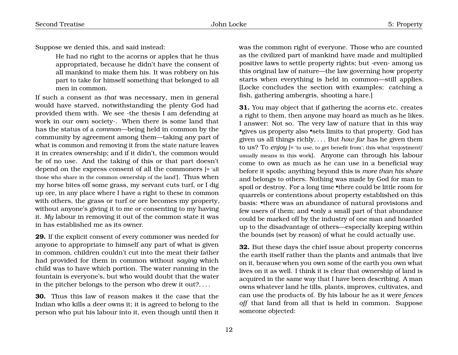Suppose we denied this, and said instead:

He had no right to the acorns or apples that he thus appropriated, because he didn't have the consent of all mankind to make them his. It was robbery on his part to take for himself something that belonged to all men in common.

If such a consent as *that* was necessary, men in general would have starved, notwithstanding the plenty God had provided them with. We see ·the thesis I am defending at work in our own society·. When there is some land that has the status of a *common*—being held in common by the community by agreement among them—taking any part of what is common and removing it from the state nature leaves it in creates ownership; and if it didn't, the common would be of no use. And the taking of this or that part doesn't depend on the express consent of all the commoners [= 'all those who share in the common ownership of the land']. Thus when my horse bites off some grass, my servant cuts turf, or I dig up ore, in any place where I have a right to these in common with others, the grass or turf or ore becomes my property, without anyone's giving it to me or consenting to my having it. *My* labour in removing it out of the common state it was in has established me as its owner.

**29.** If the explicit consent of every commoner was needed for anyone to appropriate to himself any part of what is given in common, children couldn't cut into the meat their father had provided for them in common without *saying* which child was to have which portion. The water running in the fountain is everyone's, but who would doubt that the water in the pitcher belongs to the person who drew it out?. . . .

**30.** Thus this law of reason makes it the case that the Indian who kills a deer owns it; it is agreed to belong to the person who put his labour into it, even though until then it was the common right of everyone. Those who are counted as the civilized part of mankind have made and multiplied positive laws to settle property rights; but ·even· among us this original law of nature—the law governing how property starts when everything is held in common—still applies. [Locke concludes the section with examples: catching a fish, gathering ambergris, shooting a hare.]

**31.** You may object that if gathering the acorns etc. creates a right to them, then anyone may hoard as much as he likes. I answer: Not so. The very law of nature that in this way •gives us property also •sets limits to that property. God has given us all things richly. . . . But *how far* has he given them to us? To *enjoy* [= 'to use, to get benefit from'; this what 'enjoy(ment)' usually means in this work]. Anyone can through his labour come to own as much as he can use in a beneficial way before it spoils; anything beyond this is *more than his share* and belongs to others. Nothing was made by God for man to spoil or destroy. For a long time •there could be little room for quarrels or contentions about property established on this basis: •there was an abundance of natural provisions and few users of them; and •only a small part of that abundance could be marked off by the industry of one man and hoarded up to the disadvantage of others—especially keeping within the bounds (set by reason) of what he could actually use.

**32.** But these days the chief issue about property concerns the earth itself rather than the plants and animals that live on it, because when you own some of the earth you own what lives on it as well. I think it is clear that ownership of land is acquired in the same way that I have been describing. A man owns whatever land he tills, plants, improves, cultivates, and can use the products of. By his labour he as it were *fences off* that land from all that is held in common. Suppose someone objected: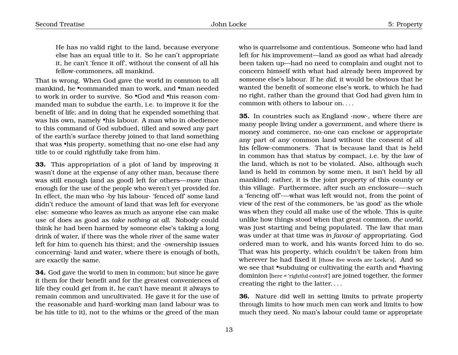He has no valid right to the land, because everyone else has an equal title to it. So he can't appropriate it, he can't 'fence it off', without the consent of all his fellow-commoners, all mankind.

That is wrong. When God gave the world in common to all mankind, he •commanded man to work, and •man needed to work in order to survive. So •God and •his reason commanded man to subdue the earth, i.e. to improve it for the benefit of life; and in doing that he expended something that was his own, namely •his labour. A man who in obedience to this command of God subdued, tilled and sowed any part of the earth's surface thereby joined to that land something that was •his property, something that no-one else had any title to or could rightfully take from him.

**33.** This appropriation of a plot of land by improving it wasn't done at the expense of any other man, because there was still enough (and as good) left for others—*more* than enough for the use of the people who weren't yet provided for. In effect, the man who ·by his labour· 'fenced off' some land didn't reduce the amount of land that was left for everyone else: someone who leaves as much as anyone else can make use of does as good as *take nothing at all*. Nobody could think he had been harmed by someone else's taking a long drink of water, if there was the whole river of the same water left for him to quench his thirst; and the ·ownership issues concerning· land and water, where there is enough of both, are exactly the same.

**34.** God gave the world to men in common; but since he gave it them for their benefit and for the greatest conveniences of life they could get from it, he can't have meant it always to remain common and uncultivated. He gave it for the use of the reasonable and hard-working man (and labour was to be his title to it), not to the whims or the greed of the man

who is quarrelsome and contentious. Someone who had land left for *his* improvement—land as good as what had already been taken up—had no need to complain and ought not to concern himself with what had already been improved by someone else's labour. If he *did*, it would be obvious that he wanted the benefit of someone else's work, to which he had no right, rather than the ground that God had given him in common with others to labour on. . . .

**35.** In countries such as England ·now·, where there are many people living under a government, and where there is money and commerce, no-one can enclose or appropriate any part of any common land without the consent of all his fellow-commoners. That is because land that is held in common has that status by compact, i.e. by the law of the land, which is not to be violated. Also, although such land is held in common by some men, it isn't held by all mankind; rather, it is the joint property of this county or this village. Furthermore, after such an enclosure—·such a 'fencing off'·—what was left would not, from the point of view of the rest of the commoners, be 'as good' as the whole was when they could all make use of the whole. This is quite unlike how things stood when that great common, *the world*, was just starting and being populated. The law that man was under at that time was *in favour of* appropriating. God ordered man to work, and his wants forced him to do so. That was his property, which couldn't be taken from him wherever he had fixed it [those five words are Locke's]. And so we see that •subduing or cultivating the earth and •having dominion [here = 'rightful control'] are joined together, the former creating the right to the latter. . . .

**36.** Nature did well in setting limits to private property through limits to how much men can work and limits to how much they need. No man's labour could tame or appropriate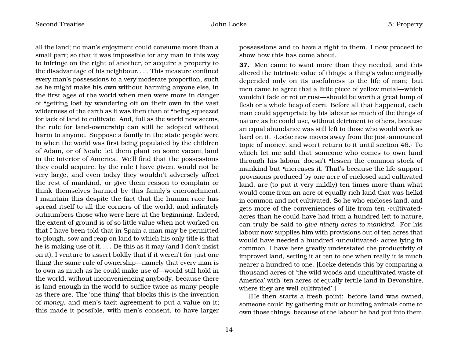all the land; no man's enjoyment could consume more than a small part; so that it was impossible for any man in this way to infringe on the right of another, or acquire a property to the disadvantage of his neighbour. . . . This measure confined every man's possessions to a very moderate proportion, such as he might make his own without harming anyone else, in the first ages of the world when men were more in danger of •getting lost by wandering off on their own in the vast wilderness of the earth as it was then than of •being squeezed for lack of land to cultivate. And, full as the world now seems, the rule for land-ownership can still be adopted without harm to anyone. Suppose a family in the state people were in when the world was first being populated by the children of Adam, or of Noah: let them plant on some vacant land in the interior of America. We'll find that the possessions they could acquire, by the rule I have given, would not be very large, and even today they wouldn't adversely affect the rest of mankind, or give them reason to complain or think themselves harmed by this family's encroachment. I maintain this despite the fact that the human race has spread itself to all the corners of the world, and infinitely outnumbers those who were here at the beginning. Indeed, the extent of ground is of so little value when not worked on that I have been told that in Spain a man may be permitted to plough, sow and reap on land to which his only title is that he is making use of it. . . . Be this as it may (and I don't insist on it), I venture to assert boldly that if it weren't for just one thing the same rule of ownership—namely that every man is to own as much as he could make use of—would still hold in the world, without inconveniencing anybody, because there is land enough in the world to suffice twice as many people as there are. The 'one thing' that blocks this is the invention of *money*, and men's tacit agreement to put a value on it; this made it possible, with men's consent, to have larger

possessions and to have a right to them. I now proceed to show how this has come about.

**37.** Men came to want more than they needed, and this altered the intrinsic value of things: a thing's value originally depended only on its usefulness to the life of man; but men came to agree that a little piece of yellow metal—which wouldn't fade or rot or rust—should be worth a great lump of flesh or a whole heap of corn. Before all that happened, each man could appropriate by his labour as much of the things of nature as he could use, without detriment to others, because an equal abundance was still left to those who would work as hard on it. ·Locke now moves away from the just-announced topic of money, and won't return to it until section 46.· To which let me add that someone who comes to own land through his labour doesn't •lessen the common stock of mankind but •increases it. That's because the life-support provisions produced by one acre of enclosed and cultivated land, are (to put it very mildly) ten times more than what would come from an acre of equally rich land that was helkd in common and not cultivated. So he who encloses land, and gets more of the conveniences of life from ten ·cultivated· acres than he could have had from a hundred left to nature, can truly be said to *give ninety acres to mankind*. For his labour now supplies him with provisions out of ten acres that would have needed a hundred ·uncultivated· acres lying in common. I have here greatly understated the productivity of improved land, setting it at ten to one when really it is much nearer a hundred to one. [Locke defends this by comparing a thousand acres of 'the wild woods and uncultivated waste of America' with 'ten acres of equally fertile land in Devonshire, where they are well cultivated'.]

[He then starts a fresh point: before land was owned, someone could by gathering fruit or hunting animals come to own those things, because of the labour he had put into them.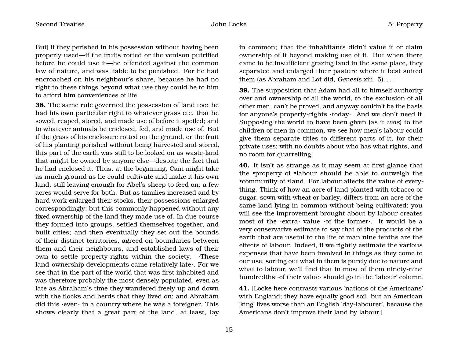But] if they perished in his possession without having been properly used—if the fruits rotted or the venison putrified before he could use it—he offended against the common law of nature, and was liable to be punished. For he had encroached on his neighbour's share, because he had no right to these things beyond what use they could be to him to afford him conveniences of life.

**38.** The same rule governed the possession of land too: he had his own particular right to whatever grass etc. that he sowed, reaped, stored, and made use of before it spoiled; and to whatever animals he enclosed, fed, and made use of. But if the grass of his enclosure rotted on the ground, or the fruit of his planting perished without being harvested and stored, this part of the earth was still to be looked on as waste-land that might be owned by anyone else—despite the fact that he had enclosed it. Thus, at the beginning, Cain might take as much ground as he could cultivate and make it his own land, still leaving enough for Abel's sheep to feed on; a few acres would serve for both. But as families increased and by hard work enlarged their stocks, their possessions enlarged correspondingly; but this commonly happened without any fixed ownership of the land they made use of. In due course they formed into groups, settled themselves together, and built cities; and then eventually they set out the bounds of their distinct territories, agreed on boundaries between them and their neighbours, and established laws of their own to settle property-rights within the society. ·These land-ownership developments came relatively late·. For we see that in the part of the world that was first inhabited and was therefore probably the most densely populated, even as late as Abraham's time they wandered freely up and down with the flocks and herds that they lived on; and Abraham did this ·even· in a country where he was a foreigner. This shows clearly that a great part of the land, at least, lay

in common; that the inhabitants didn't value it or claim ownership of it beyond making use of it. But when there came to be insufficient grazing land in the same place, they separated and enlarged their pasture where it best suited them (as Abraham and Lot did, *Genesis* xiii. 5). . . .

**39.** The supposition that Adam had all to himself authority over and ownership of all the world, to the exclusion of all other men, can't be proved, and anyway couldn't be the basis for anyone's property-rights ·today·. And we don't need it. Supposing the world to have been given (as it *was*) to the children of men in common, we see how men's labour could give them separate titles to different parts of it, for their private uses; with no doubts about who has what rights, and no room for quarrelling.

**40.** It isn't as strange as it may seem at first glance that the •property of •labour should be able to outweigh the •community of •land. For labour affects the value of everything. Think of how an acre of land planted with tobacco or sugar, sown with wheat or barley, differs from an acre of the same land lying in common without being cultivated; you will see the improvement brought about by labour creates most of the ·extra· value ·of the former·. It would be a very conservative estimate to say that of the products of the earth that are useful to the life of man nine tenths are the effects of labour. Indeed, if we rightly estimate the various expenses that have been involved in things as they come to our use, sorting out what in them is purely due to nature and what to labour, we'll find that in most of them ninety-nine hundredths ·of their value· should go in the 'labour' column.

**41.** [Locke here contrasts various 'nations of the Americans' with England; they have equally good soil, but an American 'king' lives worse than an English 'day-labourer', because the Americans don't improve their land by labour.]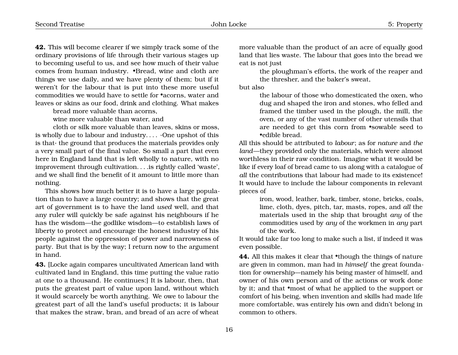**42.** This will become clearer if we simply track some of the ordinary provisions of life through their various stages up to becoming useful to us, and see how much of their value comes from human industry. •Bread, wine and cloth are things we use daily, and we have plenty of them; but if it weren't for the labour that is put into these more useful commodities we would have to settle for •acorns, water and leaves or skins as our food, drink and clothing. What makes

bread more valuable than acorns,

wine more valuable than water, and

cloth or silk more valuable than leaves, skins or moss, is wholly due to labour and industry....  $\cdot$ One upshot of this is that· the ground that produces the materials provides only a very small part of the final value. So small a part that even here in England land that is left wholly to nature, with no improvement through cultivation. . . .is rightly called 'waste', and we shall find the benefit of it amount to little more than nothing.

This shows how much better it is to have a large population than to have a large country; and shows that the great art of government is to have the land *used* well, and that any ruler will quickly be safe against his neighbours if he has the wisdom—the godlike wisdom—to establish laws of liberty to protect and encourage the honest industry of his people against the oppression of power and narrowness of party. But that is by the way; I return now to the argument in hand.

**43.** [Locke again compares uncultivated American land with cultivated land in England, this time putting the value ratio at one to a thousand. He continues:] It is labour, then, that puts the greatest part of value upon land, without which it would scarcely be worth anything. We owe to labour the greatest part of all the land's useful products; it is labour that makes the straw, bran, and bread of an acre of wheat more valuable than the product of an acre of equally good land that lies waste. The labour that goes into the bread we eat is not just

the ploughman's efforts, the work of the reaper and the thresher, and the baker's sweat,

but also

the labour of those who domesticated the oxen, who dug and shaped the iron and stones, who felled and framed the timber used in the plough, the mill, the oven, or any of the vast number of other utensils that are needed to get this corn from •sowable seed to •edible bread.

All this should be attributed to *labour*; as for *nature* and *the land*—they provided only the materials, which were almost worthless in their raw condition. Imagine what it would be like if every loaf of bread came to us along with a catalogue of *all* the contributions that labour had made to its existence! It would have to include the labour components in relevant pieces of

iron, wood, leather, bark, timber, stone, bricks, coals, lime, cloth, dyes, pitch, tar, masts, ropes, and *all* the materials used in the ship that brought *any* of the commodities used by *any* of the workmen in *any* part of the work.

It would take far too long to make such a list, if indeed it was even possible.

**44.** All this makes it clear that •though the things of nature are given in common, man had in *himself* the great foundation for ownership—namely his being master of himself, and owner of his own person and of the actions or work done by it; and that •most of what he applied to the support or comfort of his being, when invention and skills had made life more comfortable, was entirely his own and didn't belong in common to others.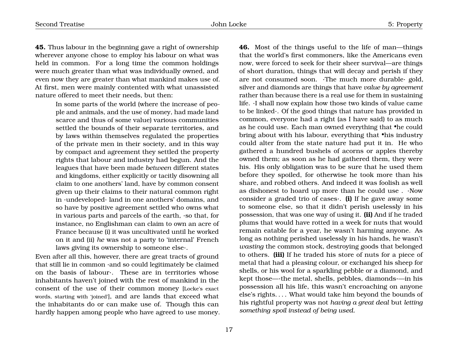**45.** Thus labour in the beginning gave a right of ownership wherever anyone chose to employ his labour on what was held in common. For a long time the common holdings were much greater than what was individually owned, and even now they are greater than what mankind makes use of. At first, men were mainly contented with what unassisted nature offered to meet their needs, but then:

> In some parts of the world (where the increase of people and animals, and the use of money, had made land scarce and thus of some value) various communities settled the bounds of their separate territories, and by laws within themselves regulated the properties of the private men in their society, and in this way by compact and agreement they settled the property rights that labour and industry had begun. And the leagues that have been made *between* different states and kingdoms, either explicitly or tacitly disowning all claim to one anothers' land, have by common consent given up their claims to their natural common right in ·undeveloped· land in one anothers' domains, and so have by positive agreement settled who owns what in various parts and parcels of the earth, ·so that, for instance, no Englishman can claim to own an acre of France because (i) it was uncultivated until he worked on it and (ii) *he* was not a party to 'internal' French laws giving its ownership to someone else·.

Even after all this, however, there are great tracts of ground that still lie in common ·and so could legitimately be claimed on the basis of labour·. These are in territories whose inhabitants haven't joined with the rest of mankind in the consent of the use of their common money [Locke's exact words, starting with 'joined'], and are lands that exceed what the inhabitants do or can make use of. Though this can hardly happen among people who have agreed to use money. **46.** Most of the things useful to the life of man—things that the world's first commoners, like the Americans even now, were forced to seek for their sheer survival—are things of short duration, things that will decay and perish if they are not consumed soon. ·The much more durable· gold, silver and diamonds are things that have *value by agreement* rather than because there is a real use for them in sustaining life. ·I shall now explain how those two kinds of value came to be linked·. Of the good things that nature has provided in common, everyone had a right (as I have said) to as much as he could use. Each man owned everything that •he could bring about with his labour, everything that •his industry could alter from the state nature had put it in. He who gathered a hundred bushels of acorns or apples thereby owned them; as soon as he had gathered them, they were his. His only obligation was to be sure that he used them before they spoiled, for otherwise he took more than his share, and robbed others. And indeed it was foolish as well as dishonest to hoard up more than he could use . ·Now consider a graded trio of cases·. **(i)** If he gave away some to someone else, so that it didn't perish uselessly in his possession, that was one way of using it. **(ii)** And if he traded plums that would have rotted in a week for nuts that would remain eatable for a year, he wasn't harming anyone. As long as nothing perished uselessly in his hands, he wasn't *wasting* the common stock, destroying goods that belonged to others. **(iii)** If he traded his store of nuts for a piece of metal that had a pleasing colour, or exchanged his sheep for shells, or his wool for a sparkling pebble or a diamond, and kept those—·the metal, shells, pebbles, diamonds·—in his possession all his life, this wasn't encroaching on anyone else's rights. . . . What would take him beyond the bounds of his rightful property was not *having a great deal* but *letting something spoil instead of being used.*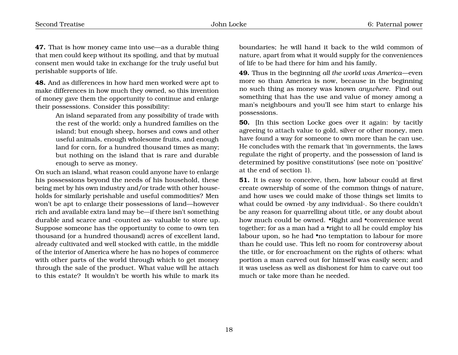**47.** That is how money came into use—as a durable thing that men could keep without its spoiling, and that by mutual consent men would take in exchange for the truly useful but perishable supports of life.

**48.** And as differences in how hard men worked were apt to make differences in how much they owned, so this invention of money gave them the opportunity to continue and enlarge their possessions. Consider this possibility:

> An island separated from any possibility of trade with the rest of the world; only a hundred families on the island; but enough sheep, horses and cows and other useful animals, enough wholesome fruits, and enough land for corn, for a hundred thousand times as many; but nothing on the island that is rare and durable enough to serve as money.

On such an island, what reason could anyone have to enlarge his possessions beyond the needs of his household, these being met by his own industry and/or trade with other households for similarly perishable and useful commodities? Men won't be apt to enlarge their possessions of land—however rich and available extra land may be—if there isn't something durable and scarce and ·counted as· valuable to store up. Suppose someone has the opportunity to come to own ten thousand (or a hundred thousand) acres of excellent land, already cultivated and well stocked with cattle, in the middle of the interior of America where he has no hopes of commerce with other parts of the world through which to get money through the sale of the product. What value will he attach to this estate? It wouldn't be worth his while to mark its

boundaries; he will hand it back to the wild common of nature, apart from what it would supply for the conveniences of life to be had there for him and his family.

**49.** Thus in the beginning *all the world was America*—even more so than America is now, because in the beginning no such thing as money was known *anywhere*. Find out something that has the use and value of money among a man's neighbours and you'll see him start to enlarge his possessions.

**50.** [In this section Locke goes over it again: by tacitly agreeing to attach value to gold, silver or other money, men have found a way for someone to own more than he can use. He concludes with the remark that 'in governments, the laws regulate the right of property, and the possession of land is determined by positive constitutions' (see note on 'positive' at the end of section 1).

**51.** It is easy to conceive, then, how labour could at first create ownership of some of the common things of nature, and how uses we could make of those things set limits to what could be owned ·by any individual·. So there couldn't be any reason for quarrelling about title, or any doubt about how much could be owned. •Right and •convenience went together; for as a man had a •right to all he could employ his labour upon, so he had •no temptation to labour for more than he could use. This left no room for controversy about the title, or for encroachment on the rights of others: what portion a man carved out for himself was easily seen; and it was useless as well as dishonest for him to carve out too much or take more than he needed.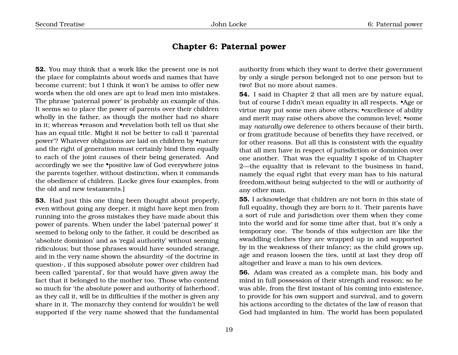### **Chapter 6: Paternal power**

<span id="page-20-0"></span>**52.** You may think that a work like the present one is not the place for complaints about words and names that have become current; but I think it won't be amiss to offer new words when the old ones are apt to lead men into mistakes. The phrase 'paternal power' is probably an example of this. It seems so to place the power of parents over their children wholly in the father, as though the mother had no share in it; whereas •reason and •revelation both tell us that she has an equal title. Might it not be better to call it 'parental power'? Whatever obligations are laid on children by •nature and the right of generation must certainly bind them equally to each of the joint causes of their being generated. And accordingly we see the •positive law of God everywhere joins the parents together, without distinction, when it commands the obedience of children. [Locke gives four examples, from the old and new testaments.]

**53.** Had just this one thing been thought about properly, even without going any deeper, it might have kept men from running into the gross mistakes they have made about this power of parents. When under the label 'paternal power' it seemed to belong only to the father, it could be described as 'absolute dominion' and as 'regal authority' without seeming ridiculous; but those phrases would have sounded strange, and in the very name shown the absurdity ·of the doctrine in question·, if this supposed absolute power over children had been called 'parental', for that would have given away the fact that it belonged to the mother too. Those who contend so much for 'the absolute power and authority of fatherhood', as they call it, will be in difficulties if the mother is given any share in it. The monarchy they contend for wouldn't be well supported if the very name showed that the fundamental

authority from which they want to derive their government by only a single person belonged not to one person but to two! But no more about names.

**54.** I said in Chapter 2 that all men are by nature equal, but of course I didn't mean equality in all respects. •Age or virtue may put some men above others; •excellence of ability and merit may raise others above the common level; •some may *naturally* owe deference to others because of their birth, or from gratitude because of benefits they have received, or for other reasons. But all this is consistent with the equality that all men have in respect of jurisdiction or dominion over one another. That was the equality I spoke of in Chapter 2—the equality that is relevant to the business in hand, namely the equal right that every man has to his natural freedom,without being subjected to the will or authority of any other man.

**55.** I acknowledge that children are not born *in* this state of full equality, though they are born *to* it. Their parents have a sort of rule and jurisdiction over them when they come into the world and for some time after that, but it's only a temporary one. The bonds of this subjection are like the swaddling clothes they are wrapped up in and supported by in the weakness of their infancy; as the child grows up, age and reason loosen the ties, until at last they drop off altogether and leave a man to his own devices.

**56.** Adam was created as a complete man, his body and mind in full possession of their strength and reason; so he was able, from the first instant of his coming into existence, to provide for his own support and survival, and to govern his actions according to the dictates of the law of reason that God had implanted in him. The world has been populated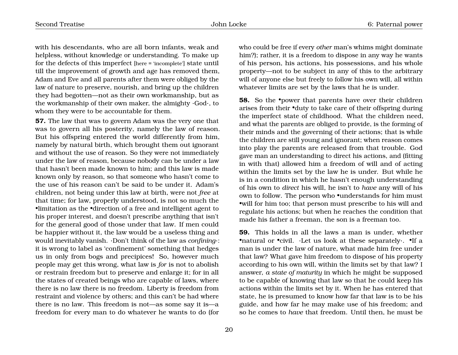with his descendants, who are all born infants, weak and helpless, without knowledge or understanding. To make up for the defects of this imperfect [here = 'incomplete'] state until till the improvement of growth and age has removed them, Adam and Eve and all parents after them were obliged by the law of nature to preserve, nourish, and bring up the children they had begotten—not as their own workmanship, but as the workmanship of their own maker, the almighty ·God·, to whom they were to be accountable for them.

**57.** The law that was to govern Adam was the very one that was to govern all his posterity, namely the law of reason. But his offspring entered the world differently from him, namely by natural birth, which brought them out ignorant and without the use of reason. So they were not immediately under the law of reason, because nobody can be under a law that hasn't been made known to him; and this law is made known only by reason, so that someone who hasn't come to the use of his reason can't be said to be under it. Adam's children, not being under this law at birth, were not *free* at that time; for law, properly understood, is not so much the •limitation as the •direction of a free and intelligent agent to his proper interest, and doesn't prescribe anything that isn't for the general good of those under that law. If men could be happier without it, the law would be a useless thing and would inevitably vanish. ·Don't think of the law as *confining*·: it is wrong to label as 'confinement' something that hedges us in only from bogs and precipices! So, however much people may get this wrong, what law is *for* is not to abolish or restrain freedom but to preserve and enlarge it; for in all the states of created beings who are capable of laws, where there is no law there is no freedom. Liberty is freedom from restraint and violence by others; and this can't be had where there is no law. This freedom is not—as some say it is—a freedom for every man to do whatever he wants to do (for

who could be free if every *other* man's whims might dominate him?); rather, it is a freedom to dispose in any way he wants of his person, his actions, his possessions, and his whole property—not to be subject in any of this to the arbitrary will of anyone else but freely to follow his own will, all within whatever limits are set by the laws that he is under.

**58.** So the •power that parents have over their children arises from their •duty to take care of their offspring during the imperfect state of childhood. What the children need, and what the parents are obliged to provide, is the forming of their minds and the governing of their actions; that is while the children are still young and ignorant; when reason comes into play the parents are released from that trouble. God gave man an understanding to direct his actions, and (fitting in with that) allowed him a freedom of will and of acting within the limits set by the law he is under. But while he is in a condition in which he hasn't enough understanding of his own to *direct* his will, he isn't to *have* any will of his own to follow. The person who •understands for him must •will for him too; that person must prescribe to his will and regulate his actions; but when he reaches the condition that made his father a freeman, the son is a freeman too.

**59.** This holds in all the laws a man is under, whether •natural or •civil. ·Let us look at these separately ·. •If a man is under the law of nature, what made him free under that law? What gave him freedom to dispose of his property according to his own will, within the limits set by that law? I answer, *a state of maturity* in which he might be supposed to be capable of knowing that law so that he could keep his actions within the limits set by it. When he has entered that state, he is presumed to know how far that law is to be his guide, and how far he may make use of his freedom; and so he comes to *have* that freedom. Until then, he must be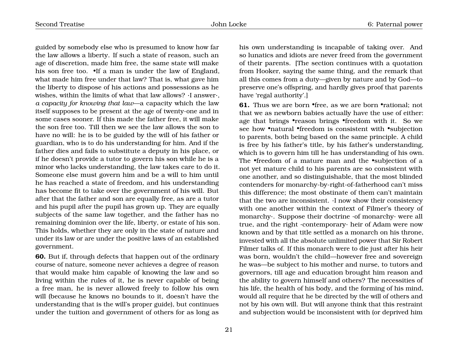guided by somebody else who is presumed to know how far the law allows a liberty. If such a state of reason, such an age of discretion, made him free, the same state will make his son free too. If a man is under the law of England, what made him free under that law? That is, what gave him the liberty to dispose of his actions and possessions as he wishes, within the limits of what that law allows? ·I answer·, *a capacity for knowing that law*—a capacity which the law itself supposes to be present at the age of twenty-one and in some cases sooner. If this made the father free, it will make the son free too. Till then we see the law allows the son to have no will: he is to be guided by the will of his father or guardian, who is to do his understanding for him. And if the father dies and fails to substitute a deputy in his place, or if he doesn't provide a tutor to govern his son while he is a minor who lacks understanding, the law takes care to do it. Someone else must govern him and be a will to him until he has reached a state of freedom, and his understanding has become fit to take over the government of his will. But after that the father and son are equally free, as are a tutor and his pupil after the pupil has grown up. They are equally subjects of the same law together, and the father has no remaining dominion over the life, liberty, or estate of his son. This holds, whether they are only in the state of nature and under its law or are under the positive laws of an established government.

**60.** But if, through defects that happen out of the ordinary course of nature, someone never achieves a degree of reason that would make him capable of knowing the law and so living within the rules of it, he is never capable of being a free man, he is never allowed freely to follow his own will (because he knows no bounds to it, doesn't have the understanding that is the will's proper guide), but continues under the tuition and government of others for as long as

his own understanding is incapable of taking over. And so lunatics and idiots are never freed from the government of their parents. [The section continues with a quotation from Hooker, saying the same thing, and the remark that all this comes from a duty—given by nature and by God—to preserve one's offspring, and hardly gives proof that parents have 'regal authority'.]

**61.** Thus we are born •free, as we are born •rational; not that we as newborn babies actually have the use of either: age that brings •reason brings •freedom with it. So we see how •natural •freedom is consistent with •subjection to parents, both being based on the same principle. A child is free by his father's title, by his father's understanding, which is to govern him till he has understanding of his own. The •freedom of a mature man and the •subjection of a not yet mature child to his parents are so consistent with one another, and so distinguishable, that the most blinded contenders for monarchy-by-right-of-fatherhood can't miss this difference; the most obstinate of them can't maintain that the two are inconsistent. ·I now show their consistency with one another within the context of Filmer's theory of monarchy·. Suppose their doctrine ·of monarchy· were all true, and the right ·contemporary· heir of Adam were now known and by that title settled as a monarch on his throne, invested with all the absolute unlimited power that Sir Robert Filmer talks of. If this monarch were to die just after his heir was born, wouldn't the child—however free and sovereign he was—be subject to his mother and nurse, to tutors and governors, till age and education brought him reason and the ability to govern himself and others? The necessities of his life, the health of his body, and the forming of his mind, would all require that he be directed by the will of others and not by his own will. But will anyone think that this restraint and subjection would be inconsistent with (or deprived him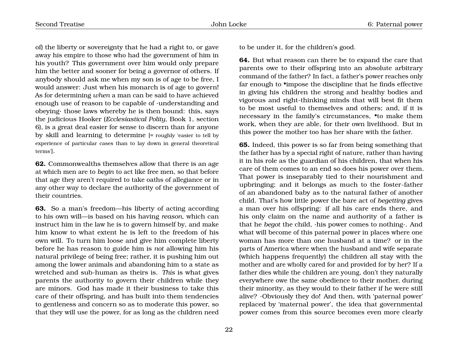of) the liberty or sovereignty that he had a right to, or gave away his empire to those who had the government of him in his youth? This government over him would only prepare him the better and sooner for being a governor of others. If anybody should ask me when my son is of age to be free, I would answer: Just when his monarch is of age to govern! As for determining *when* a man can be said to have achieved enough use of reason to be capable of ·understanding and obeying· those laws whereby he is then bound: this, says the judicious Hooker (*Ecclesiastical Polity*, Book 1, section 6), is a great deal easier for sense to discern than for anyone by skill and learning to determine [= roughly 'easier to tell by experience of particular cases than to lay down in general theoretical terms'].

**62.** Commonwealths themselves allow that there is an age at which men are to *begin* to act like free men, so that before that age they aren't required to take oaths of allegiance or in any other way to declare the authority of the government of their countries.

**63.** So a man's freedom—his liberty of acting according to his own will—is based on his having *reason*, which can instruct him in the law he is to govern himself by, and make him know to what extent he is left to the freedom of his own will. To turn him loose and give him complete liberty before he has reason to guide him is *not* allowing him his natural privilege of being free; rather, it is pushing him out among the lower animals and abandoning him to a state as wretched and sub-human as theirs is. *This* is what gives parents the authority to govern their children while they are minors. God has made it their business to take this care of their offspring, and has built into them tendencies to gentleness and concern so as to moderate this power, so that they will use the power, for as long as the children need

to be under it, for the children's good.

**64.** But what reason can there be to expand the care that parents owe to their offspring into an absolute arbitrary command of the father? In fact, a father's power reaches only far enough to •impose the discipline that he finds effective in giving his children the strong and healthy bodies and vigorous and right-thinking minds that will best fit them to be most useful to themselves and others; and, if it is necessary in the family's circumstances, •to make them work, when they are able, for their own livelihood. But in this power the mother too has her share with the father.

**65.** Indeed, this power is so far from being something that the father has by a special right of nature, rather than having it in his role as the guardian of his children, that when his care of them comes to an end so does his power over them. That power is inseparably tied to their nourishment and upbringing; and it belongs as much to the foster-father of an abandoned baby as to the natural father of another child. That's how little power the bare act of *begetting* gives a man over his offspring: if all his care ends there, and his only claim on the name and authority of a father is that he *begot* the child, ·his power comes to nothing·. And what will become of this paternal power in places where one woman has more than one husband at a time? or in the parts of America where when the husband and wife separate (which happens frequently) the children all stay with the mother and are wholly cared for and provided for by her? If a father dies while the children are young, don't they naturally everywhere owe the same obedience to their mother, during their minority, as they would to their father if he were still alive? ·Obviously they do! And then, with 'paternal power' replaced by 'maternal power', the idea that governmental power comes from this source becomes even more clearly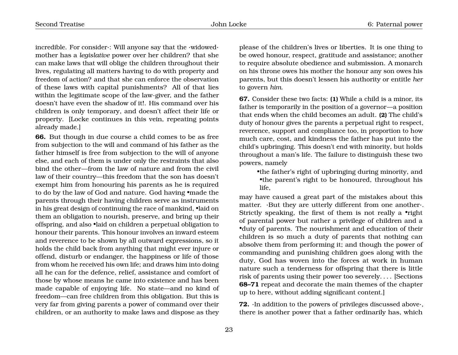incredible. For consider·: Will anyone say that the ·widowed· mother has a *legislative* power over her children? that she can make laws that will oblige the children throughout their lives, regulating all matters having to do with property and freedom of action? and that she can enforce the observation of these laws with capital punishments? All of that lies within the legitimate scope of the law-giver, and the father doesn't have even the shadow of it!. His command over his children is only temporary, and doesn't affect their life or property. [Locke continues in this vein, repeating points already made.]

**66.** But though in due course a child comes to be as free from subjection to the will and command of his father as the father himself is free from subjection to the will of anyone else, and each of them is under only the restraints that also bind the other—from the law of nature and from the civil law of their country—this freedom that the son has doesn't exempt him from honouring his parents as he is required to do by the law of God and nature. God having •made the parents through their having children serve as instruments in his great design of continuing the race of mankind, •laid on them an obligation to nourish, preserve, and bring up their offspring, and also •laid on children a perpetual obligation to honour their parents. This honour involves an inward esteem and reverence to be shown by all outward expressions, so it holds the child back from anything that might ever injure or offend, disturb or endanger, the happiness or life of those from whom he received his own life; and draws him into doing all he can for the defence, relief, assistance and comfort of those by whose means he came into existence and has been made capable of enjoying life. No state—and no kind of freedom—can free children from this obligation. But this is very far from giving parents a power of command over their children, or an authority to make laws and dispose as they

please of the children's lives or liberties. It is one thing to be owed honour, respect, gratitude and assistance; another to require absolute obedience and submission. A monarch on his throne owes his mother the honour any son owes his parents, but this doesn't lessen his authority or entitle *her* to govern *him*.

**67.** Consider these two facts: **(1)** While a child is a minor, its father is temporarily in the position of a governor—a position that ends when the child becomes an adult. **(2)** The child's duty of honour gives the parents a perpetual right to respect, reverence, support and compliance too, in proportion to how much care, cost, and kindness the father has put into the child's upbringing. This doesn't end with minority, but holds throughout a man's life. The failure to distinguish these two powers, namely

•the father's right of upbringing during minority, and •the parent's right to be honoured, throughout his life,

may have caused a great part of the mistakes about this matter. ·But they are utterly different from one another·. Strictly speaking, the first of them is not really a •right of parental power but rather a privilege of children and a •duty of parents. The nourishment and education of their children is so much a duty of parents that nothing can absolve them from performing it; and though the power of commanding and punishing children goes along with the duty, God has woven into the forces at work in human nature such a tenderness for offspring that there is little risk of parents using their power too severely. . . . [Sections **68–71** repeat and decorate the main themes of the chapter up to here, without adding significant content.]

**72.** ·In addition to the powers of privileges discussed above·, there is another power that a father ordinarily has, which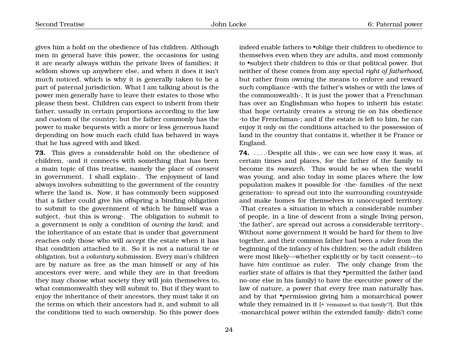gives him a hold on the obedience of his children. Although men in general have this power, the occasions for using it are nearly always within the private lives of families; it seldom shows up anywhere else, and when it does it isn't much noticed, which is why it is generally taken to be a part of paternal jurisdiction. What I am talking about is the power men generally have to leave their estates to those who please them best. Children can expect to inherit from their father, usually in certain proportions according to the law and custom of the country; but the father commonly has the power to make bequests with a more or less generous hand depending on how much each child has behaved in ways that he has agreed with and liked.

**73.** This gives a considerable hold on the obedience of children, ·and it connects with something that has been a main topic of this treatise, namely the place of *consent* in government. I shall explain·. The enjoyment of land always involves submitting to the government of the country where the land is. Now, it has commonly been supposed that a father could give his offspring a binding obligation to submit to the government of which he himself was a subject, ·but this is wrong·. The obligation to submit to a government is only a condition of *owning the land*; and the inheritance of an estate that is under that government reaches only those who will *accept* the estate when it has that condition attached to it. So it is not a natural tie or obligation, but a *voluntary* submission. Every man's children are by nature as free as the man himself or any of his ancestors ever were, and while they are in that freedom they may choose what society they will join themselves to, what commonwealth they will submit to. But if they want to enjoy the inheritance of their ancestors, they must take it on the terms on which their ancestors had it, and submit to all the conditions tied to such ownership. So this power does

24

indeed enable fathers to •oblige their children to obedience to themselves even when they are adults, and most commonly to •subject their children to this or that political power. But neither of these comes from any special *right of fatherhood*, but rather from owning the means to enforce and reward such compliance ·with the father's wishes or with the laws of the commonwealth·. It is just the power that a Frenchman has over an Englishman who hopes to inherit his estate: that hope certainly creates a strong tie on his obedience ·to the Frenchman·; and if the estate *is* left to him, he can enjoy it only on the conditions attached to the possession of land in the country that contains it, whether it be France or England.

**74.** ... . Despite all this we can see how easy it was, at certain times and places, for the father of the family to become its *monarch*. This would be so when the world was young, and also today in some places where the low population makes it possible for ·the· families ·of the next generation· to spread out into the surrounding countryside and make homes for themselves in unoccupied territory. ·That creates a situation in which a considerable number of people, in a line of descent from a single living person, 'the father', are spread out across a considerable territory·. Without *some* government it would be hard for them to live together, and their common father had been a ruler from the beginning of the infancy of his children; so the adult children were most likely—whether explicitly or by tacit consent—to have *him* continue as ruler. The only change from the earlier state of affairs is that they •permitted the father (and no-one else in his family) to have the executive power of the law of nature, a power that every free man naturally has, and by that •permission giving him a monarchical power while they remained in it [= 'remained in that family'?]. But this ·monarchical power within the extended family· didn't come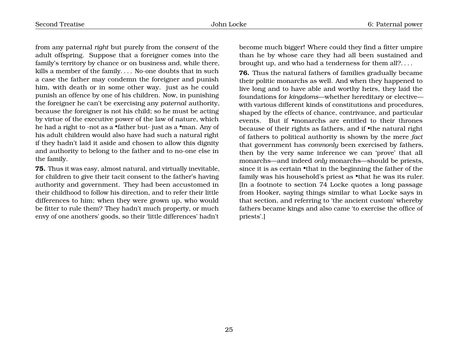from any paternal *right* but purely from the *consent* of the adult offspring. Suppose that a foreigner comes into the family's territory by chance or on business and, while there, kills a member of the family. . . . No-one doubts that in such a case the father may condemn the foreigner and punish him, with death or in some other way. just as he could punish an offence by one of his children. Now, in punishing the foreigner he can't be exercising any *paternal* authority, because the foreigner is not his child; so he must be acting by virtue of the executive power of the law of nature, which he had a right to ·not as a •father but· just as a •man. Any of his adult children would also have had such a natural right if they hadn't laid it aside and chosen to allow this dignity and authority to belong to the father and to no-one else in the family.

**75.** Thus it was easy, almost natural, and virtually inevitable, for children to give their tacit consent to the father's having authority and government. They had been accustomed in their childhood to follow his direction, and to refer their little differences to him; when they were grown up, who would be fitter to rule them? They hadn't much property, or much envy of one anothers' goods, so their 'little differences' hadn't become much bigger! Where could they find a fitter umpire than he by whose care they had all been sustained and brought up, and who had a tenderness for them all?. . . .

**76.** Thus the natural fathers of families gradually became their politic monarchs as well. And when they happened to live long and to have able and worthy heirs, they laid the foundations for *kingdoms*—whether hereditary or elective with various different kinds of constitutions and procedures, shaped by the effects of chance, contrivance, and particular events. But if •monarchs are entitled to their thrones because of their rights as fathers, and if •the natural right of fathers to political authority is shown by the mere *fact* that government has *commonly* been exercised by fathers, then by the very same inference we can 'prove' that all monarchs—and indeed *only* monarchs—should be priests, since it is as certain •that in the beginning the father of the family was his household's priest as *•that he was its ruler*. [In a footnote to section 74 Locke quotes a long passage from Hooker, saying things similar to what Locke says in that section, and referring to 'the ancient custom' whereby fathers became kings and also came 'to exercise the office of priests'.]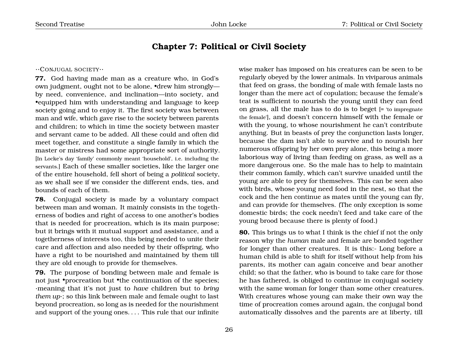# **Chapter 7: Political or Civil Society**

#### <span id="page-27-0"></span>··CONJUGAL SOCIETY··

**77.** God having made man as a creature who, in God's own judgment, ought not to be alone, •drew him strongly by need, convenience, and inclination—into society, and •equipped him with understanding and language to keep society going and to enjoy it. The first society was between man and wife, which gave rise to the society between parents and children; to which in time the society between master and servant came to be added. All these could and often did meet together, and constitute a single family in which the master or mistress had some appropriate sort of authority. [In Locke's day 'family' commonly meant 'household', i.e. including the servants.] Each of these smaller societies, like the larger one of the entire household, fell short of being a *political* society, as we shall see if we consider the different ends, ties, and bounds of each of them.

**78.** Conjugal society is made by a voluntary compact between man and woman. It mainly consists in the togetherness of bodies and right of access to one another's bodies that is needed for procreation, which is its main purpose; but it brings with it mutual support and assistance, and a togetherness of interests too, this being needed to unite their care and affection and also needed by their offspring, who have a right to be nourished and maintained by them till they are old enough to provide for themselves.

**79.** The purpose of bonding between male and female is not just •procreation but •the continuation of the species; ·meaning that it's not just to *have* children but to *bring them up*·; so this link between male and female ought to last beyond procreation, so long as is needed for the nourishment and support of the young ones. . . . This rule that our infinite

wise maker has imposed on his creatures can be seen to be regularly obeyed by the lower animals. In viviparous animals that feed on grass, the bonding of male with female lasts no longer than the mere act of copulation; because the female's teat is sufficient to nourish the young until they can feed on grass, all the male has to do is to beget [= 'to impregnate the female'], and doesn't concern himself with the female or with the young, to whose nourishment he can't contribute anything. But in beasts of prey the conjunction lasts longer, because the dam isn't able to survive and to nourish her numerous offspring by her own prey alone, this being a more laborious way of living than feeding on grass, as well as a more dangerous one. So the male has to help to maintain their common family, which can't survive unaided until the young are able to prey for themselves. This can be seen also with birds, whose young need food in the nest, so that the cock and the hen continue as mates until the young can fly, and can provide for themselves. (The only exception is some domestic birds; the cock needn't feed and take care of the young brood because there is plenty of food.)

**80.** This brings us to what I think is the chief if not the only reason why the *human* male and female are bonded together for longer than other creatures. It is this:- Long before a human child is able to shift for itself without help from his parents, its mother can again conceive and bear another child; so that the father, who is bound to take care for those he has fathered, is obliged to continue in conjugal society with the same woman for longer than some other creatures. With creatures whose young can make their own way the time of procreation comes around again, the conjugal bond automatically dissolves and the parents are at liberty, till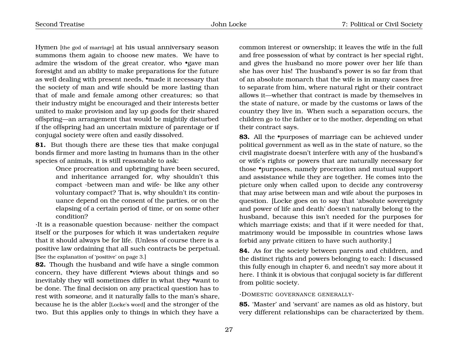Hymen [the god of marriage] at his usual anniversary season summons them again to choose new mates. We have to admire the wisdom of the great creator, who •gave man foresight and an ability to make preparations for the future as well dealing with present needs, •made it necessary that the society of man and wife should be more lasting than that of male and female among other creatures; so that their industry might be encouraged and their interests better united to make provision and lay up goods for their shared offspring—an arrangement that would be mightily disturbed if the offspring had an uncertain mixture of parentage or if conjugal society were often and easily dissolved.

**81.** But though there are these ties that make conjugal bonds firmer and more lasting in humans than in the other species of animals, it is still reasonable to ask:

> Once procreation and upbringing have been secured, and inheritance arranged for, why shouldn't this compact ·between man and wife· be like any other voluntary compact? That is, why shouldn't its continuance depend on the consent of the parties, or on the elapsing of a certain period of time, or on some other condition?

·It is a reasonable question because· neither the compact itself or the purposes for which it was undertaken *require* that it should always be for life. (Unless of course there is a positive law ordaining that all such contracts be perpetual. [See the explanation of 'positive' on page 3.]

**82.** Though the husband and wife have a single common concern, they have different •views about things and so inevitably they will sometimes differ in what they •want to be done. The final decision on any practical question has to rest with *someone*, and it naturally falls to the man's share, because he is the abler [Locke's word] and the stronger of the two. But this applies only to things in which they have a common interest or ownership; it leaves the wife in the full and free possession of what by contract is her special right, and gives the husband no more power over her life than she has over his! The husband's power is so far from that of an absolute monarch that the wife is in many cases free to separate from him, where natural right or their contract allows it—whether that contract is made by themselves in the state of nature, or made by the customs or laws of the country they live in. When such a separation occurs, the children go to the father or to the mother, depending on what their contract says.

**83.** All the •purposes of marriage can be achieved under political government as well as in the state of nature, so the civil magistrate doesn't interfere with any of the husband's or wife's rights or powers that are naturally necessary for those •purposes, namely procreation and mutual support and assistance while they are together. He comes into the picture only when called upon to decide any controversy that may arise between man and wife about the purposes in question. [Locke goes on to say that 'absolute sovereignty and power of life and death' doesn't naturally belong to the husband, because this isn't needed for the purposes for which marriage exists; and that if it were needed for that, matrimony would be impossible in countries whose laws forbid any private citizen to have such authority.]

**84.** As for the society between parents and children, and the distinct rights and powers belonging to each: I discussed this fully enough in chapter 6, and needn't say more about it here. I think it is obvious that conjugal society is far different from politic society.

·DOMESTIC GOVERNANCE GENERALLY·

**85.** 'Master' and 'servant' are names as old as history, but very different relationships can be characterized by them.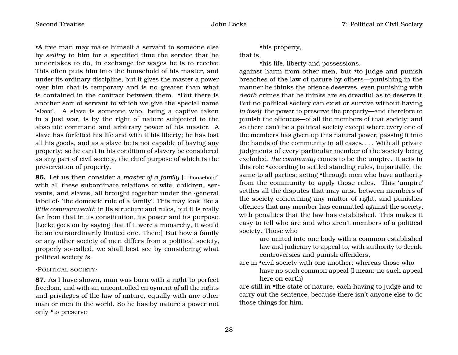•A free man may make himself a servant to someone else by *selling* to him for a specified time the service that he undertakes to do, in exchange for wages he is to receive. This often puts him into the household of his master, and under its ordinary discipline, but it gives the master a power over him that is temporary and is no greater than what is contained in the contract between them. •But there is another sort of servant to which we give the special name 'slave'. A slave is someone who, being a captive taken in a just war, is by the right of nature subjected to the absolute command and arbitrary power of his master. A slave has forfeited his life and with it his liberty; he has lost all his goods, and as a slave he is not capable of having any property; so he can't in his condition of slavery be considered as any part of civil society, the chief purpose of which is the preservation of property.

**86.** Let us then consider a *master of a family* [= 'household'] with all these subordinate relations of wife, children, servants, and slaves, all brought together under the ·general label of· 'the domestic rule of a family'. This may look like a *little commonwealth* in its structure and rules, but it is really far from that in its constitution, its power and its purpose. [Locke goes on by saying that if it were a monarchy, it would be an extraordinarily limited one. Then:] But how a family or any other society of men differs from a political society, properly so-called, we shall best see by considering what political society *is*.

·POLITICAL SOCIETY·

**87.** As I have shown, man was born with a right to perfect freedom, and with an uncontrolled enjoyment of all the rights and privileges of the law of nature, equally with any other man or men in the world. So he has by nature a power not only •to preserve

•his property,

that is,

•his life, liberty and possessions,

against harm from other men, but •to judge and punish breaches of the law of nature by others—punishing in the manner he thinks the offence deserves, even punishing with *death* crimes that he thinks are so dreadful as to deserve it. But no political society can exist or survive without having *in itself* the power to preserve the property—and therefore to punish the offences—of all the members of that society; and so there can't be a political society except where every one of the members has given up this natural power, passing it into the hands of the community in all cases. . . . With all private judgments of every particular member of the society being excluded, *the community* comes to be the umpire. It acts in this role •according to settled standing rules, impartially, the same to all parties; acting •through men who have authority from the community to apply those rules. This 'umpire' settles all the disputes that may arise between members of the society concerning any matter of right, and punishes offences that any member has committed against the society, with penalties that the law has established. This makes it easy to tell who are and who aren't members of a political society. Those who

are united into one body with a common established law and judiciary to appeal to, with authority to decide controversies and punish offenders,

are in •civil society with one another; whereas those who

have no such common appeal (I mean: no such appeal here on earth)

are still in •the state of nature, each having to judge and to carry out the sentence, because there isn't anyone else to do those things for him.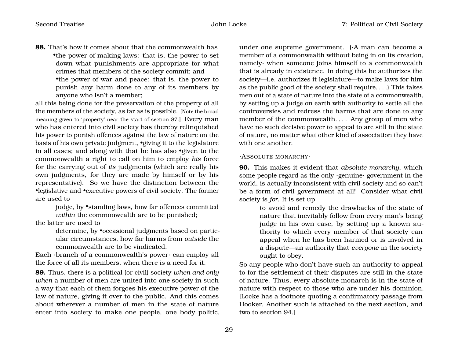**88.** That's how it comes about that the commonwealth has •the power of making laws: that is, the power to set down what punishments are appropriate for what crimes that members of the society commit; and •the power of war and peace: that is, the power to punish any harm done to any of its members by anyone who isn't a member;

all this being done for the preservation of the property of all the members of the society, as far as is possible. [Note the broad meaning given to 'property' near the start of section 87.] Every man who has entered into civil society has thereby relinquished his power to punish offences against the law of nature on the basis of his own private judgment, •giving it to the legislature in all cases; and along with that he has also •given to the commonwealth a right to call on him to employ *his* force for the carrying out of *its* judgments (which are really his own judgments, for they are made by himself or by his representative). So we have the distinction between the •legislative and •executive powers of civil society. The former are used to

> judge, by •standing laws, how far offences committed *within* the commonwealth are to be punished;

the latter are used to

determine, by •occasional judgments based on particular circumstances, how far harms from *outside* the commonwealth are to be vindicated.

Each ·branch of a commonwealth's power· can employ all the force of all its members, when there is a need for it.

**89.** Thus, there is a political (or civil) society *when and only when* a number of men are united into one society in such a way that each of them forgoes his executive power of the law of nature, giving it over to the public. And this comes about wherever a number of men in the state of nature enter into society to make one people, one body politic, under one supreme government. (·A man can become a member of a commonwealth without being in on its creation, namely· when someone joins himself to a commonwealth that is already in existence. In doing this he authorizes the society—i.e. authorizes it legislature—to make laws for him as the public good of the society shall require. . . .) This takes men out of a state of nature into the state of a commonwealth, by setting up a judge on earth with authority to settle all the controversies and redress the harms that are done to any member of the commonwealth. . . . Any group of men who have no such decisive power to appeal to are still in the state of nature, no matter what other kind of association they have with one another.

#### ·ABSOLUTE MONARCHY·

**90.** This makes it evident that *absolute monarchy*, which some people regard as the only ·genuine· government in the world, is actually inconsistent with civil society and so can't be a form of civil government at all! Consider what civil society is *for*. It is set up

to avoid and remedy the drawbacks of the state of nature that inevitably follow from every man's being judge in his own case, by setting up a known authority to which every member of that society can appeal when he has been harmed or is involved in a dispute—an authority that *everyone* in the society ought to obey.

So any people who don't have such an authority to appeal to for the settlement of their disputes are still in the state of nature. Thus, every absolute monarch is in the state of nature with respect to those who are under his dominion. [Locke has a footnote quoting a confirmatory passage from Hooker. Another such is attached to the next section, and two to section 94.]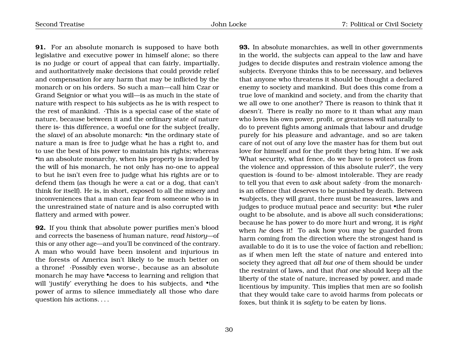**91.** For an absolute monarch is supposed to have both legislative and executive power in himself alone; so there is no judge or court of appeal that can fairly, impartially, and authoritatively make decisions that could provide relief and compensation for any harm that may be inflicted by the monarch or on his orders. So such a man—call him Czar or Grand Seignior or what you will—is as much in the state of nature with respect to his subjects as he is with respect to the rest of mankind. ·This is a special case of the state of nature, because between it and the ordinary state of nature there is· this difference, a woeful one for the subject (really, the *slave*) of an absolute monarch: •in the ordinary state of nature a man is free to judge what he has a right to, and to use the best of his power to maintain his rights; whereas •in an absolute monarchy, when his property is invaded by the will of his monarch, he not only has no-one to appeal to but he isn't even free to judge what his rights are or to defend them (as though he were a cat or a dog, that can't think for itself). He is, in short, exposed to all the misery and inconveniences that a man can fear from someone who is in the unrestrained state of nature and is also corrupted with flattery and armed with power.

**92.** If you think that absolute power purifies men's blood and corrects the baseness of human nature, *read history*—of this or any other age—and you'll be convinced of the contrary. A man who would have been insolent and injurious in the forests of America isn't likely to be much better on a throne! ·Possibly even worse·, because as an absolute monarch he may have •access to learning and religion that will 'justify' everything he does to his subjects, and •the power of arms to silence immediately all those who dare question his actions. . . .

**93.** In absolute monarchies, as well in other governments in the world, the subjects can appeal to the law and have judges to decide disputes and restrain violence among the subjects. Everyone thinks this to be necessary, and believes that anyone who threatens it should be thought a declared enemy to society and mankind. But does this come from a true love of mankind and society, and from the charity that we all owe to one another? There is reason to think that it *doesn't*. There is really no more to it than what any man who loves his own power, profit, or greatness will naturally to do to prevent fights among animals that labour and drudge purely for his pleasure and advantage, and so are taken care of not out of any love the master has for them but out love for himself and for the profit they bring him. If we ask 'What security, what fence, do we have to protect us from the violence and oppression of this absolute ruler?', the very question is ·found to be· almost intolerable. They are ready to tell you that even to *ask* about safety ·from the monarch· is an offence that deserves to be punished by death. Between •subjects, they will grant, there must be measures, laws and judges to produce mutual peace and security: but •the ruler ought to be absolute, and is above all such considerations; because he has power to do more hurt and wrong, it is *right* when *he* does it! To ask how you may be guarded from harm coming from the direction where the strongest hand is available to do it is to use the voice of faction and rebellion; as if when men left the state of nature and entered into society they agreed that *all but one* of them should be under the restraint of laws, and that *that one* should keep all the liberty of the state of nature, increased by power, and made licentious by impunity. This implies that men are so foolish that they would take care to avoid harms from polecats or foxes, but think it is *safety* to be eaten by lions.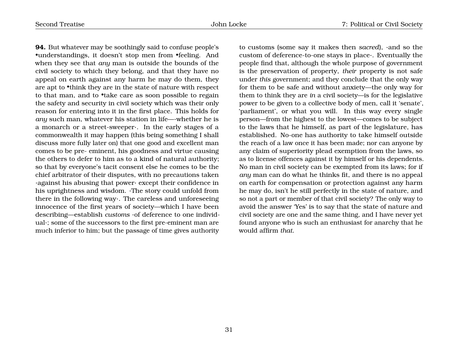**94.** But whatever may be soothingly said to confuse people's •understandings, it doesn't stop men from •feeling. And when they see that *any* man is outside the bounds of the civil society to which they belong, and that they have no appeal on earth against any harm he may do them, they are apt to •think they are in the state of nature with respect to that man, and to •take care as soon possible to regain the safety and security in civil society which was their only reason for entering into it in the first place. This holds for *any* such man, whatever his station in life—·whether he is a monarch or a street-sweeper·. In the early stages of a commonwealth it may happen (this being something I shall discuss more fully later on) that one good and excellent man comes to be pre- eminent, his goodness and virtue causing the others to defer to him as to a kind of natural authority; so that by everyone's tacit consent else he comes to be the chief arbitrator of their disputes, with no precautions taken ·against his abusing that power· except their confidence in his uprightness and wisdom. ·The story could unfold from there in the following way·. The careless and unforeseeing innocence of the first years of society—which I have been describing—establish *customs* ·of deference to one individual·; some of the successors to the first pre-eminent man are much inferior to him; but the passage of time gives authority

to customs (some say it makes then *sacred*), ·and so the custom of deference-to-one stays in place·. Eventually the people find that, although the whole purpose of government is the preservation of property, *their* property is not safe under *this* government; and they conclude that the only way for them to be safe and without anxiety—the only way for them to think they are *in* a civil society—is for the legislative power to be given to a collective body of men, call it 'senate', 'parliament', or what you will. In this way every single person—from the highest to the lowest—comes to be subject to the laws that he himself, as part of the legislature, has established. No-one has authority to take himself outside the reach of a law once it has been made; nor can anyone by any claim of superiority plead exemption from the laws, so as to license offences against it by himself or his dependents. No man in civil society can be exempted from its laws; for if *any* man can do what he thinks fit, and there is no appeal on earth for compensation or protection against any harm he may do, isn't he still perfectly in the state of nature, and so not a part or member of that civil society? The only way to avoid the answer 'Yes' is to say that the state of nature and civil society are one and the same thing, and I have never yet found anyone who is such an enthusiast for anarchy that he would affirm *that*.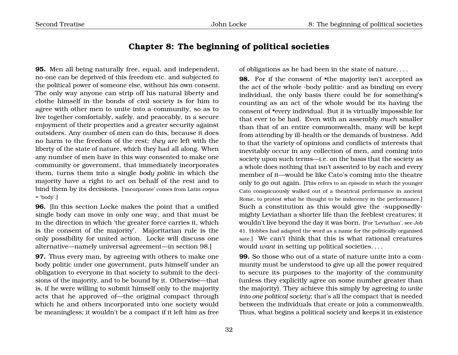# **Chapter 8: The beginning of political societies**

<span id="page-33-0"></span>**95.** Men all being naturally free, equal, and independent, no-one can be deprived of this freedom etc. and subjected to the political power of someone else, without his own consent. The only way anyone can strip off his natural liberty and clothe himself in the bonds of civil society is for him to agree with other men to unite into a community, so as to live together comfortably, safely, and peaceably, in a secure enjoyment of their properties and a greater security against outsiders. Any number of men can do this, because it does no harm to the freedom of the rest; *they* are left with the liberty of the state of nature, which they had all along. When any number of men have in this way consented to make one community or government, that immediately incorporates them, turns them into a single *body politic* in which the majority have a right to act on behalf of the rest and to bind them by its decisions. ['incorporate' comes from Latin *corpus*  $=$  'body'.]

**96.** [In this section Locke makes the point that a unified single body can move in only one way, and that must be in the direction in which 'the greater force carries it, which is the consent of the majority'. Majoritarian rule is the only possibility for united action. Locke will discuss one alternative—namely universal agreement—in section 98.]

**97.** Thus every man, by agreeing with others to make one body politic under one government, puts himself under an obligation to everyone in that society to submit to the decisions of the majority, and to be bound by it. Otherwise—that is, if he were willing to submit himself only to the majority acts that he approved of—the original compact through which he and others incorporated into one society would be meaningless; it wouldn't be a compact if it left him as free

of obligations as he had been in the state of nature. . . .

**98.** For if the consent of **•**the majority isn't accepted as the act of the whole ·body politic· and as binding on every individual, the only basis there could be for something's counting as an act of the whole would be its having the consent of •every individual. But it is virtually impossible for that ever to be had. Even with an assembly *much* smaller than that of an entire commonwealth, many will be kept from attending by ill-health or the demands of business. Add to that the variety of opinions and conflicts of interests that inevitably occur in any collection of men, and coming into society upon such terms—i.e. on the basis that the society as a whole does nothing that isn't assented to by each and every member of it—would be like Cato's coming into the theatre only to go out again. [This refers to an episode in which the younger Cato conspicuously walked out of a theatrical performance in ancient Rome, to protest what he thought to be indecency in the performance.] Such a constitution as this would give the ·supposedly· mighty Leviathan a shorter life than the feeblest creatures; it wouldn't live beyond the day it was born. [For 'Leviathan', see *Job* 41. Hobbes had adapted the word as a name for the politically organised sate.] We can't think that this is what rational creatures would *want* in setting up political societies. . . .

**99.** So those who out of a state of nature unite into a community must be understood to give up all the power required to secure its purposes to the majority of the community (unless they explicitly agree on some number greater than the majority). They achieve this simply by agreeing *to unite into one political society*; that's all the compact that is needed between the individuals that create or join a commonwealth. Thus, what begins a political society and keeps it in existence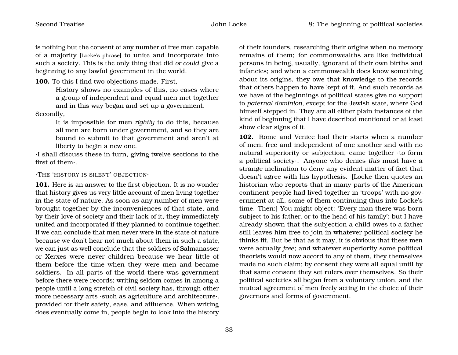is nothing but the consent of any number of free men capable of a majority [Locke's phrase] to unite and incorporate into such a society. This is the only thing that did *or could* give a beginning to any lawful government in the world.

**100.** To this I find two objections made. First,

History shows no examples of this, no cases where a group of independent and equal men met together and in this way began and set up a government.

Secondly,

It is impossible for men *rightly* to do this, because all men are born under government, and so they are bound to submit to that government and aren't at liberty to begin a new one.

·I shall discuss these in turn, giving twelve sections to the first of them·.

·THE 'HISTORY IS SILENT' OBJECTION·

**101.** Here is an answer to the first objection. It is no wonder that history gives us very little account of men living together in the state of nature. As soon as any number of men were brought together by the inconveniences of that state, and by their love of society and their lack of it, they immediately united and incorporated if they planned to continue together. If we can conclude that men never were in the state of nature because we don't hear not much about them in such a state, we can just as well conclude that the soldiers of Salmanasser or Xerxes were never children because we hear little of them before the time when they were men and became soldiers. In all parts of the world there was government before there were records; writing seldom comes in among a people until a long stretch of civil society has, through other more necessary arts ·such as agriculture and architecture·, provided for their safety, ease, and affluence. When writing does eventually come in, people begin to look into the history

of their founders, researching their origins when no memory remains of them; for commonwealths are like individual persons in being, usually, ignorant of their own births and infancies; and when a commonwealth does know something about its origins, they owe that knowledge to the records that others happen to have kept of it. And such records as we have of the beginnings of political states give no support to *paternal dominion*, except for the Jewish state, where God himself stepped in. They are all either plain instances of the kind of beginning that I have described mentioned or at least show clear signs of it.

**102.** Rome and Venice had their starts when a number of men, free and independent of one another and with no natural superiority or subjection, came together ·to form a political society·. Anyone who denies *this* must have a strange inclination to deny any evident matter of fact that doesn't agree with his hypothesis. [Locke then quotes an historian who reports that in many parts of the American continent people had lived together in 'troops' with no government at all, some of them continuing thus into Locke's time. Then:] You might object: 'Every man there was born subject to his father, or to the head of his family'; but I have already shown that the subjection a child owes to a father still leaves him free to join in whatever political society he thinks fit. But be that as it may, it is obvious that these men were actually *free*; and whatever superiority some political theorists would now accord to any of them, they themselves made no such claim; by consent they were all equal until by that same consent they set rulers over themselves. So their political societies all began from a voluntary union, and the mutual agreement of men freely acting in the choice of their governors and forms of government.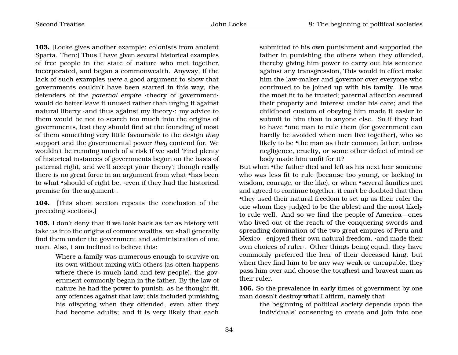**103.** [Locke gives another example: colonists from ancient Sparta. Then:] Thus I have given several historical examples of free people in the state of nature who met together, incorporated, and began a commonwealth. Anyway, if the lack of such examples *were* a good argument to show that governments couldn't have been started in this way, the defenders of the *paternal empire* ·theory of government· would do better leave it unused rather than urging it against natural liberty ·and thus against my theory·: my advice to them would be not to search too much into the origins of governments, lest they should find at the founding of most of them something very little favourable to the design *they* support and the governmental power *they* contend for. We wouldn't be running much of a risk if we said 'Find plenty of historical instances of governments begun on the basis of paternal right, and we'll accept your theory'; though really there is no great force in an argument from what •has been to what •should of right be, ·even if they had the historical premise for the argument·.

**104.** [This short section repeats the conclusion of the preceding sections.]

**105.** I don't deny that if we look back as far as history will take us into the origins of commonwealths, we shall generally find them under the government and administration of one man. Also, I am inclined to believe this:

> Where a family was numerous enough to survive on its own without mixing with others (as often happens where there is much land and few people), the government commonly began in the father. By the law of nature he had the power to punish, as he thought fit, any offences against that law; this included punishing his offspring when they offended, even after they had become adults; and it is very likely that each

submitted to his own punishment and supported the father in punishing the others when they offended, thereby giving him power to carry out his sentence against any transgression, This would in effect make him the law-maker and governor over everyone who continued to be joined up with his family. He was the most fit to be trusted; paternal affection secured their property and interest under his care; and the childhood custom of obeying him made it easier to submit to him than to anyone else. So if they had to have •one man to rule them (for government can hardly be avoided when men live together), who so likely to be •the man as their common father, unless negligence, cruelty, or some other defect of mind or body made him unfit for it?

But when •the father died and left as his next heir someone who was less fit to rule (because too young, or lacking in wisdom, courage, or the like), or when •several families met and agreed to continue together, it can't be doubted that then •they used their natural freedom to set up as their ruler the one whom they judged to be the ablest and the most likely to rule well. And so we find the people of America—ones who lived out of the reach of the conquering swords and spreading domination of the two great empires of Peru and Mexico—enjoyed their own natural freedom, ·and made their own choices of ruler·. Other things being equal, they have commonly preferred the heir of their deceased king; but when they find him to be any way weak or uncapable, they pass him over and choose the toughest and bravest man as their ruler.

**106.** So the prevalence in early times of government by one man doesn't destroy what I affirm, namely that

> the beginning of political society depends upon the individuals' consenting to create and join into one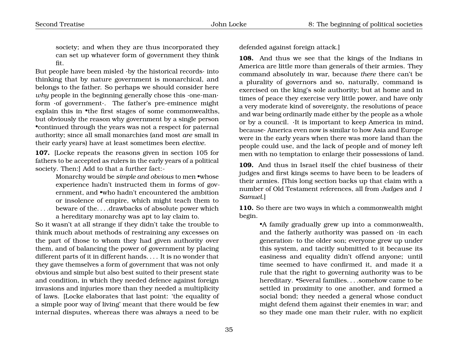society; and when they are thus incorporated they can set up whatever form of government they think fit.

But people have been misled ·by the historical records· into thinking that by nature government is monarchical, and belongs to the father. So perhaps we should consider here *why* people in the beginning generally chose this ·one-man· form ·of government·. The father's pre-eminence might explain this in •the first stages of some commonwealths, but obviously the reason why government by a single person •continued through the years was not a respect for paternal authority; since all small monarchies (and most *are* small in their early years) have at least sometimes been *elective*.

**107.** [Locke repeats the reasons given in section 105 for fathers to be accepted as rulers in the early years of a political society. Then:] Add to that a further fact:-

> Monarchy would be *simple and obvious* to men •whose experience hadn't instructed them in forms of government, and •who hadn't encountered the ambition or insolence of empire, which might teach them to beware of the. . . .drawbacks of absolute power which a hereditary monarchy was apt to lay claim to.

So it wasn't at all strange if they didn't take the trouble to think much about methods of restraining any excesses on the part of those to whom they had given authority over them, and of balancing the power of government by placing different parts of it in different hands. . . . It is no wonder that they gave themselves a form of government that was not only obvious and simple but also best suited to their present state and condition, in which they needed defence against foreign invasions and injuries more than they needed a multiplicity of laws. [Locke elaborates that last point: 'the equality of a simple poor way of living' meant that there would be few internal disputes, whereas there was always a need to be

defended against foreign attack.]

**108.** And thus we see that the kings of the Indians in America are little more than generals of their armies. They command absolutely in war, because *there* there can't be a plurality of governors and so, naturally, command is exercised on the king's sole authority; but at home and in times of peace they exercise very little power, and have only a very moderate kind of sovereignty, the resolutions of peace and war being ordinarily made either by the people as a whole or by a council. ·It is important to keep America in mind, because· America even now is similar to how Asia and Europe were in the early years when there was more land than the people could use, and the lack of people and of money left men with no temptation to enlarge their possessions of land.

**109.** And thus in Israel itself the chief business of their judges and first kings seems to have been to be leaders of their armies. [This long section backs up that claim with a number of Old Testament references, all from *Judges* and *1 Samuel*.]

**110.** So there are two ways in which a commonwealth might begin.

> •A family gradually grew up into a commonwealth, and the fatherly authority was passed on ·in each generation· to the older son; everyone grew up under this system, and tacitly submitted to it because its easiness and equality didn't offend anyone; until time seemed to have confirmed it, and made it a rule that the right to governing authority was to be hereditary. •Several families. . . .somehow came to be settled in proximity to one another, and formed a social bond; they needed a general whose conduct might defend them against their enemies in war; and so they made one man their ruler, with no explicit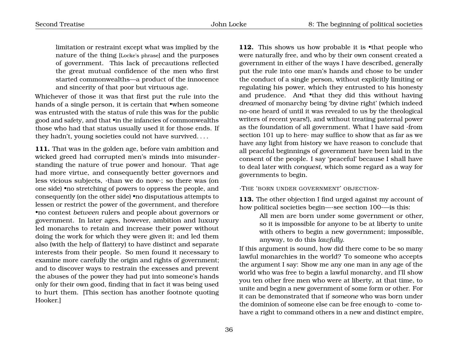limitation or restraint except what was implied by the nature of the thing [Locke's phrase] and the purposes of government. This lack of precautions reflected the great mutual confidence of the men who first started commonwealths—a product of the innocence and sincerity of that poor but virtuous age.

Whichever of those it was that first put the rule into the hands of a single person, it is certain that •when someone was entrusted with the status of rule this was for the public good and safety, and that •in the infancies of commonwealths those who had that status usually used it for those ends. If they hadn't, young societies could not have survived. . . .

**111.** That was in the golden age, before vain ambition and wicked greed had corrupted men's minds into misunderstanding the nature of true power and honour. That age had more virtue, and consequently better governors and less vicious subjects, ·than we do now·; so there was (on one side) •no stretching of powers to oppress the people, and consequently (on the other side) •no disputatious attempts to lessen or restrict the power of the government, and therefore •no contest *between* rulers and people about governors or government. In later ages, however, ambition and luxury led monarchs to retain and increase their power without doing the work for which they were given it; and led them also (with the help of flattery) to have distinct and separate interests from their people. So men found it necessary to examine more carefully the origin and rights of government; and to discover ways to restrain the excesses and prevent the abuses of the power they had put into someone's hands only for their own good, finding that in fact it was being used to hurt them. [This section has another footnote quoting Hooker.]

112. This shows us how probable it is •that people who were naturally free, and who by their own consent created a government in either of the ways I have described, generally put the rule into one man's hands and chose to be under the conduct of a single person, without explicitly limiting or regulating his power, which they entrusted to his honesty and prudence. And •that they did this without having *dreamed* of monarchy being 'by divine right' (which indeed no-one heard of until it was revealed to us by the theological writers of recent years!), and without treating paternal power as the foundation of all government. What I have said ·from section 101 up to here· may suffice to show that as far as we have any light from history we have reason to conclude that all peaceful beginnings of government have been laid in the consent of the people. I say 'peaceful' because I shall have to deal later with *conquest*, which some regard as a way for governments to begin.

·THE 'BORN UNDER GOVERNMENT' OBJECTION·

**113.** The other objection I find urged against my account of how political societies begin—·see section 100·—is this:

> All men are born under some government or other, so it is impossible for anyone to be at liberty to unite with others to begin a new government; impossible, anyway, to do this *lawfully*.

If this argument is sound, how did there come to be so many lawful monarchies in the world? To someone who accepts the argument I say: Show me any one man in any age of the world who was free to begin a lawful monarchy, and I'll show you ten other free men who were at liberty, at that time, to unite and begin a new government of some form or other. For it can be demonstrated that if *someone* who was born under the dominion of someone else can be free enough to ·come to· have a right to command others in a new and distinct empire,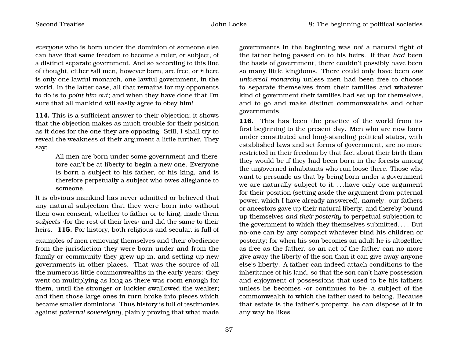*everyone* who is born under the dominion of someone else can have that same freedom to become a ruler, or subject, of a distinct separate government. And so according to this line of thought, either •all men, however born, are free, or •there is only one lawful monarch, one lawful government, in the world. In the latter case, all that remains for my opponents to do is to *point him out*; and when they have done that I'm sure that all mankind will easily agree to obey him!

**114.** This is a sufficient answer to their objection; it shows that the objection makes as much trouble for their position as it does for the one they are opposing. Still, I shall try to reveal the weakness of their argument a little further. They say:

> All men are born under some government and therefore can't be at liberty to begin a new one. Everyone is born a subject to his father, or his king, and is therefore perpetually a subject who owes allegiance to someone.

It is obvious mankind has never admitted or believed that any natural subjection that they were born into without their own consent, whether to father or to king, made them *subjects* ·for the rest of their lives· and did the same to their heirs. **115.** For history, both religious and secular, is full of

examples of men removing themselves and their obedience from the jurisdiction they were born under and from the family or community they grew up in, and setting up new governments in other places. That was the source of all the numerous little commonwealths in the early years: they went on multiplying as long as there was room enough for them, until the stronger or luckier swallowed the weaker; and then those large ones in turn broke into pieces which became smaller dominions. Thus history is full of testimonies against *paternal sovereignty*, plainly proving that what made

governments in the beginning was *not* a natural right of the father being passed on to his heirs. If that *had* been the basis of government, there couldn't possibly have been so many little kingdoms. There could only have been *one universal monarchy* unless men had been free to choose to separate themselves from their families and whatever kind of government their families had set up for themselves, and to go and make distinct commonwealths and other governments.

**116.** This has been the practice of the world from its first beginning to the present day. Men who are now born under constituted and long-standing political states, with established laws and set forms of government, are no more restricted in their freedom by that fact about their birth than they would be if they had been born in the forests among the ungoverned inhabitants who run loose there. Those who want to persuade us that by being born under a government we are naturally subject to it. . . .have only one argument for their position (setting aside the argument from paternal power, which I have already answered), namely: our fathers or ancestors gave up their natural liberty, and thereby bound up themselves *and their posterity* to perpetual subjection to the government to which they themselves submitted. . . . But no-one can by any compact whatever bind his children or posterity; for when his son becomes an adult he is altogether as free as the father, so an act of the father can no more give away the liberty of the son than it can give away anyone else's liberty. A father can indeed attach conditions to the inheritance of his land, so that the son can't have possession and enjoyment of possessions that used to be his fathers unless he becomes ·or continues to be· a subject of the commonwealth to which the father used to belong. Because that estate is the father's property, he can dispose of it in any way he likes.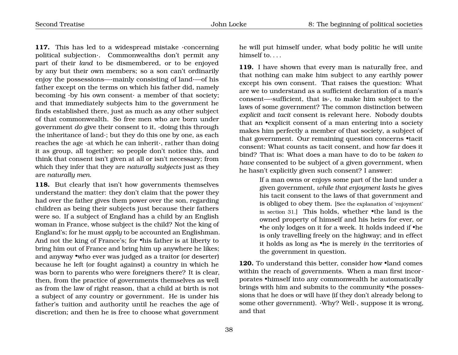117. This has led to a widespread mistake concerning political subjection·. Commonwealths don't permit any part of their *land* to be dismembered, or to be enjoyed by any but their own members; so a son can't ordinarily enjoy the possessions—·mainly consisting of land·—of his father except on the terms on which his father did, namely becoming ·by his own consent· a member of that society; and that immediately subjects him to the government he finds established there, just as much as any other subject of that commonwealth. So free men who are born under government *do* give their consent to it, ·doing this through the inheritance of land·; but they do this one by one, as each reaches the age ·at which he can inherit·, rather than doing it as group, all together; so people don't notice this, and think that consent isn't given at all or isn't necessary; from which they infer that they are *naturally subjects* just as they are *naturally men*.

**118.** But clearly that isn't how governments themselves understand the matter: they don't claim that the power they had over the father gives them power over the son, regarding children as being their subjects just because their fathers were so. If a subject of England has a child by an English woman in France, whose subject is the child? Not the king of England's; for he must *apply* to be accounted an Englishman. And not the king of France's; for •his father is at liberty to bring him out of France and bring him up anywhere he likes; and anyway •who ever was judged as a traitor (or deserter) because he left (or fought against) a country in which he was born to parents who were foreigners there? It is clear, then, from the practice of governments themselves as well as from the law of right reason, that a child at birth is not a subject of any country or government. He is under his father's tuition and authority until he reaches the age of discretion; and then he is free to choose what government

he will put himself under, what body politic he will unite himself to. . . .

**119.** I have shown that every man is naturally free, and that nothing can make him subject to any earthly power except his own consent. That raises the question: What are we to understand as a sufficient declaration of a man's consent—·sufficient, that is·, to make him subject to the laws of some government? The common distinction between *explicit* and *tacit* consent is relevant here. Nobody doubts that an •explicit consent of a man entering into a society makes him perfectly a member of that society, a subject of that government. Our remaining question concerns •tacit consent: What counts as tacit consent, and how far does it bind? That is: What does a man have to do to be *taken to have* consented to be subject of a given government, when he hasn't explicitly given such consent? I answer:

> If a man owns or enjoys some part of the land under a given government, *while that enjoyment lasts* he gives his tacit consent to the laws of that government and is obliged to obey them. [See the explanation of 'enjoyment' in section 31.] This holds, whether •the land is the owned property of himself and his heirs for ever, or •he only lodges on it for a week. It holds indeed if •he is only travelling freely on the highway; and in effect it holds as long as •he is merely *in* the territories of the government in question.

**120.** To understand this better, consider how *•land comes* within the reach of governments. When a man first incorporates •himself into any commonwealth he automatically brings with him and submits to the community •the possessions that he does or will have (if they don't already belong to some other government). ·Why? Well·, suppose it is wrong, and that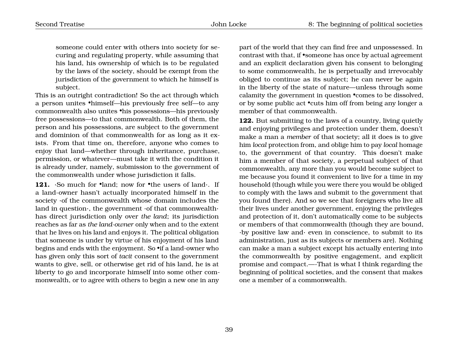someone could enter with others into society for securing and regulating property, while assuming that his land, his ownership of which is to be regulated by the laws of the society, should be exempt from the jurisdiction of the government to which he himself is subject.

This is an outright contradiction! So the act through which a person unites •himself—his previously free self—to any commonwealth also unites •his possessions—his previously free possessions—to that commonwealth. Both of them, the person and his possessions, are subject to the government and dominion of that commonwealth for as long as it exists. From that time on, therefore, anyone who comes to enjoy that land—whether through inheritance, purchase, permission, or whatever—must take it with the condition it is already under, namely, submission to the government of the commonwealth under whose jurisdiction it falls.

**121.** ·So much for •land; now for •the users of land ·. If a land-owner hasn't actually incorporated himself in the society ·of the commonwealth whose domain includes the land in question·, the government ·of that commonwealth· has direct jurisdiction only over *the land*; its jurisdiction reaches as far as *the land-owner* only when and to the extent that he lives on his land and enjoys it. The political obligation that someone is under by virtue of his enjoyment of his land begins and ends with the enjoyment. So •if a land-owner who has given only this sort of *tacit* consent to the government wants to give, sell, or otherwise get rid of his land, he is at liberty to go and incorporate himself into some other commonwealth, or to agree with others to begin a new one in any

part of the world that they can find free and unpossessed. In contrast with that, if •someone has once by actual agreement and an explicit declaration given his consent to belonging to some commonwealth, he is perpetually and irrevocably obliged to continue as its subject; he can never be again in the liberty of the state of nature—unless through some calamity the government in question •comes to be dissolved, or by some public act •cuts him off from being any longer a member of that commonwealth.

**122.** But submitting to the laws of a country, living quietly and enjoying privileges and protection under them, doesn't make a man a *member* of that society; all it does is to give him *local* protection from, and oblige him to pay *local* homage to, the government of that country. This doesn't make him a member of that society, a perpetual subject of that commonwealth, any more than you would become subject to me because you found it convenient to live for a time in my household (though while you were there you would be obliged to comply with the laws and submit to the government that you found there). And so we see that foreigners who live all their lives under another government, enjoying the privileges and protection of it, don't automatically come to be subjects or members of that commonwealth (though they are bound, ·by positive law and· even in conscience, to submit to its administration, just as its subjects or members are). Nothing can make a man a subject except his actually entering into the commonwealth by positive engagement, and explicit promise and compact.—-That is what I think regarding the beginning of political societies, and the consent that makes one a member of a commonwealth.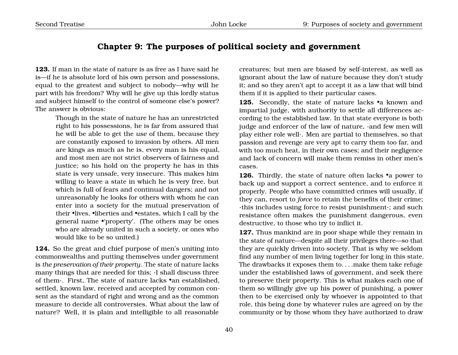# **Chapter 9: The purposes of political society and government**

**123.** If man in the state of nature is as free as I have said he is—if he is absolute lord of his own person and possessions, equal to the greatest and subject to nobody—why will he part with his freedom? Why will he give up this lordly status and subject himself to the control of someone else's power? The answer is obvious:

> Though in the state of nature he has an unrestricted right to his possessions, he is far from assured that he will be able to get the *use* of them, because they are constantly exposed to invasion by others. All men are kings as much as he is, every man is his equal, and most men are not strict observers of fairness and justice; so his hold on the property he has in this state is very unsafe, very insecure. This makes him willing to leave a state in which he is very free, but which is full of fears and continual dangers; and not unreasonably he looks for others with whom he can enter into a society for the mutual preservation of their •lives, •liberties and •estates, which I call by the general name •'property'. (The others may be ones who are already united in such a society, or ones who would like to be so united.)

**124.** So the great and chief purpose of men's uniting into commonwealths and putting themselves under government is *the preservation of their property*. The state of nature lacks many things that are needed for this; ·I shall discuss three of them·. First, The state of nature lacks •an established, settled, known law, received and accepted by common consent as the standard of right and wrong and as the common measure to decide all controversies. What about the law of nature? Well, it is plain and intelligible to all reasonable

creatures; but men are biased by self-interest, as well as ignorant about the law of nature because they don't study it; and so they aren't apt to accept it as a law that will bind them if it is applied to their particular cases.

**125.** Secondly, the state of nature lacks •a known and impartial judge, with authority to settle all differences according to the established law. In that state everyone is both judge and enforcer of the law of nature, ·and few men will play either role well·. Men are partial to themselves, so that passion and revenge are very apt to carry them too far, and with too much heat, in their own cases; and their negligence and lack of concern will make them remiss in other men's cases.

**126.** Thirdly, the state of nature often lacks •a power to back up and support a correct sentence, and to enforce it properly. People who have committed crimes will usually, if they can, resort to *force* to retain the benefits of their crime; ·this includes using force to resist punishment·; and such resistance often makes the punishment dangerous, even destructive, to those who try to inflict it.

**127.** Thus mankind are in poor shape while they remain in the state of nature—despite all their privileges there—so that they are quickly driven into society. That is why we seldom find any number of men living together for long in this state. The drawbacks it exposes them to. . . .make them take refuge under the established laws of government, and seek there to preserve their property. This is what makes each one of them so willingly give up his power of punishing, a power then to be exercised only by whoever is appointed to that role, this being done by whatever rules are agreed on by the community or by those whom they have authorized to draw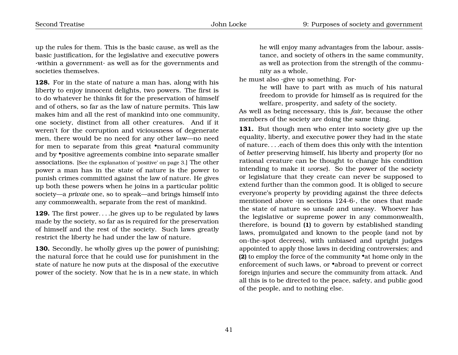up the rules for them. This is the basic cause, as well as the basic justification, for the legislative and executive powers ·within a government· as well as for the governments and societies themselves.

**128.** For in the state of nature a man has, along with his liberty to enjoy innocent delights, two powers. The first is to do whatever he thinks fit for the preservation of himself and of others, so far as the law of nature permits. This law makes him and all the rest of mankind into one community, one society, distinct from all other creatures. And if it weren't for the corruption and viciousness of degenerate men, there would be no need for any other law—no need for men to separate from this great •natural community and by •positive agreements combine into separate smaller associations. [See the explanation of 'positive' on page 3.] The other power a man has in the state of nature is the power to punish crimes committed against the law of nature. He gives up both these powers when he joins in a particular politic society—a *private* one, so to speak—and brings himself into any commonwealth, separate from the rest of mankind.

**129.** The first power. . . .he gives up to be regulated by laws made by the society, so far as is required for the preservation of himself and the rest of the society. Such laws greatly restrict the liberty he had under the law of nature.

**130.** Secondly, he wholly gives up the power of punishing; the natural force that he could use for punishment in the state of nature he now puts at the disposal of the executive power of the society. Now that he is in a new state, in which

he will enjoy many advantages from the labour, assistance, and society of others in the same community, as well as protection from the strength of the community as a whole,

he must also ·give up something. For·

he will have to part with as much of his natural freedom to provide for himself as is required for the welfare, prosperity, and safety of the society.

As well as being necessary, this is *fair*, because the other members of the society are doing the same thing.

**131.** But though men who enter into society give up the equality, liberty, and executive power they had in the state of nature. . . .each of them does this only with the intention of *better* preserving himself, his liberty and property (for no rational creature can be thought to change his condition intending to make it *worse*). So the power of the society or legislature that they create can never be supposed to extend further than the common good. It is obliged to secure everyone's property by providing against the three defects mentioned above ·in sections 124-6·, the ones that made the state of nature so unsafe and uneasy. Whoever has the legislative or supreme power in any commonwealth, therefore, is bound **(1)** to govern by established standing laws, promulgated and known to the people (and not by on-the-spot decrees), with unbiased and upright judges appointed to apply those laws in deciding controversies; and **(2)** to employ the force of the community •at home only in the enforcement of such laws, or •abroad to prevent or correct foreign injuries and secure the community from attack. And all this is to be directed to the peace, safety, and public good of the people, and to nothing else.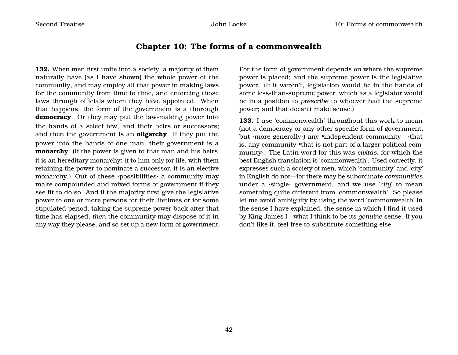# **Chapter 10: The forms of a commonwealth**

**132.** When men first unite into a society, a majority of them naturally have (as I have shown) the whole power of the community, and may employ all that power in making laws for the community from time to time, and enforcing those laws through officials whom they have appointed. When that happens, the form of the government is a thorough **democracy**. Or they may put the law-making power into the hands of a select few, and their heirs or successors; and then the government is an **oligarchy**. If they put the power into the hands of one man, their government is a **monarchy**. (If the power is given to that man and his heirs, it is an hereditary monarchy: if to him only for life, with them retaining the power to nominate a successor, it is an elective monarchy.) Out of these ·possibilities· a community may make compounded and mixed forms of government if they see fit to do so. And if the majority first give the legislative power to one or more persons for their lifetimes or for some stipulated period, taking the supreme power back after that time has elapsed, *then* the community may dispose of it in any way they please, and so set up a new form of government.

For the form of government depends on where the supreme power is placed; and the supreme power is the legislative power. (If it weren't, legislation would be in the hands of some less-than-supreme power, which as a legislator would be in a position to *prescribe* to whoever had the supreme power; and that doesn't make sense.)

133. I use 'commonwealth' throughout this work to mean (not a democracy or any other specific form of government, but ·more generally·) any •independent community—·that is, any community •that is not part of a larger political community·. The Latin word for this was *civitas*, for which the best English translation is 'commonwealth'. Used correctly, it expresses such a society of men, which 'community' and 'city' in English do not—for there may be subordinate *communities* under a ·single· government, and we use '*city*' to mean something quite different from 'commonwealth'. So please let me avoid ambiguity by using the word 'commonwealth' in the sense I have explained, the sense in which I find it used by King James I—what I think to be its *genuine* sense. If you don't like it, feel free to substitute something else.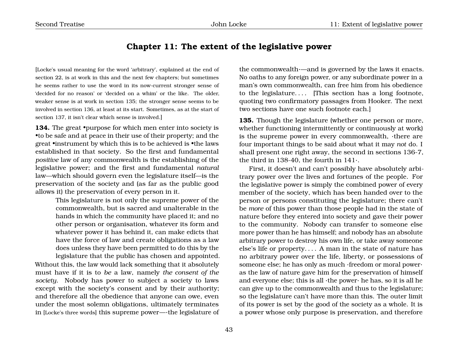## **Chapter 11: The extent of the legislative power**

[Locke's usual meaning for the word 'arbitrary', explained at the end of section 22, is at work in this and the next few chapters; but sometimes he seems rather to use the word in its now-current stronger sense of 'decided for no reason' or 'decided on a whim' or the like. The older, weaker sense is at work in section 135; the stronger sense seems to be involved in section 136, at least at its start. Sometimes, as at the start of section 137, it isn't clear which sense is involved.]

134. The great •purpose for which men enter into society is •to be safe and at peace in their use of their property; and the great •instrument by which this is to be achieved is •the laws established in that society. So the first and fundamental *positive* law of any commonwealth is the establishing of the legislative power; and the first and fundamental *natural* law—which should govern even the legislature itself—is the preservation of the society and (as far as the public good allows it) the preservation of every person in it.

> This legislature is not only the supreme power of the commonwealth, but is sacred and unalterable in the hands in which the community have placed it; and no other person or organisation, whatever its form and whatever power it has behind it, can make edicts that have the force of law and create obligations as a law does unless they have been permitted to do this by the legislature that the public has chosen and appointed.

Without this, the law would lack something that it absolutely must have if it is to *be* a law, namely *the consent of the society*. Nobody has power to subject a society to laws except with the society's consent and by their authority; and therefore all the obedience that anyone can owe, even under the most solemn obligations, ultimately terminates in [Locke's three words] this supreme power—·the legislature of

the commonwealth·—and is governed by the laws it enacts. No oaths to any foreign power, or any subordinate power in a man's own commonwealth, can free him from his obedience to the legislature.... [This section has a long footnote, quoting two confirmatory passages from Hooker. The next two sections have one such footnote each.]

**135.** Though the legislature (whether one person or more, whether functioning intermittently or continuously at work) is the supreme power in every commonwealth, ·there are four important things to be said about what it may *not* do. I shall present one right away, the second in sections 136-7, the third in 138-40, the fourth in  $141$ .

First, it doesn't and can't possibly have absolutely arbitrary power over the lives and fortunes of the people. For the legislative power is simply the combined power of every member of the society, which has been handed over to the person or persons constituting the legislature; there can't be *more* of this power than those people had in the state of nature before they entered into society and gave their power to the community. Nobody can transfer to someone else more power than he has himself; and nobody has an absolute arbitrary power to destroy his own life, or take away someone else's life or property. . . . A man in the state of nature has no arbitrary power over the life, liberty, or possessions of someone else; he has only as much ·freedom or moral power· as the law of nature gave him for the preservation of himself and everyone else; this is all ·the power· he has, so it is all he can give up to the commonwealth and thus to the legislature; so the legislature can't have more than this. The outer limit of its power is set by the good of the society as a whole. It is a power whose only purpose is preservation, and therefore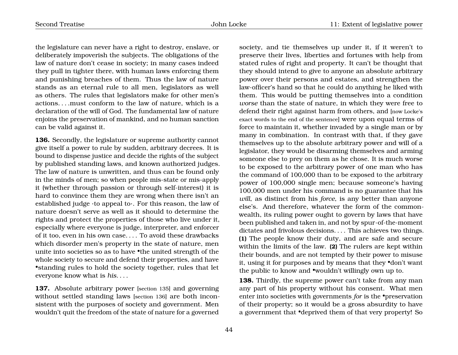the legislature can never have a right to destroy, enslave, or deliberately impoverish the subjects. The obligations of the law of nature don't cease in society; in many cases indeed they pull in tighter there, with human laws enforcing them and punishing breaches of them. Thus the law of nature stands as an eternal rule to all men, legislators as well as others. The rules that legislators make for other men's actions. . . .must conform to the law of nature, which is a declaration of the will of God. The fundamental law of nature enjoins the preservation of mankind, and no human sanction can be valid against it.

**136.** Secondly, the legislature or supreme authority cannot give itself a power to rule by sudden, arbitrary decrees. It is bound to dispense justice and decide the rights of the subject by published standing laws, and known authorized judges. The law of nature is unwritten, and thus can be found only in the minds of men; so when people mis-state or mis-apply it (whether through passion or through self-interest) it is hard to convince them they are wrong when there isn't an established judge ·to appeal to·. For this reason, the law of nature doesn't serve as well as it should to determine the rights and protect the properties of those who live under it, especially where everyone is judge, interpreter, and enforcer of it too, even in his own case. . . . To avoid these drawbacks which disorder men's property in the state of nature, men unite into societies so as to have •the united strength of the whole society to secure and defend their properties, and have •standing rules to hold the society together, rules that let everyone know what is *his*. . . .

**137.** Absolute arbitrary power [section 135] and governing without settled standing laws [section 136] are both inconsistent with the purposes of society and government. Men wouldn't quit the freedom of the state of nature for a governed

society, and tie themselves up under it, if it weren't to preserve their lives, liberties and fortunes with help from stated rules of right and property. It can't be thought that they should intend to give to anyone an absolute arbitrary power over their persons and estates, and strengthen the law-officer's hand so that he could do anything he liked with them. This would be putting themselves into a condition *worse* than the state of nature, in which they were free to defend their right against harm from others, and [now Locke's exact words to the end of the sentence] were upon equal terms of force to maintain it, whether invaded by a single man or by many in combination. In contrast with that, if they gave themselves up to the absolute arbitrary power and will of a legislator, they would be disarming themselves and arming someone else to prey on them as he chose. It is much worse to be exposed to the arbitrary power of one man who has the command of 100,000 than to be exposed to the arbitrary power of 100,000 single men; because someone's having 100,000 men under his command is no guarantee that his *will*, as distinct from his *force*, is any better than anyone else's. And therefore, whatever the form of the commonwealth, its ruling power ought to govern by laws that have been published and taken in, and not by spur-of-the-moment dictates and frivolous decisions. . . . This achieves two things. **(1)** The people know their duty, and are safe and secure within the limits of the law. **(2)** The rulers are kept within their bounds, and are not tempted by their power to misuse it, using it for purposes and by means that they •don't want the public to know and •wouldn't willingly own up to.

**138.** Thirdly, the supreme power can't take from any man any part of his property without his consent. What men enter into societies with governments *for* is the •preservation of their property; so it would be a gross absurdity to have a government that •deprived them of that very property! So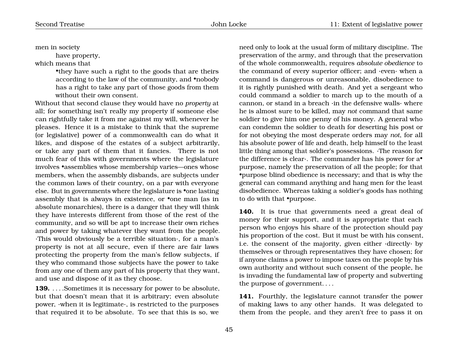men in society

have property,

which means that

•they have such a right to the goods that are theirs according to the law of the community, and •nobody has a right to take any part of those goods from them without their own consent.

Without that second clause they would have no *property* at all; for something isn't really my property if someone else can rightfully take it from me against my will, whenever he pleases. Hence it is a mistake to think that the supreme (or legislative) power of a commonwealth can do what it likes, and dispose of the estates of a subject arbitrarily, or take any part of them that it fancies. There is not much fear of this with governments where the legislature involves •assemblies whose membership varies—ones whose members, when the assembly disbands, are subjects under the common laws of their country, on a par with everyone else. But in governments where the legislature is •one lasting assembly that is always in existence, or •one man (as in absolute monarchies), there is a danger that they will think they have interests different from those of the rest of the community, and so will be apt to increase their own riches and power by taking whatever they want from the people. ·This would obviously be a terrible situation·, for a man's property is not at all secure, even if there are fair laws protecting the property from the man's fellow subjects, if they who command those subjects have the power to take from any one of them any part of his property that they want, and use and dispose of it as they choose.

**139.** . . . . Sometimes it is necessary for power to be absolute, but that doesn't mean that it is arbitrary; even absolute power, ·when it is legitimate·, is restricted to the purposes that required it to be absolute. To see that this is so, we

need only to look at the usual form of military discipline. The preservation of the army, and through that the preservation of the whole commonwealth, requires *absolute obedience* to the command of every superior officer; and ·even· when a command is dangerous or unreasonable, disobedience to it is rightly punished with death. And yet a sergeant who could command a soldier to march up to the mouth of a cannon, or stand in a breach ·in the defensive walls· where he is almost sure to be killed, may *not* command that same soldier to give him one penny of his money. A general who can condemn the soldier to death for deserting his post or for not obeying the most desperate orders may *not*, for all his absolute power of life and death, help himself to the least little thing among that soldier's possessions. ·The reason for the difference is clear·. The commander has his power for a• purpose, namely the preservation of all the people; for that •purpose blind obedience is necessary; and that is why the general can command anything and hang men for the least disobedience. Whereas taking a soldier's goods has nothing to do with that •purpose.

**140.** It is true that governments need a great deal of money for their support, and it is appropriate that each person who enjoys his share of the protection should pay his proportion of the cost. But it must be with his consent, i.e. the consent of the majority, given either ·directly· by themselves or through representatives they have chosen; for if anyone claims a power to impose taxes on the people by his own authority and without such consent of the people, he is invading the fundamental law of property and subverting the purpose of government. . . .

**141.** Fourthly, the legislature cannot transfer the power of making laws to any other hands. It was delegated to them from the people, and they aren't free to pass it on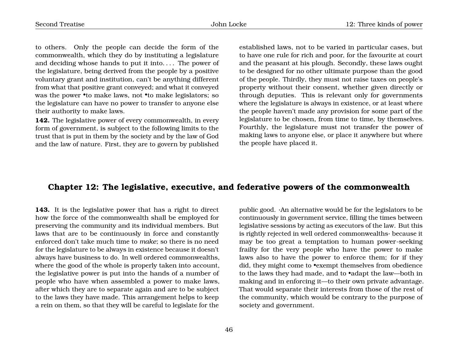to others. Only the people can decide the form of the commonwealth, which they do by instituting a legislature and deciding whose hands to put it into. . . . The power of the legislature, being derived from the people by a positive voluntary grant and institution, can't be anything different from what that positive grant conveyed; and what it conveyed was the power •to make laws, not •to make legislators; so the legislature can have no power to transfer to anyone else their authority to make laws.

**142.** The legislative power of every commonwealth, in every form of government, is subject to the following limits to the trust that is put in them by the society and by the law of God and the law of nature. First, they are to govern by published

established laws, not to be varied in particular cases, but to have one rule for rich and poor, for the favourite at court and the peasant at his plough. Secondly, these laws ought to be designed for no other ultimate purpose than the good of the people. Thirdly, they must not raise taxes on people's property without their consent, whether given directly or through deputies. This is relevant only for governments where the legislature is always in existence, or at least where the people haven't made any provision for some part of the legislature to be chosen, from time to time, by themselves. Fourthly, the legislature must not transfer the power of making laws to anyone else, or place it anywhere but where the people have placed it.

#### **Chapter 12: The legislative, executive, and federative powers of the commonwealth**

**143.** It is the legislative power that has a right to direct how the force of the commonwealth shall be employed for preserving the community and its individual members. But laws that are to be continuously in force and constantly enforced don't take much time to *make*; so there is no need for the legislature to be always in existence because it doesn't always have business to do. In well ordered commonwealths, where the good of the whole is properly taken into account, the legislative power is put into the hands of a number of people who have when assembled a power to make laws, after which they are to separate again and are to be subject to the laws they have made. This arrangement helps to keep a rein on them, so that they will be careful to legislate for the

public good. ·An alternative would be for the legislators to be continuously in government service, filling the times between legislative sessions by acting as executors of the law. But this is rightly rejected in well ordered commonwealths· because it may be too great a temptation to human power-seeking frailty for the very people who have the power to make laws also to have the power to enforce them; for if they did, they might come to •exempt themselves from obedience to the laws they had made, and to •adapt the law—both in making and in enforcing it—to their own private advantage. That would separate their interests from those of the rest of the community, which would be contrary to the purpose of society and government.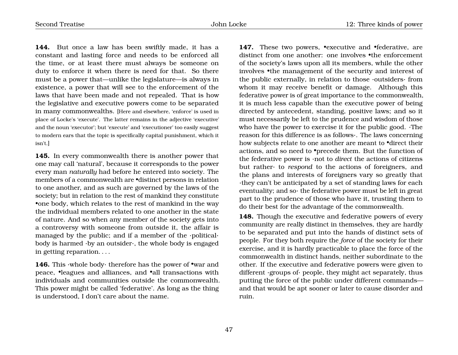**144.** But once a law has been swiftly made, it has a constant and lasting force and needs to be enforced all the time, or at least there must always be someone on duty to enforce it when there is need for that. So there must be a power that—unlike the legislature—is always in existence, a power that will see to the enforcement of the laws that have been made and not repealed. That is how the legislative and executive powers come to be separated in many commonwealths. [Here and elsewhere, 'enforce' is used in place of Locke's 'execute'. The latter remains in the adjective 'executive' and the noun 'executor'; but 'execute' and 'executioner' too easily suggest to modern ears that the topic is specifically capital punishment, which it isn't.]

**145.** In every commonwealth there is another power that one may call 'natural', because it corresponds to the power every man *naturally* had before he entered into society. The members of a commonwealth are •distinct persons in relation to one another, and as such are governed by the laws of the society; but in relation to the rest of mankind they constitute •one body, which relates to the rest of mankind in the way the individual members related to one another in the state of nature. And so when any member of the society gets into a controversy with someone from outside it, the affair is managed by the public; and if a member of the ·political· body is harmed ·by an outsider·, the whole body is engaged in getting reparation. . . .

**146.** This ·whole body· therefore has the power of •war and peace, •leagues and alliances, and •all transactions with individuals and communities outside the commonwealth. This power might be called 'federative'. As long as the thing is understood, I don't care about the name.

147. These two powers, **•**executive and •federative, are distinct from one another: one involves •the enforcement of the society's laws upon all its members, while the other involves •the management of the security and interest of the public externally, in relation to those ·outsiders· from whom it may receive benefit or damage. Although this federative power is of great importance to the commonwealth, it is much less capable than the executive power of being directed by antecedent, standing, positive laws; and so it must necessarily be left to the prudence and wisdom of those who have the power to exercise it for the public good. ·The reason for this difference is as follows·. The laws concerning how subjects relate to one another are meant to •direct their actions, and so need to •precede them. But the function of the federative power is ·not to *direct* the actions of citizens but rather· to *respond* to the actions of foreigners, and the plans and interests of foreigners vary so greatly that ·they can't be anticipated by a set of standing laws for each eventuality; and so· the federative power must be left in great part to the prudence of those who have it, trusting them to do their best for the advantage of the commonwealth.

**148.** Though the executive and federative powers of every community are really distinct in themselves, they are hardly to be separated and put into the hands of distinct sets of people. For they both require the *force* of the society for their exercise, and it is hardly practicable to place the force of the commonwealth in distinct hands, neither subordinate to the other. If the executive and federative powers were given to different ·groups of· people, they might act separately, thus putting the force of the public under different commands and that would be apt sooner or later to cause disorder and ruin.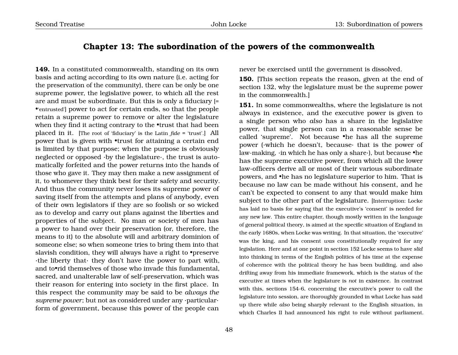# **Chapter 13: The subordination of the powers of the commonwealth**

**149.** In a constituted commonwealth, standing on its own basis and acting according to its own nature (i.e. acting for the preservation of the community), there can be only be one supreme power, the legislative power, to which all the rest are and must be subordinate. But this is only a fiduciary [= •'entrusted'] power to act for certain ends, so that the people retain a supreme power to remove or alter the legislature when they find it acting contrary to the **•trust** that had been placed in it. [The root of 'fiduciary' is the Latin *fide* = 'trust'.] All power that is given with •trust for attaining a certain end is limited by that purpose; when the purpose is obviously neglected or opposed ·by the legislature·, the trust is automatically forfeited and the power returns into the hands of those who gave it. They may then make a new assignment of it, to whomever they think best for their safety and security. And thus the community never loses its supreme power of saving itself from the attempts and plans of anybody, even of their own legislators if they are so foolish or so wicked as to develop and carry out plans against the liberties and properties of the subject. No man or society of men has a power to hand over their preservation (or, therefore, the means to it) to the absolute will and arbitrary dominion of someone else; so when someone tries to bring them into that slavish condition, they will always have a right to •preserve ·the liberty that· they don't have the power to part with, and to•rid themselves of those who invade this fundamental, sacred, and unalterable law of self-preservation, which was their reason for entering into society in the first place. In this respect the community may be said to be *always the supreme power*; but not as considered under any ·particular· form of government, because this power of the people can

never be exercised until the government is dissolved.

**150.** [This section repeats the reason, given at the end of section 132, why the legislature must be the supreme power in the commonwealth.]

**151.** In some commonwealths, where the legislature is not always in existence, and the executive power is given to a single person who *also* has a share in the legislative power, that single person can in a reasonable sense be called 'supreme'. Not because •he has all the supreme power (·which he doesn't, because· that is the power of law-making, ·in which he has only a share·), but because •he has the supreme executive power, from which all the lower law-officers derive all or most of their various subordinate powers, and •he has no legislature superior to him. That is because no law can be made without his consent, and he can't be expected to consent to any that would make him subject to the other part of the legislature. [Interruption: Locke has laid no basis for saying that the executive's 'consent' is needed for any new law. This entire chapter, though mostly written in the language of general political theory, is aimed at the specific situation of England in the early 1680s, when Locke was writing. In that situation, the 'executive' was the king, and his consent *was* constitutionally required for any legislation. Here and at one point in section 152 Locke seems to have *slid* into thinking in terms of the English politics of his time at the expense of coherence with the political theory he has been building, and also drifting away from his immediate framework, which is the status of the executive at times when the legislature is *not* in existence. In contrast with this, sections 154-6, concerning the executive's power to call the legislature into session, are thoroughly grounded in what Locke has said up there while *also* being sharply relevant to the English situation, in which Charles II had announced his right to rule without parliament.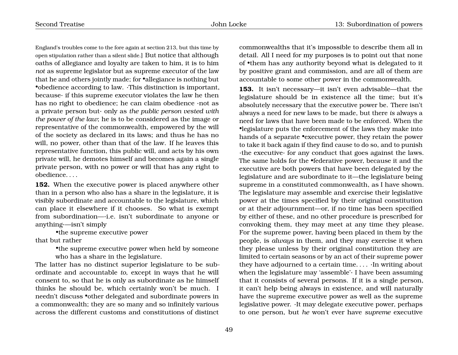England's troubles come to the fore again at section 213, but this time by open stipulation rather than a silent slide.] But notice that although oaths of allegiance and loyalty are taken to him, it is to him *not* as supreme legislator but as supreme executor of the law that he and others jointly made; for *•allegiance* is nothing but •obedience according to law. ·This distinction is important, because· if this supreme executor violates the law he then has no right to obedience; he can claim obedience ·not as a private person but· only as *the public person vested with the power of the law*; he is to be considered as the image or representative of the commonwealth, empowered by the will of the society as declared in its laws; and thus he has no will, no power, other than that of the law. If he leaves this representative function, this public will, and acts by his own private will, he demotes himself and becomes again a single private person, with no power or will that has any right to obedience. . . .

**152.** When the executive power is placed anywhere other than in a person who also has a share in the legislature, it is visibly subordinate and accountable to the legislature, which can place it elsewhere if it chooses. So what is exempt from subordination—·i.e. isn't subordinate to anyone or anything·—isn't simply

•the supreme executive power that but rather

> •the supreme executive power when held by someone who has a share in the legislature.

The latter has no distinct superior legislature to be subordinate and accountable *to*, except in ways that he will consent to, so that he is only as subordinate as he himself thinks he should be, which certainly won't be much. I needn't discuss •other delegated and subordinate powers in a commonwealth; they are so many and so infinitely various across the different customs and constitutions of distinct

commonwealths that it's impossible to describe them all in detail. All I need for my purposes is to point out that none of •them has any authority beyond what is delegated to it by positive grant and commission, and are all of them are accountable to some other power in the commonwealth.

**153.** It isn't necessary—it isn't even advisable—that the legislature should be in existence all the time; but it's absolutely necessary that the executive power be. There isn't always a need for new laws to be made, but there *is* always a need for laws that have been made to be enforced. When the •legislature puts the enforcement of the laws they make into hands of a separate •executive power, they retain the power to take it back again if they find cause to do so, and to punish ·the executive· for any conduct that goes against the laws. The same holds for the •federative power, because it and the executive are both powers that have been delegated by the legislature and are subordinate to it—the legislature being supreme in a constituted commonwealth, as I have shown. The legislature may assemble and exercise their legislative power at the times specified by their original constitution or at their adjournment—or, if no time has been specified by either of these, and no other procedure is prescribed for convoking them, they may meet at any time they please. For the supreme power, having been placed in them by the people, is *always* in them, and they may exercise it when they please unless by their original constitution they are limited to certain seasons or by an act of their supreme power they have adjourned to a certain time. . . . ·In writing about when the legislature may 'assemble'· I have been assuming that it consists of several persons. If it is a single person, it can't help being always in existence, and will naturally have the supreme executive power as well as the supreme legislative power. ·It may delegate executive power, perhaps to one person, but *he* won't ever have *supreme* executive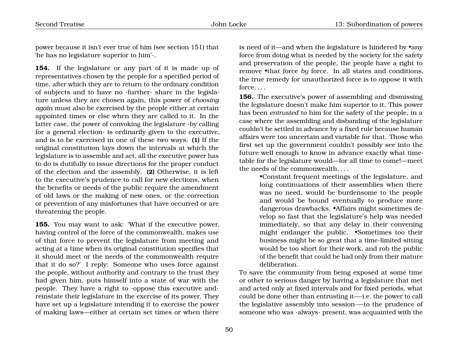power because it isn't ever true of him (see section 151) that 'he has no legislature superior to him'·.

**154.** If the legislature or any part of it is made up of representatives chosen by the people for a specified period of time, after which they are to return to the ordinary condition of subjects and to have no ·further· share in the legislature unless they are chosen again, this power of *choosing again* must also be exercised by the people either at certain appointed times or else when they are called to it. In the latter case, the power of convoking the legislature ·by calling for a general election $\cdot$  is ordinarily given to the executive, and is to be exercised in one of these two ways. **(1)** If the original constitution lays down the intervals at which the legislature is to assemble and act, all the executive power has to do is dutifully to issue directions for the proper conduct of the election and the assembly. **(2)** Otherwise, it is left to the executive's prudence to call for new elections, when the benefits or needs of the public require the amendment of old laws or the making of new ones, or the correction or prevention of any misfortunes that have occurred or are threatening the people.

**155.** You may want to ask: 'What if the executive power, having control of the force of the commonwealth, makes use of that force to prevent the legislature from meeting and acting at a time when its original constitution specifies that it should meet or the needs of the commonwealth require that it do so?' I reply: Someone who uses force against the people, without authority and contrary to the trust they had given him, puts himself into a state of war with the people. They have a right to ·oppose this executive and· reinstate their legislature in the exercise of its power. They have set up a legislature intending it to exercise the power of making laws—either at certain set times or when there is need of it—and when the legislature is hindered by •any force from doing what is needed by the society for the safety and preservation of the people, the people have a right to remove •that force *by* force. In all states and conditions, the true remedy for unauthorized force is to oppose it with force. . . .

**156.** The executive's power of assembling and dismissing the legislature doesn't make him superior to it. This power has been *entrusted* to him for the safety of the people, in a case where the assembling and disbanding of the legislature couldn't be settled in advance by a fixed rule because human affairs were too uncertain and variable for that. Those who first set up the government couldn't possibly see into the future well enough to know in advance exactly what timetable for the legislature would—for all time to come!—meet the needs of the commonwealth. . . .

> •Constant frequent meetings of the legislature, and long continuations of their assemblies when there was no need, would be burdensome to the people and would be bound eventually to produce more dangerous drawbacks. •Affairs might sometimes develop so fast that the legislature's help was needed immediately, so that any delay in their convening might endanger the public. •Sometimes too their business might be so great that a time-limited sitting would be too short for their work, and rob the public of the benefit that could be had only from their mature deliberation.

To save the community from being exposed at some time or other to serious danger by having a legislature that met and acted only at fixed intervals and for fixed periods, what could be done other than entrusting it—·i.e. the power to call the legislative assembly into session·—to the prudence of someone who was ·always· present, was acquainted with the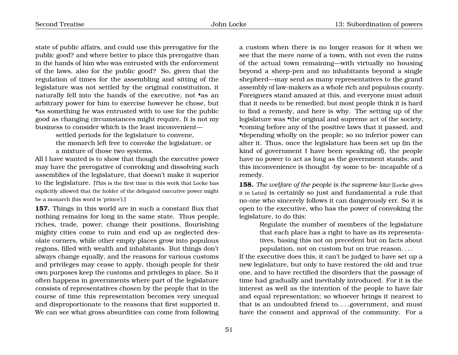state of public affairs, and could use this prerogative for the public good? and where better to place this prerogative than in the hands of him who was entrusted with the enforcement of the laws, also for the public good? So, given that the regulation of times for the assembling and sitting of the legislature was not settled by the original constitution, it naturally fell into the hands of the executive, not *•as an* arbitrary power for him to exercise however he chose, but •as something he was entrusted with to use for the public good as changing circumstances might require. It is not my business to consider which is the least inconvenient—

> settled periods for the legislature to convene, the monarch left free to convoke the legislature, or a mixture of those two systems.

All I have wanted is to show that though the executive power may have the prerogative of convoking and dissolving such assemblies of the legislature, that doesn't make it superior to the legislature. [This is the first time in this work that Locke has explicitly allowed that the holder of the delegated executive power might be a monarch (his word is 'prince').]

**157.** Things in this world are in such a constant flux that nothing remains for long in the same state. Thus people, riches, trade, power, change their positions, flourishing mighty cities come to ruin and end up as neglected desolate corners, while other empty places grow into populous regions, filled with wealth and inhabitants. But things don't always change equally, and the reasons for various customs and privileges may cease to apply, though people for their own purposes keep the customs and privileges in place. So it often happens in governments where part of the legislature consists of representatives chosen by the people that in the course of time this representation becomes very unequal and disproportionate to the reasons that first supported it. We can see what gross absurdities can come from following

a custom when there is no longer reason for it when we see that the mere *name* of a town, with not even the ruins of the actual town remaining—with virtually no housing beyond a sheep-pen and no inhabitants beyond a single shepherd—may send as many representatives to the grand assembly of law-makers as a whole rich and populous county. Foreigners stand amazed at this, and everyone must admit that it needs to be remedied; but most people think it is hard to find a remedy, and here is why. The setting up of the legislature was •the original and supreme act of the society, •coming before any of the positive laws that it passed, and •depending wholly on the people; so no inferior power can alter it. Thus, once the legislature has been set up (in the kind of government I have been speaking of), the people have no power to act as long as the government stands; and this inconvenience is thought  $\cdot$  by some to be $\cdot$  incapable of a remedy.

**158.** *The welfare of the people is the supreme law* [Locke gives it in Latin] is certainly so just and fundamental a rule that no-one who sincerely follows it can dangerously err. So it is open to the executive, who has the power of convoking the legislature, to do this:

> Regulate the number of members of the legislature that each place has a right to have as its representatives, basing this not on precedent but on facts about population, not on custom but on true reason. . . .

If the executive does this, it can't be judged to have set up a new legislature, but only to have restored the old and true one, and to have rectified the disorders that the passage of time had gradually and inevitably introduced. For it is the interest as well as the intention of the people to have fair and equal representation; so whoever brings it nearest to that is an undoubted friend to....government, and must have the consent and approval of the community. For a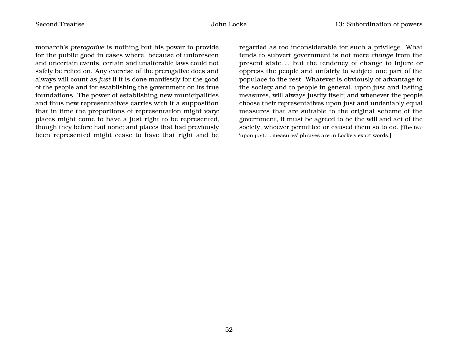monarch's *prerogative* is nothing but his power to provide for the public good in cases where, because of unforeseen and uncertain events, certain and unalterable laws could not safely be relied on. Any exercise of the prerogative does and always will count as *just* if it is done manifestly for the good of the people and for establishing the government on its true foundations. The power of establishing new municipalities and thus new representatives carries with it a supposition that in time the proportions of representation might vary: places might come to have a just right to be represented, though they before had none; and places that had previously been represented might cease to have that right and be

regarded as too inconsiderable for such a privilege. What tends to subvert government is not mere *change* from the present state. . . .but the tendency of change to injure or oppress the people and unfairly to subject one part of the populace to the rest. Whatever is obviously of advantage to the society and to people in general, upon just and lasting measures, will always justify itself; and whenever the people choose their representatives upon just and undeniably equal measures that are suitable to the original scheme of the government, it must be agreed to be the will and act of the society, whoever permitted or caused them so to do. [The two 'upon just. . . measures' phrases are in Locke's exact words.]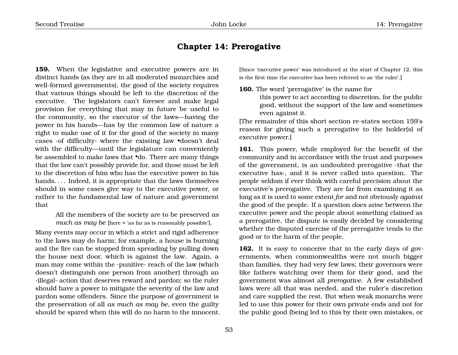#### **Chapter 14: Prerogative**

**159.** When the legislative and executive powers are in distinct hands (as they are in all moderated monarchies and well-formed governments), the good of the society requires that various things should be left to the discretion of the executive. The legislators can't foresee and make legal provision for everything that may in future be useful to the community, so the executor of the laws—having the power in his hands—has by the common law of nature a right to make use of it for the good of the society in many cases ·of difficulty· where the existing law •doesn't deal with the difficulty—until the legislature can conveniently be assembled to make laws that •do. There are many things that the law can't possibly provide for, and those must be left to the discretion of him who has the executive power in his hands.... Indeed, it is appropriate that the laws themselves should in some cases give way to the executive power, or rather to the fundamental law of nature and government that

> All the members of the society are to be preserved *as much as may be* [here = 'as far as is reasonably possible'].

Many events may occur in which a strict and rigid adherence to the laws may do harm; for example, a house is burning and the fire can be stopped from spreading by pulling down the house next door, which is against the law. Again, a man may come within the ·punitive· reach of the law (which doesn't distinguish one person from another) through an ·illegal· action that deserves reward and pardon; so the ruler should have a power to mitigate the severity of the law and pardon some offenders. Since the purpose of government is the preservation of all *as much as may be*, even the guilty should be spared when this will do no harm to the innocent.

[Since 'executive power' was introduced at the start of Chapter 12, this is the first time the executive has been referred to as 'the ruler'.]

**160.** The word 'prerogative' is the name for

this power to act according to discretion, for the public good, without the support of the law and sometimes even against it.

[The remainder of this short section re-states section 159's reason for giving such a prerogative to the holder(s) of executive power.]

**161.** This power, while employed for the benefit of the community and in accordance with the trust and purposes of the government, is an undoubted prerogative ·that the executive has·, and it is never called into question. The people seldom if ever think with careful precision about the executive's prerogative. They are far from examining it as long as it is used to some extent *for* and not obviously *against* the good of the people. If a question *does* arise between the executive power and the people about something claimed as a prerogative, the dispute is easily decided by considering whether the disputed exercise of the prerogative tends to the good or to the harm of the people.

**162.** It is easy to conceive that in the early days of governments, when commonwealths were not much bigger than families, they had very few laws; their governors were like fathers watching over them for their good, and the government was almost all *prerogative*. A few established laws were all that was needed, and the ruler's discretion and care supplied the rest. But when weak monarchs were led to use this power for their own private ends and not for the public good (being led to this by their own mistakes, or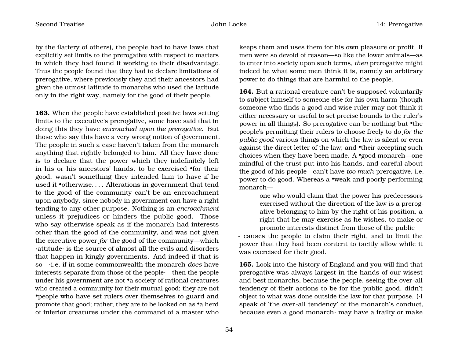by the flattery of others), the people had to have laws that explicitly set limits to the prerogative with respect to matters in which they had found it working to their disadvantage. Thus the people found that they had to declare limitations of prerogative, where previously they and their ancestors had given the utmost latitude to monarchs who used the latitude only in the right way, namely for the good of their people.

**163.** When the people have established positive laws setting limits to the executive's prerogative, some have said that in doing this they have *encroached upon the prerogative*. But those who say this have a very wrong notion of government. The people in such a case haven't taken from the monarch anything that rightly belonged to him. All they have done is to declare that the power which they indefinitely left in his or his ancestors' hands, to be exercised •for their good, wasn't something they intended him to have if he used it •otherwise. . . . Alterations in government that tend to the good of the community can't be an encroachment upon anybody, since nobody in government can have a right tending to any other purpose. Nothing is an *encroachment* unless it prejudices or hinders the public good. Those who say otherwise speak as if the monarch had interests other than the good of the community, and was not given the executive power *for* the good of the community—which ·attitude· is the source of almost all the evils and disorders that happen in kingly governments. And indeed if that is so—·i.e. if in some commonwealth the monarch *does* have interests separate from those of the people·—then the people under his government are not •a society of rational creatures who created a community for their mutual good; they are not •people who have set rulers over themselves to guard and promote that good; rather, they are to be looked on as •a herd of inferior creatures under the command of a master who

keeps them and uses them for his own pleasure or profit. If men were so devoid of reason—so like the lower animals—as to enter into society upon such terms, *then* prerogative might indeed be what some men think it is, namely an arbitrary power to do things that are harmful to the people.

**164.** But a rational creature can't be supposed voluntarily to subject himself to someone else for his own harm (though someone who finds a good and wise ruler may not think it either necessary or useful to set precise bounds to the ruler's power in all things). So prerogative can be nothing but •the people's permitting their rulers to choose freely to do *for the public good* various things on which the law is silent or even against the direct letter of the law; and •their accepting such choices when they have been made. A •good monarch—one mindful of the trust put into his hands, and careful about the good of his people—can't have *too much* prerogative, i.e. power to do good. Whereas a •weak and poorly performing monarch—

> one who would claim that the power his predecessors exercised without the direction of the law is a prerogative belonging to him by the right of his position, a right that he may exercise as he wishes, to make or promote interests distinct from those of the public

- causes the people to claim their right, and to limit the power that they had been content to tacitly allow while it was exercised for their good.

**165.** Look into the history of England and you will find that prerogative was always largest in the hands of our wisest and best monarchs, because the people, seeing the over-all tendency of their actions to be for the public good, didn't object to what was done outside the law for that purpose. (·I speak of 'the over-all tendency' of the monarch's conduct, because even a good monarch· may have a frailty or make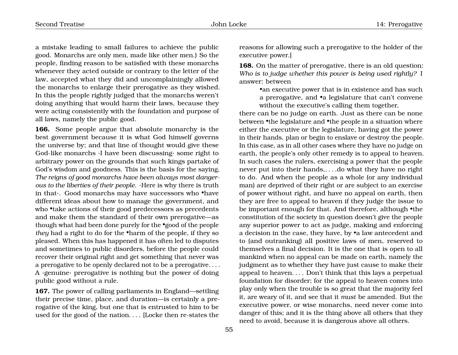a mistake leading to small failures to achieve the public good. Monarchs are only men, made like other men.) So the people, finding reason to be satisfied with these monarchs whenever they acted outside or contrary to the letter of the law, accepted what they did and uncomplainingly allowed the monarchs to enlarge their prerogative as they wished. In this the people rightly judged that the monarchs weren't doing anything that would harm their laws, because they were acting consistently with the foundation and purpose of all laws, namely the public good.

**166.** Some people argue that absolute monarchy is the best government because it is what God himself governs the universe by; and that line of thought would give these God-like monarchs ·I have been discussing· some right to arbitrary power on the grounds that such kings partake of God's wisdom and goodness. This is the basis for the saying, *The reigns of good monarchs have been always most dangerous to the liberties of their people*. ·Here is why there is truth in that·. Good monarchs may have successors who •have different ideas about how to manage the government, and who •take actions of their good predecessors as precedents and make them the standard of their own prerogative—as though what had been done purely for the •good of the people *they* had a right to do for the •harm of the people, if they so pleased. When this has happened it has often led to disputes and sometimes to public disorders, before the people could recover their original right and get something that never was a prerogative to be openly declared not to be a prerogative. . . . A ·genuine· prerogative is nothing but the power of doing public good without a rule.

**167.** The power of calling parliaments in England—settling their precise time, place, and duration—is certainly a prerogative of the king, but one that is entrusted to him to be used for the good of the nation. . . . [Locke then re-states the reasons for allowing such a prerogative to the holder of the executive power.]

**168.** On the matter of prerogative, there is an old question: *Who is to judge whether this power is being used rightly?* I answer: between

> •an executive power that is in existence and has such a prerogative, and •a legislature that can't convene without the executive's calling them together,

there can be no judge on earth. Just as there can be none between •the legislature and •the people in a situation where either the executive or the legislature, having got the power in their hands, plan or begin to enslave or destroy the people. In this case, as in all other cases where they have no judge on earth, the people's only other remedy is to appeal to heaven. In such cases the rulers, exercising a power that the people never put into their hands,. . . .do what they have no right to do. And when the people as a whole (or any individual man) are deprived of their right or are subject to an exercise of power without right, and have no appeal on earth, then they are free to appeal to heaven if they judge the issue to be important enough for that. And therefore, although •the constitution of the society in question doesn't give the people any superior power to act as judge, making and enforcing a decision in the case, they have, by •a law antecedent and to (and outranking) all positive laws of men, reserved to themselves a final decision. It is the one that is open to all mankind when no appeal can be made on earth, namely the judgment as to whether they have just cause to make their appeal to heaven. . . . Don't think that this lays a perpetual foundation for disorder; for the appeal to heaven comes into play only when the trouble is so great that the majority feel it, are weary of it, and see that it *must* be amended. But the executive power, or wise monarchs, need never come into danger of this; and it is the thing above all others that they need to avoid, because it is dangerous above all others.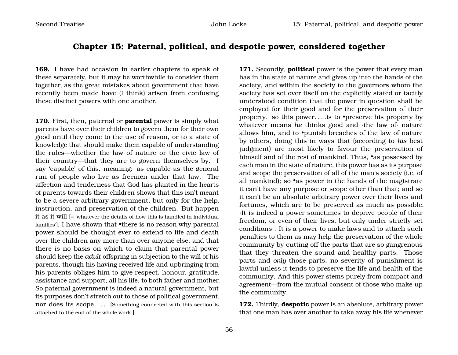# **Chapter 15: Paternal, political, and despotic power, considered together**

**169.** I have had occasion in earlier chapters to speak of these separately, but it may be worthwhile to consider them together, as the great mistakes about government that have recently been made have (I think) arisen from confusing these distinct powers with one another.

**170.** First, then, paternal or **parental** power is simply what parents have over their children to govern them for their own good until they come to the use of reason, or to a state of knowledge that should make them capable of understanding the rules—whether the law of nature or the civic law of their country—that they are to govern themselves by. I say 'capable' of this, meaning: as capable as the general run of people who live as freemen under that law. The affection and tenderness that God has planted in the hearts of parents towards their children shows that this isn't meant to be a severe arbitrary government, but only for the help, instruction, and preservation of the children. But happen it as it will [= 'whatever the details of how this is handled in individual families'], I have shown that •there is no reason why parental power should be thought ever to extend to life and death over the children any more than over anyone else; and that there is no basis on which to claim that parental power should keep the *adult* offspring in subjection to the will of his parents, though his having received life and upbringing from his parents obliges him to give respect, honour, gratitude, assistance and support, all his life, to both father and mother. So paternal government is indeed a natural government, but its purposes don't stretch out to those of political government, nor does its scope. . . . [Something connected with this section is attached to the end of the whole work.]

**171.** Secondly, **political** power is the power that every man has in the state of nature and gives up into the hands of the society, and within the society to the governors whom the society has set over itself on the explicitly stated or tacitly understood condition that the power in question shall be employed for their good and for the preservation of their property. so this power. . . .is to •preserve his property by whatever means *he* thinks good and ·the law of· nature allows him, and to •punish breaches of the law of nature by others, doing this in ways that (according to *his* best judgment) are most likely to favour the preservation of himself and of the rest of mankind. Thus, •as possessed by each man in the state of nature, this power has as its purpose and scope the preservation of all of the man's society (i.e. of all mankind); so •as power in the hands of the magistrate it can't have any purpose or scope other than that; and so it can't be an absolute arbitrary power over their lives and fortunes, which are to be preserved as much as possible. ·It is indeed a power sometimes to deprive people of their freedom, or even of their lives, but only under strictly set conditions·. It is a power to make laws and to attach such penalties to them as may help the preservation of the whole community by cutting off the parts that are so gangrenous that they threaten the sound and healthy parts. Those parts and *only* those parts; no severity of punishment is lawful unless it tends to preserve the life and health of the community. And this power stems purely from compact and agreement—from the mutual consent of those who make up the community.

**172.** Thirdly, **despotic** power is an absolute, arbitrary power that one man has over another to take away his life whenever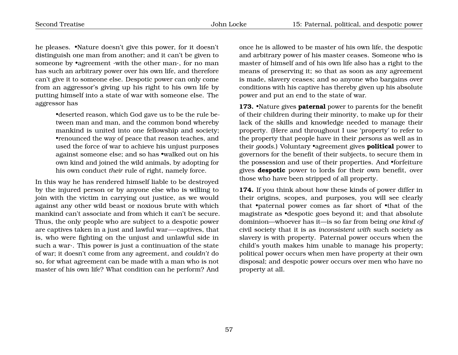he pleases. •Nature doesn't give this power, for it doesn't distinguish one man from another; and it can't be given to someone by •agreement ·with the other man·, for no man has such an arbitrary power over his own life, and therefore can't give it to someone else. Despotic power can only come from an aggressor's giving up his right to his own life by putting himself into a state of war with someone else. The aggressor has

> •deserted reason, which God gave us to be the rule between man and man, and the common bond whereby mankind is united into one fellowship and society; •renounced the way of peace that reason teaches, and used the force of war to achieve his unjust purposes against someone else; and so has •walked out on his own kind and joined the wild animals, by adopting for his own conduct *their* rule of right, namely force.

In this way he has rendered himself liable to be destroyed by the injured person or by anyone else who is willing to join with the victim in carrying out justice, as we would against any other wild beast or noxious brute with which mankind can't associate and from which it can't be secure. Thus, the only people who are subject to a despotic power are captives taken in a just and lawful war—·captives, that is, who were fighting on the unjust and unlawful side in such a war·. This power is just a continuation of the state of war; it doesn't come from any agreement, and *couldn't* do so, for what agreement can be made with a man who is not master of his own life? What condition can he perform? And

once he is allowed to be master of his own life, the despotic and arbitrary power of his master ceases. Someone who is master of himself and of his own life also has a right to the means of preserving it; so that as soon as any agreement is made, slavery ceases; and so anyone who bargains over conditions with his captive has thereby given up his absolute power and put an end to the state of war.

**173.** •Nature gives **paternal** power to parents for the benefit of their children during their minority, to make up for their lack of the skills and knowledge needed to manage their property. (Here and throughout I use 'property' to refer to the property that people have in their *persons* as well as in their *goods*.) Voluntary •agreement gives **political** power to governors for the benefit of their subjects, to secure them in the possession and use of their properties. And •forfeiture gives **despotic** power to lords for their own benefit, over those who have been stripped of all property.

**174.** If you think about how these kinds of power differ in their origins, scopes, and purposes, you will see clearly that •paternal power comes as far short of •that of the magistrate as •despotic goes beyond it; and that absolute dominion—whoever has it—is so far from being *one kind of* civil society that it is as *inconsistent with* such society as slavery is with property. Paternal power occurs when the child's youth makes him unable to manage his property; political power occurs when men have property at their own disposal; and despotic power occurs over men who have no property at all.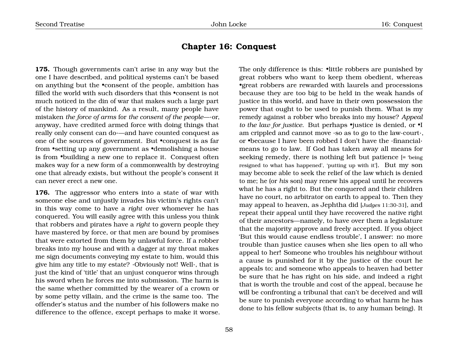### **Chapter 16: Conquest**

**175.** Though governments can't arise in any way but the one I have described, and political systems can't be based on anything but the •consent of the people, ambition has filled the world with such disorders that this •consent is not much noticed in the din of war that makes such a large part of the history of mankind. As a result, many people have mistaken *the force of arms* for *the consent of the people*—·or, anyway, have credited armed force with doing things that really only consent can do·—and have counted conquest as one of the sources of government. But •conquest is as far from •setting up any government as •demolishing a house is from •building a new one to replace it. Conquest often makes way for a new form of a commonwealth by destroying one that already exists, but without the people's consent it can never erect a new one.

**176.** The aggressor who enters into a state of war with someone else and unjustly invades his victim's rights can't in this way come to have a *right* over whomever he has conquered. You will easily agree with this unless you think that robbers and pirates have a *right* to govern people they have mastered by force, or that men are bound by promises that were extorted from them by unlawful force. If a robber breaks into my house and with a dagger at my throat makes me sign documents conveying my estate to him, would this give him any title to my estate? ·Obviously not! Well·, that is just the kind of 'title' that an unjust conqueror wins through his sword when he forces me into submission. The harm is the same whether committed by the wearer of a crown or by some petty villain, and the crime is the same too. The offender's status and the number of his followers make no difference to the offence, except perhaps to make it worse. The only difference is this:  $\bullet$ little robbers are punished by great robbers who want to keep them obedient, whereas •great robbers are rewarded with laurels and processions because they are too big to be held in the weak hands of justice in this world, and have in their own possession the power that ought to be used to punish them. What is my remedy against a robber who breaks into my house? *Appeal to the law for justice*. But perhaps •justice is denied, or •I am crippled and cannot move ·so as to go to the law-court·, or •because I have been robbed I don't have the ·financial· means to go to law. If God has taken away all means for seeking remedy, there is nothing left but patience [= 'being resigned to what has happened', 'putting up with it']. But my son may become able to seek the relief of the law which is denied to me; he (or *his* son) may renew his appeal until he recovers what he has a right to. But the conquered and their children have no court, no arbitrator on earth to appeal to. Then they may appeal to heaven, as Jephtha did [*Judges* 11:30-31], and repeat their appeal until they have recovered the native right of their ancestors—namely, to have over them a legislature that the majority approve and freely accepted. If you object 'But this would cause endless trouble', I answer: no more trouble than justice causes when she lies open to all who appeal to her! Someone who troubles his neighbour without a cause is punished for it by the justice of the court he appeals to; and someone who appeals to heaven had better be sure that he has right on his side, and indeed a right that is worth the trouble and cost of the appeal, because he will be confronting a tribunal that can't be deceived and will be sure to punish everyone according to what harm he has done to his fellow subjects (that is, to any human being). It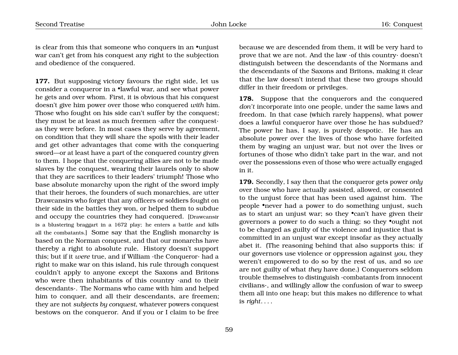is clear from this that someone who conquers in an •unjust war can't get from his conquest any right to the subjection and obedience of the conquered.

**177.** But supposing victory favours the right side, let us consider a conqueror in a •lawful war, and see what power he gets and over whom. First, it is obvious that his conquest doesn't give him power over those who conquered *with* him. Those who fought on his side can't suffer by the conquest; they must be at least as much freemen ·after the conquest· as they were before. In most cases they serve by agreement, on condition that they will share the spoils with their leader and get other advantages that come with the conquering sword—or at least have a part of the conquered country given to them. I hope that the conquering allies are not to be made slaves by the conquest, wearing their laurels only to show that they are sacrifices to their leaders' triumph! Those who base absolute monarchy upon the right of the sword imply that their heroes, the founders of such monarchies, are utter Drawcansirs who forget that any officers or soldiers fought on their side in the battles they won, or helped them to subdue and occupy the countries they had conquered. [Drawcansir is a blustering braggart in a 1672 play; he enters a battle and kills all the combatants.] Some say that the English monarchy is based on the Norman conquest, and that our monarchs have thereby a right to absolute rule. History doesn't support this; but if it *were* true, and if William ·the Conqueror· had a right to make war on this island, his rule through conquest couldn't apply to anyone except the Saxons and Britons who were then inhabitants of this country ·and to their descendants·. The Normans who came with him and helped him to conquer, and all their descendants, are freemen; they are not *subjects by conquest*, whatever powers conquest bestows on the conqueror. And if you or I claim to be free

because we are descended from them, it will be very hard to prove that we are not. And the law ·of this country· doesn't distinguish between the descendants of the Normans and the descendants of the Saxons and Britons, making it clear that the law doesn't intend that these two groups should differ in their freedom or privileges.

**178.** Suppose that the conquerors and the conquered *don't* incorporate into one people, under the same laws and freedom. In that case (which rarely happens), what power does a lawful conqueror have over those he has subdued? The power he has, I say, is purely despotic. He has an absolute power over the lives of those who have forfeited them by waging an unjust war, but not over the lives or fortunes of those who didn't take part in the war, and not over the possessions even of those who were actually engaged in it.

**179.** Secondly, I say then that the conqueror gets power *only* over those who have actually assisted, allowed, or consented to the unjust force that has been used against him. The people •never had a power to do something unjust, such as to start an unjust war; so they •can't have given their governors a power to do such a thing; so they •ought not to be charged as guilty of the violence and injustice that is committed in an unjust war except insofar as they actually abet it. (The reasoning behind that also supports this: if our governors use violence or oppression against *you*, they weren't empowered to do so by the rest of us, and so *we* are not guilty of what *they* have done.) Conquerors seldom trouble themselves to distinguish ·combatants from innocent civilians·, and willingly allow the confusion of war to sweep them all into one heap; but this makes no difference to what is *right*. . . .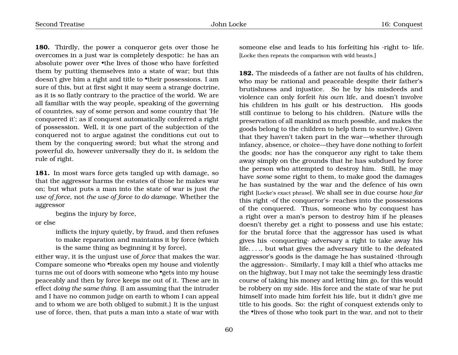**180.** Thirdly, the power a conqueror gets over those he overcomes in a just war is completely despotic: he has an absolute power over •the lives of those who have forfeited them by putting themselves into a state of war; but this doesn't give him a right and title to •their possessions. I am sure of this, but at first sight it may seem a strange doctrine, as it is so flatly contrary to the practice of the world. We are all familiar with the way people, speaking of the governing of countries, say of some person and some country that 'He conquered it'; as if conquest automatically conferred a right of possession. Well, it *is* one part of the subjection of the conquered not to argue against the conditions cut out to them by the conquering sword; but what the strong and powerful *do*, however universally they do it, is seldom the rule of right.

**181.** In most wars force gets tangled up with damage, so that the aggressor harms the estates of those he makes war on; but what puts a man into the state of war is just *the use of force*, not *the use of force to do damage*. Whether the aggressor

begins the injury by force,

or else

inflicts the injury quietly, by fraud, and then refuses to make reparation and maintains it by force (which is the same thing as beginning it by force),

either way, it is the unjust use of *force* that makes the war. Compare someone who •breaks open my house and violently turns me out of doors with someone who •gets into my house peaceably and then by force keeps me out of it. These are in effect *doing the same thing*. (I am assuming that the intruder and I have no common judge on earth to whom I can appeal and to whom we are both obliged to submit.) It is the unjust use of force, then, that puts a man into a state of war with

someone else and leads to his forfeiting his ·right to· life. [Locke then repeats the comparison with wild beasts.]

**182.** The misdeeds of a father are not faults of his children, who may be rational and peaceable despite their father's brutishness and injustice. So he by his misdeeds and violence can only forfeit *his own* life, and doesn't involve his children in his guilt or his destruction. His goods still continue to belong to his children. (Nature wills the preservation of all mankind as much possible, and makes the goods belong to the children to help them to survive.) Given that they haven't taken part in the war—whether through infancy, absence, or choice—they have done nothing to forfeit the goods; nor has the conqueror any right to take them away simply on the grounds that he has subdued by force the person who attempted to destroy him. Still, he may have *some* some right to them, to make good the damages he has sustained by the war and the defence of his own right [Locke's exact phrase]. We shall see in due course *how far* this right ·of the conqueror's· reaches into the possessions of the conquered. Thus, someone who by conquest has a right over a man's person to destroy him if he pleases doesn't thereby get a right to possess and use his estate; for the brutal force that the aggressor has used is what gives his ·conquering· adversary a right to take away his life. . . ., but what gives the adversary title to the defeated aggressor's goods is the damage he has sustained ·through the aggression·. Similarly, I may kill a thief who attacks me on the highway, but I may not take the seemingly less drastic course of taking his money and letting him go, for this would be robbery on my side. His force and the state of war he put himself into made him forfeit his life, but it didn't give me title to his goods. So: the right of conquest extends only to the •lives of those who took part in the war, and not to their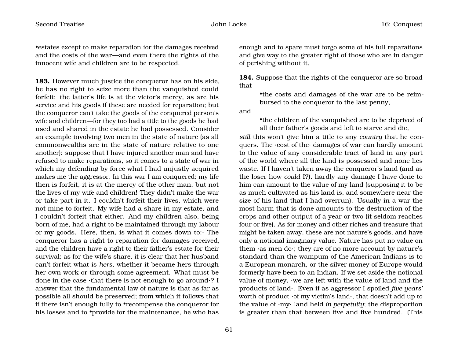•estates except to make reparation for the damages received and the costs of the war—and even there the rights of the innocent wife and children are to be respected.

**183.** However much justice the conqueror has on his side, he has no right to seize more than the vanquished could forfeit: the latter's life is at the victor's mercy, as are his service and his goods if these are needed for reparation; but the conqueror can't take the goods of the conquered person's wife and children—for they too had a title to the goods he had used and shared in the estate he had possessed. Consider an example involving two men in the state of nature (as all commonwealths are in the state of nature relative to one another): suppose that I have injured another man and have refused to make reparations, so it comes to a state of war in which my defending by force what I had unjustly acquired makes me the aggressor. In this war I am conquered; my life then is forfeit, it is at the mercy of the other man, but not the lives of my wife and children! They didn't make the war or take part in it. I couldn't forfeit their lives, which were not mine to forfeit. My wife had a share in my estate, and I couldn't forfeit that either. And my children also, being born of me, had a right to be maintained through my labour or my goods. Here, then, is what it comes down to:- The conqueror has a right to reparation for damages received, and the children have a right to their father's estate for their survival; as for the wife's share, it is clear that her husband can't forfeit what is *hers*, whether it became hers through her own work or through some agreement. What must be done in the case ·that there is not enough to go around·? I answer that the fundamental law of nature is that as far as possible all should be preserved; from which it follows that if there isn't enough fully to •recompense the conqueror for his losses and to •provide for the maintenance, he who has

enough and to spare must forgo some of his full reparations and give way to the greater right of those who are in danger of perishing without it.

**184.** Suppose that the rights of the conqueror are so broad that

> •the costs and damages of the war are to be reimbursed to the conqueror to the last penny,

and

•the children of the vanquished are to be deprived of all their father's goods and left to starve and die,

*still* this won't give him a title to any *country* that he conquers. The ·cost of the· damages of war can hardly amount to the value of any considerable tract of land in any part of the world where all the land is possessed and none lies waste. If I haven't taken away the conqueror's land (and as the loser how *could* I?), hardly any damage I have done to him can amount to the value of my land (supposing it to be as much cultivated as his land is, and somewhere near the size of his land that I had overrun). Usually in a war the most harm that is done amounts to the destruction of the crops and other output of a year or two (it seldom reaches four or five). As for money and other riches and treasure that might be taken away, these are not nature's goods, and have only a notional imaginary value. Nature has put no value on them ·as men do·; they are of no more account by nature's standard than the wampum of the American Indians is to a European monarch, or the silver money of Europe would formerly have been to an Indian. If we set aside the notional value of money, ·we are left with the value of land and the products of land·. Even if as aggressor I spoiled *five years'* worth of product ·of my victim's land·, that doesn't add up to the value of ·my· land held *in perpetuity*; the disproportion is greater than that between five and five hundred. (This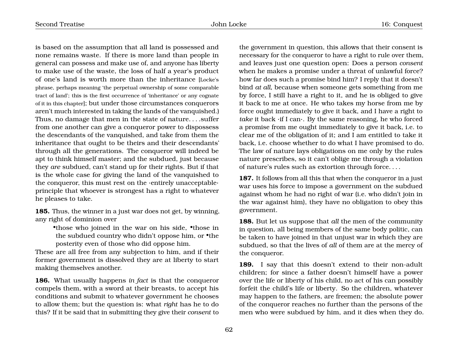is based on the assumption that all land is possessed and none remains waste. If there is more land than people in general can possess and make use of, and anyone has liberty to make use of the waste, the loss of half a year's product of one's land is worth more than the inheritance [Locke's phrase, perhaps meaning 'the perpetual ownership of some comparable tract of land'; this is the first occurrence of 'inheritance' or any cognate of it in this chapter]; but under those circumstances conquerors aren't much interested in taking the lands of the vanquished.) Thus, no damage that men in the state of nature. . . .suffer from one another can give a conqueror power to dispossess the descendants of the vanquished, and take from them the inheritance that ought to be theirs and their descendants' through all the generations. The conqueror will indeed be apt to think himself master; and the subdued, just because they *are* subdued, can't stand up for their rights. But if that is the whole case for giving the land of the vanquished to the conqueror, this must rest on the ·entirely unacceptable· principle that whoever is strongest has a right to whatever he pleases to take.

**185.** Thus, the winner in a just war does not get, by winning, any right of dominion over

•those who joined in the war on his side, •those in the subdued country who didn't oppose him, or •the posterity even of those who did oppose him.

These are all free from any subjection to him, and if their former government is dissolved they are at liberty to start making themselves another.

**186.** What usually happens *in fact* is that the conqueror compels them, with a sword at their breasts, to accept his conditions and submit to whatever government he chooses to allow them; but the question is: what *right* has he to do this? If it be said that in submitting they give their *consent* to

the government in question, this allows that their consent is necessary for the conqueror to have a right to rule over them, and leaves just one question open: Does a person *consent* when he makes a promise under a threat of unlawful force? how far does such a promise bind him? I reply that it doesn't bind *at all*, because when someone gets something from me by force, I still have a right to it, and he is obliged to give it back to me at once. He who takes my horse from me by force ought immediately to give it back, and I have a right to *take* it back ·if I can·. By the same reasoning, he who forced a promise from me ought immediately to give it back, i.e. to clear me of the obligation of it; and I am entitled to take it back, i.e. choose whether to do what I have promised to do. The law of nature lays obligations on me only by the rules nature prescribes, so it can't oblige me through a violation of nature's rules such as extortion through force. . . .

**187.** It follows from all this that when the conqueror in a just war uses his force to impose a government on the subdued against whom he had no right of war (i.e. who didn't join in the war against him), they have no obligation to obey this government.

**188.** But let us suppose that *all* the men of the community in question, all being members of the same body politic, can be taken to have joined in that unjust war in which they are subdued, so that the lives of *all* of them are at the mercy of the conqueror.

**189.** I say that this doesn't extend to their non-adult children; for since a father doesn't himself have a power over the life or liberty of his child, no act of his can possibly forfeit the child's life or liberty. So the children, whatever may happen to the fathers, are freemen; the absolute power of the conqueror reaches no further than the persons of the men who were subdued by him, and it dies when they do.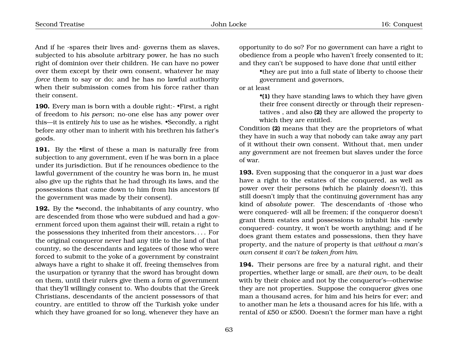And if he  $\cdot$ spares their lives and $\cdot$  governs them as slaves, subjected to his absolute arbitrary power, he has no such right of dominion over their children. He can have no power over them except by their own consent, whatever he may *force* them to say or do; and he has no lawful authority when their submission comes from his force rather than their consent.

**190.** Every man is born with a double right:- •First, a right of freedom to *his person*; no-one else has any power over this—it is entirely *his* to use as he wishes. •Secondly, a right before any other man to inherit with his brethren his father's goods.

191. By the •first of these a man is naturally free from subjection to any government, even if he was born in a place under its jurisdiction. But if he renounces obedience to the lawful government of the country he was born in, he must also give up the rights that he had through its laws, and the possessions that came down to him from his ancestors (if the government was made by their consent).

**192.** By the •second, the inhabitants of any country, who are descended from those who were subdued and had a government forced upon them against their will, retain a right to the possessions they inherited from their ancestors. . . . For the original conqueror never had any title to the land of that country, so the descendants and legatees of those who were forced to submit to the yoke of a government by constraint always have a right to shake it off, freeing themselves from the usurpation or tyranny that the sword has brought down on them, until their rulers give them a form of government that they'll willingly consent to. Who doubts that the Greek Christians, descendants of the ancient possessors of that country, are entitled to throw off the Turkish yoke under which they have groaned for so long, whenever they have an

opportunity to do so? For no government can have a right to obedience from a people who haven't freely consented to it; and they can't be supposed to have done *that* until either

•they are put into a full state of liberty to choose their government and governors,

or at least

•**(1)** they have standing laws to which they have given their free consent directly or through their representatives , and also **(2)** they are allowed the property to which they are entitled.

Condition **(2)** means that they are the proprietors of what they have in such a way that nobody can take away any part of it without their own consent. Without that, men under any government are not freemen but slaves under the force of war.

**193.** Even supposing that the conqueror in a just war *does* have a right to the estates of the conquered, as well as power over their persons (which he plainly *doesn't*), this still doesn't imply that the continuing government has any kind of *absolute* power. The descendants of ·those who were conquered· will all be freemen; if the conqueror doesn't grant them estates and possessions to inhabit his ·newly conquered $\cdot$  country, it won't be worth anything; and if he does grant them estates and possessions, then they have property, and the nature of property is that *without a man's own consent it can't be taken from him*.

**194.** Their persons are free by a natural right, and their properties, whether large or small, are *their own*, to be dealt with by their choice and not by the conqueror's—otherwise they are not properties. Suppose the conqueror gives one man a thousand acres, for him and his heirs for ever; and to another man he *lets* a thousand acres for his life, with a rental of £50 or £500. Doesn't the former man have a right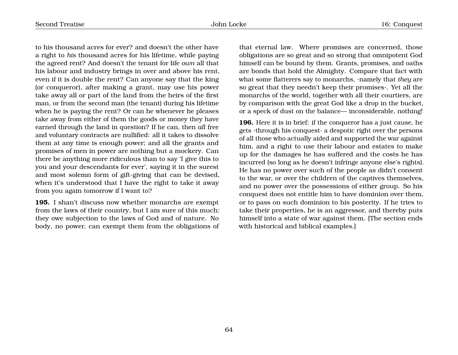to his thousand acres for ever? and doesn't the other have a right to *his* thousand acres for his lifetime, while paying the agreed rent? And doesn't the tenant for life *own* all that his labour and industry brings in over and above his rent, even if it is double the rent? Can anyone say that the king (or conqueror), after making a grant, may use his power take away all or part of the land from the heirs of the first man, or from the second man (the tenant) during his lifetime when he is paying the rent? Or can he whenever he pleases take away from either of them the goods or money they have earned through the land in question? If he can, then *all* free and voluntary contracts are nullified: all it takes to dissolve them at any time is enough power; and all the grants and promises of men in power are nothing but a mockery. Can there be anything more ridiculous than to say 'I give this to you and your descendants for ever', saying it in the surest and most solemn form of gift-giving that can be devised, when it's understood that I have the right to take it away from you again tomorrow if I want to?

**195.** I shan't discuss now whether monarchs are exempt from the laws of their country, but I am sure of this much: they owe subjection to the laws of God and of nature. No body, no power, can exempt them from the obligations of that eternal law. Where promises are concerned, those obligations are so great and so strong that omnipotent God himself can be bound by them. Grants, promises, and oaths are bonds that hold the Almighty. Compare that fact with what some flatterers say to monarchs, ·namely that *they* are so great that they needn't keep their promises·. Yet all the monarchs of the world, together with all their courtiers, are by comparison with the great God like a drop in the bucket, or a speck of dust on the balance— inconsiderable, nothing!

**196.** Here it is in brief: if the conqueror has a just cause, he gets ·through his conquest· a despotic right over the persons of all those who actually aided and supported the war against him, and a right to use their labour and estates to make up for the damages he has suffered and the costs he has incurred (so long as he doesn't infringe anyone else's rights). He has no power over such of the people as didn't consent to the war, or over the children of the captives themselves, and no power over the possessions of either group. So his conquest does not entitle him to have dominion over them, or to pass on such dominion to his posterity. If he tries to take their properties, he is an aggressor, and thereby puts himself into a state of war against them. [The section ends with historical and biblical examples.]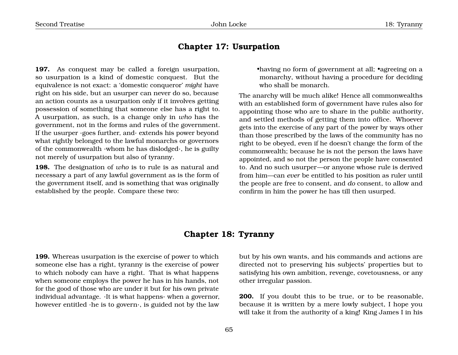#### **Chapter 17: Usurpation**

**197.** As conquest may be called a foreign usurpation, so usurpation is a kind of domestic conquest. But the equivalence is not exact: a 'domestic conqueror' *might* have right on his side, but an usurper can never do so, because an action counts as a usurpation only if it involves getting possession of something that someone else has a right to. A usurpation, as such, is a change only in *who* has the government, not in the forms and rules of the government. If the usurper ·goes further, and· extends his power beyond what rightly belonged to the lawful monarchs or governors of the commonwealth ·whom he has dislodged·, he is guilty not merely of usurpation but also of tyranny.

**198.** The designation of *who* is to rule is as natural and necessary a part of any lawful government as is the form of the government itself, and is something that was originally established by the people. Compare these two:

•having no form of government at all; •agreeing on a monarchy, without having a procedure for deciding who shall be monarch.

The anarchy will be much alike! Hence all commonwealths with an established form of government have rules also for appointing those who are to share in the public authority, and settled methods of getting them into office. Whoever gets into the exercise of any part of the power by ways other than those prescribed by the laws of the community has no right to be obeyed, even if he doesn't change the form of the commonwealth; because he is not the person the laws have appointed, and so not the person the people have consented to. And no such usurper—or anyone whose rule is derived from him—can *ever* be entitled to his position as ruler until the people are free to consent, and *do* consent, to allow and confirm in him the power he has till then usurped.

#### **Chapter 18: Tyranny**

**199.** Whereas usurpation is the exercise of power to which someone else has a right, tyranny is the exercise of power to which nobody can have a right. That is what happens when someone employs the power he has in his hands, not for the good of those who are under it but for his own private individual advantage. ·It is what happens· when a governor, however entitled ·he is to govern·, is guided not by the law

but by his own wants, and his commands and actions are directed not to preserving his subjects' properties but to satisfying his own ambition, revenge, covetousness, or any other irregular passion.

**200.** If you doubt this to be true, or to be reasonable, because it is written by a mere lowly subject, I hope you will take it from the authority of a king! King James I in his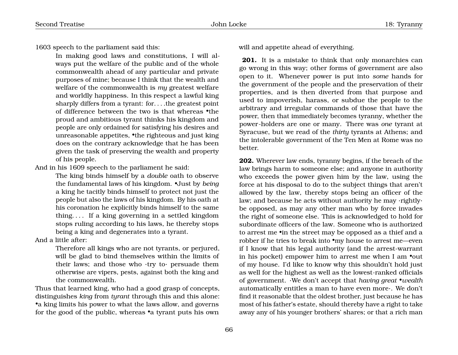1603 speech to the parliament said this:

In making good laws and constitutions, I will always put the welfare of the public and of the whole commonwealth ahead of any particular and private purposes of mine; because I think that the wealth and welfare of the commonwealth is *my* greatest welfare and worldly happiness. In this respect a lawful king sharply differs from a tyrant: for. . . .the greatest point of difference between the two is that whereas •the proud and ambitious tyrant thinks his kingdom and people are only ordained for satisfying his desires and unreasonable appetites, •the righteous and just king does on the contrary acknowledge that he has been given the task of preserving the wealth and property of his people.

And in his 1609 speech to the parliament he said:

The king binds himself by a *double* oath to observe the fundamental laws of his kingdom. •Just by *being* a king he tacitly binds himself to protect not just the people but also the laws of his kingdom. By his oath at his coronation he explicitly binds himself to the same thing. . . . If a king governing in a settled kingdom stops ruling according to his laws, he thereby stops being a king and degenerates into a tyrant.

And a little after:

Therefore all kings who are not tyrants, or perjured, will be glad to bind themselves within the limits of their laws; and those who ·try to· persuade them otherwise are vipers, pests, against both the king and the commonwealth.

Thus that learned king, who had a good grasp of concepts, distinguishes *king* from *tyrant* through this and this alone: •a king limits his power to what the laws allow, and governs for the good of the public, whereas •a tyrant puts his own will and appetite ahead of everything.

**201.** It is a mistake to think that only monarchies can go wrong in this way; other forms of government are also open to it. Whenever power is put into *some* hands for the government of the people and the preservation of their properties, and is then diverted from that purpose and used to impoverish, harass, or subdue the people to the arbitrary and irregular commands of those that have the power, then that immediately becomes tyranny, whether the power-holders are one or many. There was *one* tyrant at Syracuse, but we read of the *thirty* tyrants at Athens; and the intolerable government of the Ten Men at Rome was no better.

**202.** Wherever law ends, tyranny begins, if the breach of the law brings harm to someone else; and anyone in authority who exceeds the power given him by the law, using the force at his disposal to do to the subject things that aren't allowed by the law, thereby stops being an officer of the law; and because he acts without authority he may ·rightly· be opposed, as may any other man who by force invades the right of someone else. This is acknowledged to hold for subordinate officers of the law. Someone who is authorized to arrest me •in the street may be opposed as a thief and a robber if he tries to break into •my house to arrest me—even if I know that his legal authority (and the arrest-warrant in his pocket) empower him to arrest me when I am •out of my house. I'd like to know why this shouldn't hold just as well for the highest as well as the lowest-ranked officials of government. ·We don't accept that *having great* •*wealth* automatically entitles a man to have even more·. We don't find it reasonable that the oldest brother, just because he has most of his father's estate, should thereby have a right to take away any of his younger brothers' shares; or that a rich man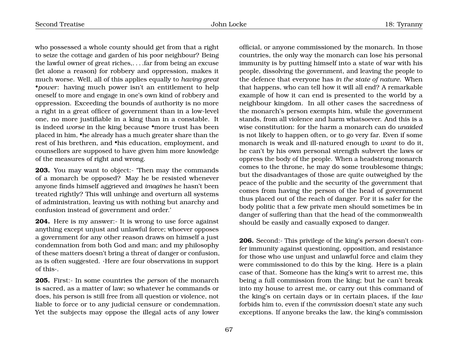who possessed a whole county should get from that a right to seize the cottage and garden of his poor neighbour? Being the lawful owner of great riches,. . . .far from being an excuse (let alone a reason) for robbery and oppression, makes it much worse. Well, all of this applies equally to *having great* •*power*: having much power isn't an entitlement to help oneself to more and engage in one's own kind of robbery and oppression. Exceeding the bounds of authority is no more a right in a great officer of government than in a low-level one, no more justifiable in a king than in a constable. It is indeed *worse* in the king because •more trust has been placed in him, •he already has a much greater share than the rest of his brethren, and •his education, employment, and counsellors are supposed to have given him more knowledge of the measures of right and wrong.

**203.** You may want to object:- 'Then may the commands' of a monarch be opposed? May he be resisted whenever anyone finds himself aggrieved and *imagines* he hasn't been treated rightly? This will unhinge and overturn all systems of administration, leaving us with nothing but anarchy and confusion instead of government and order.'

**204.** Here is my answer:- It is wrong to use force against anything except unjust and unlawful force; whoever opposes a government for any other reason draws on himself a just condemnation from both God and man; and my philosophy of these matters doesn't bring a threat of danger or confusion, as is often suggested. ·Here are four observations in support of this·.

**205.** First:- In some countries the *person* of the monarch is sacred, as a matter of law; so whatever he commands or does, his person is still free from all question or violence, not liable to force or to any judicial censure or condemnation. Yet the subjects may oppose the illegal acts of any lower official, or anyone commissioned by the monarch. In those countries, the only way the monarch can lose his personal immunity is by putting himself into a state of war with his people, dissolving the government, and leaving the people to the defence that everyone has *in the state of nature*. When that happens, who can tell how it will all end? A remarkable example of how it can end is presented to the world by a neighbour kingdom. In all other cases the sacredness of the monarch's person exempts him, while the government stands, from all violence and harm whatsoever. And this is a wise constitution: for the harm a monarch can do *unaided* is not likely to happen often, or to go very far. Even if some monarch is weak and ill-natured enough to *want* to do it, he can't by his own personal strength subvert the laws or oppress the body of the people. When a headstrong monarch comes to the throne, he may do some troublesome things; but the disadvantages of those are quite outweighed by the peace of the public and the security of the government that comes from having the person of the head of government thus placed out of the reach of danger. For it is safer for the body politic that a few private men should sometimes be in danger of suffering than that the head of the commonwealth should be easily and casually exposed to danger.

**206.** Second:- This privilege of the king's *person* doesn't confer immunity against questioning, opposition, and resistance for those who use unjust and unlawful force and claim they were commissioned to do this by the king. Here is a plain case of that. Someone has the king's writ to arrest me, this being a full commission from the king; but he can't break into my house to arrest me, or carry out this command of the king's on certain days or in certain places, if the *law* forbids him to, even if the *commission* doesn't state any such exceptions. If anyone breaks the law, the king's commission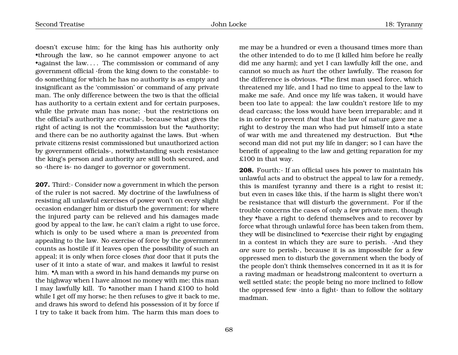doesn't excuse him; for the king has his authority only •through the law, so he cannot empower anyone to act •against the law.... The commission or command of any government official ·from the king down to the constable· to do something for which he has no authority is as empty and insignificant as the 'commission' or command of any private man. The only difference between the two is that the official has authority to a certain extent and for certain purposes, while the private man has none; ·but the restrictions on the official's authority are crucial·, because what gives the right of acting is not the •commission but the •authority; and there can be no authority against the laws. But ·when private citizens resist commissioned but unauthorized action by government officials·, notwithstanding such resistance the king's person and authority are still both secured, and so ·there is· no danger to governor or government.

**207.** Third:- Consider now a government in which the person of the ruler is not sacred. My doctrine of the lawfulness of resisting all unlawful exercises of power won't on every slight occasion endanger him or disturb the government; for where the injured party can be relieved and his damages made good by appeal to the law, he can't claim a right to use force, which is only to be used where a man is *prevented* from appealing to the law. No exercise of force by the government counts as hostile if it leaves open the possibility of such an appeal; it is only when force closes *that* door that it puts the user of it into a state of war, and makes it lawful to resist him. •A man with a sword in his hand demands my purse on the highway when I have almost no money with me; this man I may lawfully kill. To •another man I hand £100 to hold while I get off my horse; he then refuses to give it back to me, and draws his sword to defend his possession of it by force if I try to take it back from him. The harm this man does to

me may be a hundred or even a thousand times more than the other intended to do to me (I killed him before he really did me any harm); and yet I can lawfully *kill* the one, and cannot so much as *hurt* the other lawfully. The reason for the difference is obvious. •The first man used force, which threatened my life, and I had no time to appeal to the law to make me safe. And once my life was taken, it would have been too late to appeal: the law couldn't restore life to my dead carcass; the loss would have been irreparable; and it is in order to prevent *that* that the law of nature gave me a right to destroy the man who had put himself into a state of war with me and threatened my destruction. But •the second man did not put my life in danger; so I can have the benefit of appealing to the law and getting reparation for my £100 in that way.

**208.** Fourth:- If an official uses his power to maintain his unlawful acts and to obstruct the appeal to law for a remedy, this is manifest tyranny and there is a right to resist it; but even in cases like this, if the harm is slight there won't be resistance that will disturb the government. For if the trouble concerns the cases of only a few private men, though they •have a right to defend themselves and to recover by force what through unlawful force has been taken from them, they will be disinclined to •exercise their right by engaging in a contest in which they are sure to perish. ·And they *are* sure to perish·, because it is as impossible for a few oppressed men to disturb the government when the body of the people don't think themselves concerned in it as it is for a raving madman or headstrong malcontent to overturn a well settled state; the people being no more inclined to follow the oppressed few ·into a fight· than to follow the solitary madman.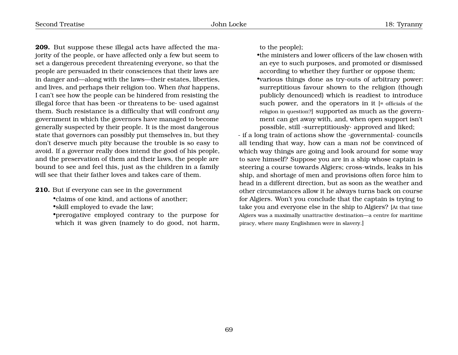**209.** But suppose these illegal acts have affected the majority of the people, or have affected only a few but seem to set a dangerous precedent threatening everyone, so that the people are persuaded in their consciences that their laws are in danger and—along with the laws—their estates, liberties, and lives, and perhaps their religion too. When *that* happens, I can't see how the people can be hindered from resisting the illegal force that has been  $\cdot$ or threatens to be $\cdot$  used against them. Such resistance is a difficulty that will confront *any* government in which the governors have managed to become generally suspected by their people. It is the most dangerous state that governors can possibly put themselves in, but they don't deserve much pity because the trouble is so easy to avoid. If a governor really does intend the good of his people, and the preservation of them and their laws, the people are bound to see and feel this, just as the children in a family will see that their father loves and takes care of them.

- **210.** But if everyone can see in the government
	- •claims of one kind, and actions of another;
	- •skill employed to evade the law;
	- •prerogative employed contrary to the purpose for which it was given (namely to do good, not harm,

to the people);

•the ministers and lower officers of the law chosen with an eye to such purposes, and promoted or dismissed according to whether they further or oppose them; •various things done as try-outs of arbitrary power: surreptitious favour shown to the religion (though publicly denounced) which is readiest to introduce such power, and the operators in it [= officials of the religion in question?] supported as much as the government can get away with, and, when open support isn't possible, still ·surreptitiously· approved and liked;

- if a long train of actions show the ·governmental· councils all tending that way, how can a man *not* be convinced of which way things are going and look around for some way to save himself? Suppose you are in a ship whose captain is steering a course towards Algiers; cross-winds, leaks in his ship, and shortage of men and provisions often force him to head in a different direction, but as soon as the weather and other circumstances allow it he always turns back on course for Algiers. Won't you conclude that the captain is trying to take you and everyone else in the ship to Algiers? [At that time Algiers was a maximally unattractive destination—a centre for maritime piracy, where many Englishmen were in slavery.]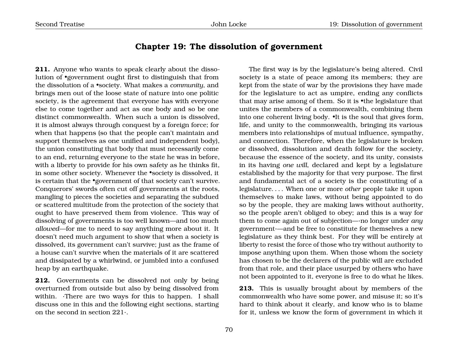### **Chapter 19: The dissolution of government**

**211.** Anyone who wants to speak clearly about the dissolution of •government ought first to distinguish that from the dissolution of a •society. What makes a *community*, and brings men out of the loose state of nature into one politic society, is the agreement that everyone has with everyone else to come together and act as one body and so be one distinct commonwealth. When such a union is dissolved, it is almost always through conquest by a foreign force; for when that happens (so that the people can't maintain and support themselves as one unified and independent body), the union constituting that body that must necessarily come to an end, returning everyone to the state he was in before, with a liberty to provide for his own safety as he thinks fit, in some other society. Whenever the •society is dissolved, it is certain that the •government of that society can't survive. Conquerors' swords often cut off governments at the roots, mangling to pieces the societies and separating the subdued or scattered multitude from the protection of the society that ought to have preserved them from violence. This way of dissolving of governments is too well known—and too much *allowed*—for me to need to say anything more about it. It doesn't need much argument to show that when a society is dissolved, its government can't survive; just as the frame of a house can't survive when the materials of it are scattered and dissipated by a whirlwind, or jumbled into a confused heap by an earthquake.

**212.** Governments can be dissolved not only by being overturned from outside but also by being dissolved from within. There are two ways for this to happen. I shall discuss one in this and the following eight sections, starting on the second in section 221·.

The first way is by the legislature's being altered. Civil society is a state of peace among its members; they are kept from the state of war by the provisions they have made for the legislature to act as umpire, ending any conflicts that may arise among of them. So it is •the legislature that unites the members of a commonwealth, combining them into one coherent living body. •It is the soul that gives form, life, and unity to the commonwealth, bringing its various members into relationships of mutual influence, sympathy, and connection. Therefore, when the legislature is broken or dissolved, dissolution and death follow for the society, because the essence of the society, and its unity, consists in its having *one will*, declared and kept by a legislature established by the majority for that very purpose. The first and fundamental act of a society is the constituting of a legislature. . . . When one or more *other* people take it upon themselves to make laws, without being appointed to do so by the people, they are making laws without authority, so the people aren't obliged to obey; and this is a way for them to come again out of subjection—·no longer under *any* government·—and be free to constitute for themselves a new legislature as they think best. For they will be entirely at liberty to resist the force of those who try without authority to impose anything upon them. When those whom the society has chosen to be the declarers of the public will are excluded from that role, and their place usurped by others who have not been appointed to it, everyone is free to do what he likes.

**213.** This is usually brought about by members of the commonwealth who have some power, and misuse it; so it's hard to think about it clearly, and know who is to blame for it, unless we know the form of government in which it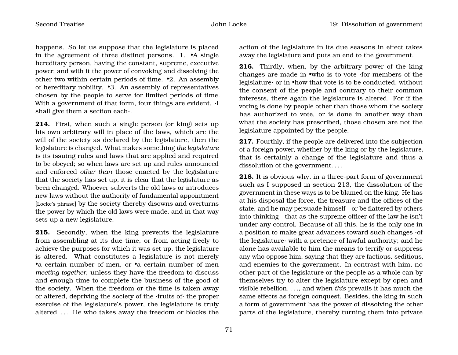happens. So let us suppose that the legislature is placed in the agreement of three distinct persons. 1. •A single hereditary person, having the constant, supreme, executive power, and with it the power of convoking and dissolving the other two within certain periods of time. •2. An assembly of hereditary nobility. •3. An assembly of representatives chosen by the people to serve for limited periods of time. With a government of that form, four things are evident.  $\cdot$ I shall give them a section each·.

**214.** First, when such a single person (or king) sets up his own arbitrary will in place of the laws, which are the will of the society as declared by the legislature, then the legislature is changed. What makes something *the legislature* is its issuing rules and laws that are applied and required to be obeyed; so when laws are set up and rules announced and enforced *other than* those enacted by the legislature that the society has set up, it is clear that the legislature as been changed. Whoever subverts the old laws or introduces new laws without the authority of fundamental appointment [Locke's phrase] by the society thereby disowns and overturns the power by which the old laws were made, and in that way sets up a new legislature.

**215.** Secondly, when the king prevents the legislature from assembling at its due time, or from acting freely to achieve the purposes for which it was set up, the legislature is altered. What constitutes a legislature is not merely •a certain number of men, or •a certain number of men *meeting together*, unless they have the freedom to discuss and enough time to complete the business of the good of the society. When the freedom or the time is taken away or altered, depriving the society of the ·fruits of· the proper exercise of the legislature's power, the legislature is truly altered. . . . He who takes away the freedom or blocks the

action of the legislature in its due seasons in effect takes away the legislature and puts an end to the government.

**216.** Thirdly, when, by the arbitrary power of the king changes are made in •who is to vote ·for members of the legislature· or in •how that vote is to be conducted, without the consent of the people and contrary to their common interests, there again the legislature is altered. For if the voting is done by people other than those whom the society has authorized to vote, or is done in another way than what the society has prescribed, those chosen are not the legislature appointed by the people.

**217.** Fourthly, if the people are delivered into the subjection of a foreign power, whether by the king or by the legislature, that is certainly a change of the legislature and thus a dissolution of the government. . . .

**218.** It is obvious why, in a three-part form of government such as I supposed in section 213, the dissolution of the government in these ways is to be blamed on the king. He has at his disposal the force, the treasure and the offices of the state, and he may persuade himself—or be flattered by others into thinking—that as the supreme officer of the law he isn't under any control. Because of all this, he is the only one in a position to make great advances toward such changes ·of the legislature· with a pretence of lawful authority; and he alone has available to him the means to terrify or suppress any who oppose him, saying that they are factious, seditious, and enemies to the government. In contrast with him, no other part of the legislature or the people as a whole can by themselves try to alter the legislature except by open and visible rebellion. . . ., and when *this* prevails it has much the same effects as foreign conquest. Besides, the king in such a form of government has the power of dissolving the other parts of the legislature, thereby turning them into private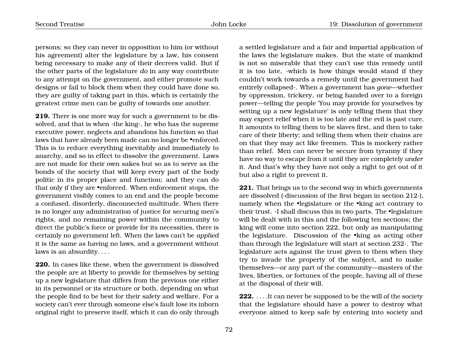persons; so they can never in opposition to him (or without his agreement) alter the legislature by a law, his consent being necessary to make any of their decrees valid. But if the other parts of the legislature *do* in any way contribute to any attempt on the government, and either promote such designs or fail to block them when they could have done so, they are guilty of taking part in this, which is certainly the greatest crime men can be guilty of towards one another.

**219.** There is one more way for such a government to be dissolved, and that is when ·the king·, he who has the supreme executive power, neglects and abandons his function so that laws that have already been made can no longer be •enforced. This is to reduce everything inevitably and immediately to anarchy, and so in effect to dissolve the government. Laws are not made for their own sakes but so as to serve as the bonds of the society that will keep every part of the body politic in its proper place and function; and they can do that only if they are •enforced. When enforcement stops, the government visibly comes to an end and the people become a confused, disorderly, disconnected multitude. When there is no longer any administration of justice for securing men's rights, and no remaining power within the community to direct the public's force or provide for its necessities, there is certainly no government left. When the laws can't be *applied* it is the same as having no laws, and a government without laws is an absurdity. . . .

**220.** In cases like these, when the government is dissolved the people are at liberty to provide for themselves by setting up a new legislature that differs from the previous one either in its personnel or its structure or both, depending on what the people find to be best for their safety and welfare. For a society can't ever through someone else's fault lose its inborn original right to preserve itself, which it can do only through a settled legislature and a fair and impartial application of the laws the legislature makes. But the state of mankind is not so miserable that they can't use this remedy until it is too late, ·which is how things would stand if they couldn't work towards a remedy until the government had entirely collapsed·. When a government has *gone*—whether by oppression, trickery, or being handed over to a foreign power—telling the people 'You may provide for yourselves by setting up a new legislature' is only telling them that they may expect relief when it is too late and the evil is past cure. It amounts to telling them to be slaves first, and then to take care of their liberty; and telling them when their chains are on that they may act like freemen. This is mockery rather than relief. Men can never be secure from tyranny if they have no way to escape from it until they are completely *under* it. And that's why they have not only a right to get out of it but also a right to prevent it.

**221.** That brings us to the second way in which governments are dissolved (·discussion of the first began in section 212·), namely when the •legislature or the •king act contrary to their trust. ·I shall discuss this in two parts. The •legislature will be dealt with in this and the following ten sections; the king will come into section 222, but only as manipulating the legislature. Discussion of the •king as acting other than through the legislature will start at section 232·. The legislature acts against the trust given to them when they try to invade the property of the subject, and to make themselves—or any part of the community—masters of the lives, liberties, or fortunes of the people, having all of these at the disposal of their will.

**222.** . . . . It can never be supposed to be the will of the society that the legislature should have a power to destroy what everyone aimed to keep safe by entering into society and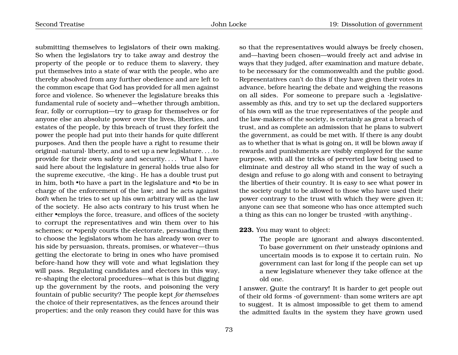submitting themselves to legislators of their own making. So when the legislators try to take away and destroy the property of the people or to reduce them to slavery, they put themselves into a state of war with the people, who are thereby absolved from any further obedience and are left to the common escape that God has provided for all men against force and violence. So whenever the legislature breaks this fundamental rule of society and—whether through ambition, fear, folly or corruption—try to grasp for themselves or for anyone else an absolute power over the lives, liberties, and estates of the people, by this breach of trust they forfeit the power the people had put into their hands for quite different purposes. And then the people have a right to resume their original ·natural· liberty, and to set up a new legislature. . . .to provide for their own safety and security. . . . What I have said here about the legislature in general holds true also for the supreme executive, ·the king·. He has a double trust put in him, both •to have a part in the legislature and •to be in charge of the enforcement of the law; and he acts against *both* when he tries to set up his own arbitrary will as the law of the society. He also acts contrary to his trust when he either •employs the force, treasure, and offices of the society to corrupt the representatives and win them over to his schemes; or **•**openly courts the electorate, persuading them to choose the legislators whom he has already won over to his side by persuasion, threats, promises, or whatever—thus getting the electorate to bring in ones who have promised before-hand how they will vote and what legislation they will pass. Regulating candidates and electors in this way, re-shaping the electoral procedures—what is this but digging up the government by the roots, and poisoning the very fountain of public security? The people kept *for themselves* the choice of their representatives, as the fences around their properties; and the only reason they could have for this was

so that the representatives would always be freely chosen, and—having been chosen—would freely act and advise in ways that they judged, after examination and mature debate, to be necessary for the commonwealth and the public good. Representatives can't do this if they have given their votes in advance, before hearing the debate and weighing the reasons on all sides. For someone to prepare such a ·legislative· assembly as *this*, and try to set up the declared supporters of his own will as the true representatives of the people and the law-makers of the society, is certainly as great a breach of trust, and as complete an admission that he plans to subvert the government, as could be met with. If there is any doubt as to whether that is what is going on, it will be blown away if rewards and punishments are visibly employed for the same purpose, with all the tricks of perverted law being used to eliminate and destroy all who stand in the way of such a design and refuse to go along with and consent to betraying the liberties of their country. It is easy to see what power in the society ought to be allowed to those who have used their power contrary to the trust with which they were given it; anyone can see that someone who has once attempted such a thing as this can no longer be trusted ·with anything·.

#### **223.** You may want to object:

The people are ignorant and always discontented. To base government on *their* unsteady opinions and uncertain moods is to expose it to certain ruin. No government can last for long if the people can set up a new legislature whenever they take offence at the old one.

I answer, Quite the contrary! It is harder to get people out of their old forms ·of government· than some writers are apt to suggest. It is almost impossible to get them to amend the admitted faults in the system they have grown used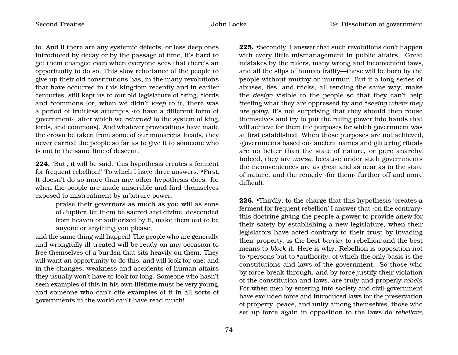to. And if there are any systemic defects, or less deep ones introduced by decay or by the passage of time, it's hard to get them changed even when everyone sees that there's an opportunity to do so. This slow reluctance of the people to give up their old constitutions has, in the many revolutions that have occurred in this kingdom recently and in earlier centuries, still kept us to our old legislature of •king, •lords and •commons (or, when we didn't *keep* to it, there was a period of fruitless attempts ·to have a different form of government·, after which we *returned* to the system of king, lords, and commons). And whatever provocations have made the crown be taken from some of our monarchs' heads, they never carried the people so far as to give it to someone who is not in the same line of descent.

**224.** 'But', it will be said, 'this hypothesis creates a ferment for frequent rebellion!' To which I have three answers. •First, It doesn't do so more than any other hypothesis does: for when the people are made miserable and find themselves exposed to mistreatment by arbitrary power,

> praise their governors as much as you will as sons of Jupiter, let them be sacred and divine, descended from heaven or authorized by it, make them out to be anyone or anything you please,

and the same thing will happen! The people who are generally and wrongfully ill-treated will be ready on any occasion to free themselves of a burden that sits heavily on them. They will want an opportunity to do this, and will look for one; and in the changes, weakness and accidents of human affairs they usually won't have to look for long. Someone who hasn't seen examples of this in his own lifetime must be very young, and someone who can't cite examples of it in all sorts of governments in the world can't have read much!

**225.** •Secondly, I answer that such revolutions don't happen with every little mismanagement in public affairs. Great mistakes by the rulers, many wrong and inconvenient laws, and all the slips of human frailty—these will be born by the people without mutiny or murmur. But if a long series of abuses, lies, and tricks, all tending the same way, make the *design* visible to the people so that they can't help •feeling what they are oppressed by and •*seeing where they are going*, it's not surprising that they should then rouse themselves and try to put the ruling power into hands that will achieve for them the purposes for which government was at first established. When those purposes are not achieved, ·governments based on· ancient names and glittering rituals are no better than the state of nature, or pure anarchy. Indeed, they are *worse*, because under such governments the inconveniences are as great and as near as in the state of nature, and the remedy ·for them· further off and more difficult.

**226.** •Thirdly, to the charge that this hypothesis 'creates a ferment for frequent rebellion' I answer that ·on the contrary· this doctrine giving the people a power to provide anew for their safety by establishing a new legislature, when their legislators have acted contrary to their trust by invading their property, is the best *barrier* to rebellion and the best means to *block* it. Here is why. Rebellion is opposition not to •persons but to •authority, of which the only basis is the constitutions and laws of the government. So those who by force break through, and by force justify their violation of the constitution and laws, are truly and properly *rebels*. For when men by entering into society and civil-government have excluded force and introduced laws for the preservation of property, peace, and unity among themselves, those who set up force again in opposition to the laws do *rebellare*,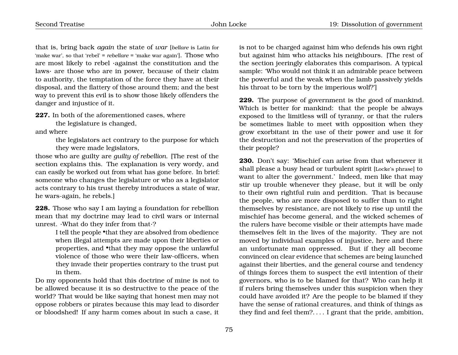that is, bring back *again* the state of *war* [*bellare* is Latin for 'make war', so that 'rebel' = *rebellare* = 'make war again']. Those who are most likely to rebel ·against the constitution and the laws· are those who are in power, because of their claim to authority, the temptation of the force they have at their disposal, and the flattery of those around them; and the best way to prevent this evil is to show those likely offenders the danger and injustice of it.

**227.** In both of the aforementioned cases, where

the legislature is changed,

and where

the legislators act contrary to the purpose for which they were made legislators,

those who are guilty are *guilty of rebellion*. [The rest of the section explains this. The explanation is very wordy, and can easily be worked out from what has gone before. In brief: someone who changes the legislature or who as a legislator acts contrary to his trust thereby introduces a state of war, he wars-again, he rebels.]

**228.** Those who say I am laying a foundation for rebellion mean that my doctrine may lead to civil wars or internal unrest. ·What do they infer from that·?

> I tell the people •that they are absolved from obedience when illegal attempts are made upon their liberties or properties, and •that they may oppose the unlawful violence of those who were their law-officers, when they invade their properties contrary to the trust put in them.

Do my opponents hold that this doctrine of mine is not to be allowed because it is so destructive to the peace of the world? That would be like saying that honest men may not oppose robbers or pirates because this may lead to disorder or bloodshed! If any harm comes about in such a case, it is not to be charged against him who defends his own right but against him who attacks his neighbours. [The rest of the section jeeringly elaborates this comparison. A typical sample: 'Who would not think it an admirable peace between the powerful and the weak when the lamb passively yields his throat to be torn by the imperious wolf?']

**229.** The purpose of government is the good of mankind. Which is better for mankind: that the people be always exposed to the limitless will of tyranny, or that the rulers be sometimes liable to meet with opposition when they grow exorbitant in the use of their power and use it for the destruction and not the preservation of the properties of their people?

**230.** Don't say: 'Mischief can arise from that whenever it shall please a busy head or turbulent spirit [Locke's phrase] to want to alter the government.' Indeed, men like that may stir up trouble whenever they please, but it will be only to their own rightful ruin and perdition. That is because the people, who are more disposed to suffer than to right themselves by resistance, are not likely to rise up until the mischief has become general, and the wicked schemes of the rulers have become visible or their attempts have made themselves felt in the lives of the majority. They are not moved by individual examples of injustice, here and there an unfortunate man oppressed. But if they all become convinced on clear evidence that schemes are being launched against their liberties, and the general course and tendency of things forces them to suspect the evil intention of their governors, who is to be blamed for that? Who can help it if rulers bring themselves under this suspicion when they could have avoided it? Are the people to be blamed if they have the sense of rational creatures, and think of things as they find and feel them?. . . . I grant that the pride, ambition,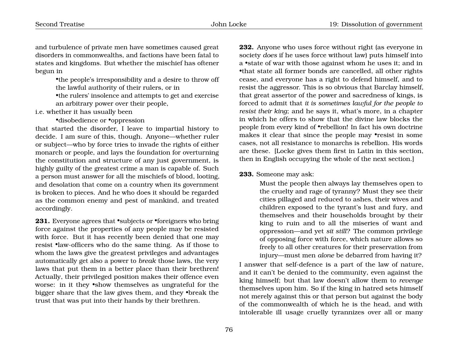and turbulence of private men have sometimes caused great disorders in commonwealths, and factions have been fatal to states and kingdoms. But whether the mischief has oftener begun in

> •the people's irresponsibility and a desire to throw off the lawful authority of their rulers, or in

> •the rulers' insolence and attempts to get and exercise an arbitrary power over their people,

## i.e. whether it has usually been

### •disobedience or •oppression

that started the disorder, I leave to impartial history to decide. I am sure of this, though. Anyone—whether ruler or subject—who by force tries to invade the rights of either monarch or people, and lays the foundation for overturning the constitution and structure of any just government, is highly guilty of the greatest crime a man is capable of. Such a person must answer for all the mischiefs of blood, looting, and desolation that come on a country when its government is broken to pieces. And he who does it should be regarded as the common enemy and pest of mankind, and treated accordingly.

**231.** Everyone agrees that •subjects or •foreigners who bring force against the properties of any people may be resisted with force. But it has recently been denied that one may resist •law-officers who do the same thing. As if those to whom the laws give the greatest privileges and advantages automatically get also a power to *break* those laws, the very laws that put them in a better place than their brethren! Actually, their privileged position makes their offence even worse: in it they •show themselves as ungrateful for the bigger share that the law gives them, and they •break the trust that was put into their hands by their brethren.

**232.** Anyone who uses force without right (as everyone in society *does* if he uses force without law) puts himself into a •state of war with those against whom he uses it; and in •that state all former bonds are cancelled, all other rights cease, and everyone has a right to defend himself, and to resist the aggressor. This is so obvious that Barclay himself, that great assertor of the power and sacredness of kings, is forced to admit that *it is sometimes lawful for the people to resist their king*; and he says it, what's more, in a chapter in which he offers to show that the divine law blocks the people from every kind of •rebellion! In fact his own doctrine makes it clear that since the people may •resist in some cases, not all resistance to monarchs is rebellion. His words are these. [Locke gives them first in Latin in this section, then in English occupying the whole of the next section.]

#### **233.** Someone may ask:

Must the people then always lay themselves open to the cruelty and rage of tyranny? Must they see their cities pillaged and reduced to ashes, their wives and children exposed to the tyrant's lust and fury, and themselves and their households brought by their king to ruin and to all the miseries of want and oppression—and yet *sit still*? The common privilege of opposing force with force, which nature allows so freely to all other creatures for their preservation from injury—must men *alone* be debarred from having it?

I answer that self-defence is a part of the law of nature, and it can't be denied to the community, even against the king himself; but that law doesn't allow them to *revenge* themselves upon him. So if the king in hatred sets himself not merely against this or that person but against the body of the commonwealth of which he is the head, and with intolerable ill usage cruelly tyrannizes over all or many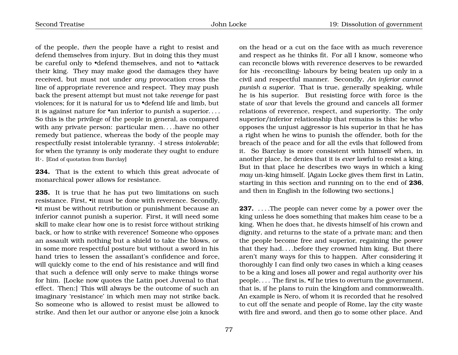of the people, *then* the people have a right to resist and defend themselves from injury. But in doing this they must be careful only to •defend themselves, and not to •attack their king. They may make good the damages they have received, but must not under *any* provocation cross the line of appropriate reverence and respect. They may push back the present attempt but must not take *revenge* for past violences; for it is natural for us to •defend life and limb, but it is against nature for •an inferior to *punish* a superior. . . . So this is the privilege of the people in general, as compared with any private person: particular men. . . .have no other remedy but patience, whereas the body of the people may respectfully resist intolerable tyranny. ·I stress *intolerable*; for when the tyranny is only moderate they ought to endure it·. [End of quotation from Barclay]

**234.** That is the extent to which this great advocate of monarchical power allows for resistance.

**235.** It is true that he has put two limitations on such resistance. First, •it must be done with reverence. Secondly, •it must be without retribution or punishment because an inferior cannot punish a superior. First, it will need some skill to make clear how one is to resist force without striking back, or how to strike with reverence! Someone who opposes an assault with nothing but a shield to take the blows, or in some more respectful posture but without a sword in his hand tries to lessen the assailant's confidence and force, will quickly come to the end of his resistance and will find that such a defence will only serve to make things worse for him. [Locke now quotes the Latin poet Juvenal to that effect. Then:] This will always be the outcome of such an imaginary 'resistance' in which men may not strike back. So someone who is allowed to resist must be allowed to strike. And then let our author or anyone else join a knock

on the head or a cut on the face with as much reverence and respect as he thinks fit. For all I know, someone who can reconcile blows with reverence deserves to be rewarded for his ·reconciling· labours by being beaten up only in a civil and respectful manner. Secondly, *An inferior cannot punish a superior*. That is true, generally speaking, while he is his superior. But resisting force with force is the state of *war* that levels the ground and cancels all former relations of reverence, respect, and superiority. The only superior/inferior relationship that remains is this: he who opposes the unjust aggressor is his superior in that he has a right when he wins to punish the offender, both for the breach of the peace and for all the evils that followed from it. So Barclay is more consistent with himself when, in another place, he denies that it is *ever* lawful to resist a king. But in that place he describes two ways in which a king *may* un-king himself. [Again Locke gives them first in Latin, starting in this section and running on to the end of **236**, and then in English in the following two sections.]

**237.** ... .The people can never come by a power over the king unless he does something that makes him cease to be a king. When he does that, he divests himself of his crown and dignity, and returns to the state of a private man; and then the people become free and superior, regaining the power that they had. . . .before they crowned him king. But there aren't many ways for this to happen. After considering it thoroughly I can find only two cases in which a king ceases to be a king and loses all power and regal authority over his people. . . . The first is, •if he tries to overturn the government, that is, if he plans to ruin the kingdom and commonwealth. An example is Nero, of whom it is recorded that he resolved to cut off the senate and people of Rome, lay the city waste with fire and sword, and then go to some other place. And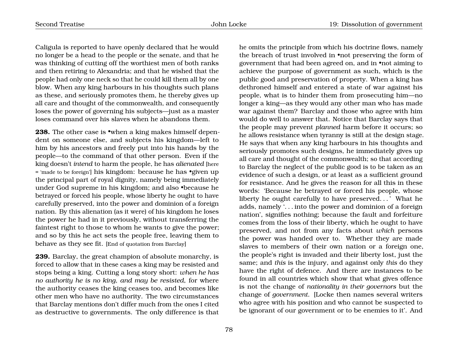Caligula is reported to have openly declared that he would no longer be a head to the people or the senate, and that he was thinking of cutting off the worthiest men of both ranks and then retiring to Alexandria; and that he wished that the people had only one neck so that he could kill them all by one blow. When any king harbours in his thoughts such plans as these, and seriously promotes them, he thereby gives up all care and thought of the commonwealth, and consequently loses the power of governing his subjects—just as a master loses command over his slaves when he abandons them.

**238.** The other case is •when a king makes himself dependent on someone else, and subjects his kingdom—left to him by his ancestors and freely put into his hands by the people—to the command of that other person. Even if the king doesn't *intend* to harm the people, he has *alienated* [here = 'made to be foreign'] his kingdom: because he has •given up the principal part of royal dignity, namely being immediately under God supreme in his kingdom; and also •because he betrayed or forced his people, whose liberty he ought to have carefully preserved, into the power and dominion of a foreign nation. By this alienation (as it were) of his kingdom he loses the power he had in it previously, without transferring the faintest right to those to whom he wants to give the power; and so by this he act sets the people free, leaving them to behave as they see fit. [End of quotation from Barclay]

**239.** Barclay, the great champion of absolute monarchy, is forced to allow that in these cases a king may be resisted and stops being a king. Cutting a long story short: *when he has no authority he is no king, and may be resisted*, for where the authority ceases the king ceases too, and becomes like other men who have no authority. The two circumstances that Barclay mentions don't differ much from the ones I cited as destructive to governments. The only difference is that

the breach of trust involved in •not preserving the form of government that had been agreed on, and in •not aiming to achieve the purpose of government as such, which is the public good and preservation of property. When a king has dethroned himself and entered a state of war against his people, what is to hinder them from prosecuting him—no longer a king—as they would any other man who has made war against them? Barclay and those who agree with him would do well to answer that. Notice that Barclay says that the people may prevent *planned* harm before it occurs; so he allows resistance when tyranny is still at the design stage. He says that when any king harbours in his thoughts and seriously promotes such designs, he immediately gives up all care and thought of the commonwealth; so that according to Barclay the neglect of the public good is to be taken as an evidence of such a design, or at least as a sufficient ground for resistance. And he gives the reason for all this in these words: 'Because he betrayed or forced his people, whose liberty he ought carefully to have preserved. . . ' What he adds, namely '. . . into the power and dominion of a foreign nation', signifies nothing; because the fault and forfeiture comes from the loss of their liberty, which he ought to have preserved, and not from any facts about *which* persons the power was handed over to. Whether they are made slaves to members of their own nation or a foreign one, the people's right is invaded and their liberty lost, just the same; and *this* is the injury, and against only *this* do they have the right of defence. And there are instances to be found in all countries which show that what gives offence is not the change of *nationality in their governors* but the change of *government*. [Locke then names several writers who agree with his position and who cannot be suspected to be ignorant of our government or to be enemies to it'. And

he omits the principle from which his doctrine flows, namely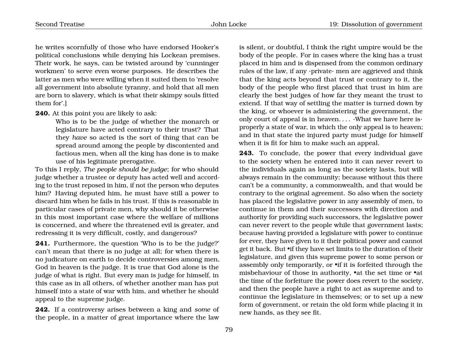he writes scornfully of those who have endorsed Hooker's political conclusions while denying his Lockean premises. Their work, he says, can be twisted around by 'cunninger workmen' to serve even worse purposes. He describes the latter as men who were willing when it suited them to 'resolve all government into absolute tyranny, and hold that all men are born to slavery, which is what their skimpy souls fitted them for'.]

#### **240.** At this point you are likely to ask:

Who is to be the judge of whether the monarch or legislature have acted contrary to their trust? That they *have* so acted is the sort of thing that can be spread around among the people by discontented and factious men, when all the king has done is to make use of his legitimate prerogative.

To this I reply, *The people should be judge*; for who should judge whether a trustee or deputy has acted well and according to the trust reposed in him, if not the person who deputes him? Having deputed him, he must have still a power to discard him when he fails in his trust. If this is reasonable in particular cases of private men, why should it be otherwise in this most important case where the welfare of millions is concerned, and where the threatened evil is greater, and redressing it is very difficult, costly, and dangerous?

**241.** Furthermore, the question 'Who is to be the judge?' can't mean that there is no judge at all; for when there is no judicature on earth to decide controversies among men, God in heaven is the judge. It is true that God alone is the judge of what is right. But every man is judge for himself, in this case as in all others, of whether another man has put himself into a state of war with him, and whether he should appeal to the supreme judge.

**242.** If a controversy arises between a king and *some* of the people, in a matter of great importance where the law is silent, or doubtful, I think the right umpire would be the body of the people. For in cases where the king has a trust placed in him and is dispensed from the common ordinary rules of the law, if any ·private· men are aggrieved and think that the king acts beyond that trust or contrary to it, the body of the people who first placed that trust in him are clearly the best judges of how far they meant the trust to extend. If that way of settling the matter is turned down by the king, or whoever is administering the government, the only court of appeal is in heaven....  $\cdot$ What we have here is $\cdot$ properly a state of war, in which the only appeal is to heaven; and in that state the injured party must judge for himself when it is fit for him to make such an appeal.

**243.** To conclude, the power that every individual gave to the society when he entered into it can never revert to the individuals again as long as the society lasts, but will always remain in the community; because without this there can't be a community, a commonwealth, and that would be contrary to the original agreement. So also when the society has placed the legislative power in any assembly of men, to continue in them and their successors with direction and authority for providing such successors, the legislative power can never revert to the people while that government lasts; because having provided a legislature with power to continue for ever, they have given to it their political power and cannot get it back. But •if they have set limits to the duration of their legislature, and given this supreme power to some person or assembly only temporarily, or •if it is forfeited through the misbehaviour of those in authority, •at the set time or •at the time of the forfeiture the power does revert to the society, and then the people have a right to act as supreme and to continue the legislature in themselves; or to set up a new form of government, or retain the old form while placing it in new hands, as they see fit.